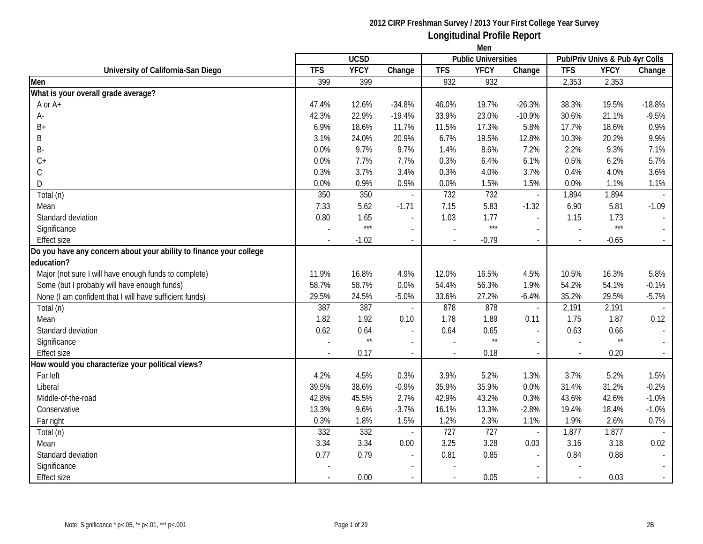|                                                                    | Men        |              |                          |            |                            |                          |                                |              |          |  |
|--------------------------------------------------------------------|------------|--------------|--------------------------|------------|----------------------------|--------------------------|--------------------------------|--------------|----------|--|
|                                                                    |            | <b>UCSD</b>  |                          |            | <b>Public Universities</b> |                          | Pub/Priv Univs & Pub 4yr Colls |              |          |  |
| University of California-San Diego                                 | <b>TFS</b> | <b>YFCY</b>  | Change                   | <b>TFS</b> | <b>YFCY</b>                | Change                   | <b>TFS</b>                     | <b>YFCY</b>  | Change   |  |
| Men                                                                | 399        | 399          |                          | 932        | 932                        |                          | 2,353                          | 2,353        |          |  |
| What is your overall grade average?                                |            |              |                          |            |                            |                          |                                |              |          |  |
| A or A+                                                            | 47.4%      | 12.6%        | $-34.8%$                 | 46.0%      | 19.7%                      | $-26.3%$                 | 38.3%                          | 19.5%        | $-18.8%$ |  |
| А-                                                                 | 42.3%      | 22.9%        | $-19.4%$                 | 33.9%      | 23.0%                      | $-10.9%$                 | 30.6%                          | 21.1%        | $-9.5%$  |  |
| $B+$                                                               | 6.9%       | 18.6%        | 11.7%                    | 11.5%      | 17.3%                      | 5.8%                     | 17.7%                          | 18.6%        | 0.9%     |  |
| Β                                                                  | 3.1%       | 24.0%        | 20.9%                    | 6.7%       | 19.5%                      | 12.8%                    | 10.3%                          | 20.2%        | 9.9%     |  |
| Β-                                                                 | 0.0%       | 9.7%         | 9.7%                     | 1.4%       | 8.6%                       | 7.2%                     | 2.2%                           | 9.3%         | 7.1%     |  |
| $C+$                                                               | 0.0%       | 7.7%         | 7.7%                     | 0.3%       | 6.4%                       | 6.1%                     | 0.5%                           | 6.2%         | 5.7%     |  |
| С                                                                  | 0.3%       | 3.7%         | 3.4%                     | 0.3%       | 4.0%                       | 3.7%                     | 0.4%                           | 4.0%         | 3.6%     |  |
| D                                                                  | 0.0%       | 0.9%         | 0.9%                     | 0.0%       | 1.5%                       | 1.5%                     | 0.0%                           | 1.1%         | 1.1%     |  |
| Total (n)                                                          | 350        | 350          |                          | 732        | 732                        | $\overline{\phantom{a}}$ | 1,894                          | 1,894        |          |  |
| Mean                                                               | 7.33       | 5.62         | $-1.71$                  | 7.15       | 5.83                       | $-1.32$                  | 6.90                           | 5.81         | $-1.09$  |  |
| Standard deviation                                                 | 0.80       | 1.65         |                          | 1.03       | 1.77                       | $\overline{\phantom{a}}$ | 1.15                           | 1.73         |          |  |
| Significance                                                       |            | $***$        |                          |            | $***$                      | $\overline{\phantom{a}}$ |                                | $***$        |          |  |
| <b>Effect size</b>                                                 |            | $-1.02$      | $\overline{\phantom{a}}$ |            | $-0.79$                    | $\sim$                   | $\blacksquare$                 | $-0.65$      |          |  |
| Do you have any concern about your ability to finance your college |            |              |                          |            |                            |                          |                                |              |          |  |
| education?                                                         |            |              |                          |            |                            |                          |                                |              |          |  |
| Major (not sure I will have enough funds to complete)              | 11.9%      | 16.8%        | 4.9%                     | 12.0%      | 16.5%                      | 4.5%                     | 10.5%                          | 16.3%        | 5.8%     |  |
| Some (but I probably will have enough funds)                       | 58.7%      | 58.7%        | 0.0%                     | 54.4%      | 56.3%                      | 1.9%                     | 54.2%                          | 54.1%        | $-0.1%$  |  |
| None (I am confident that I will have sufficient funds)            | 29.5%      | 24.5%        | $-5.0%$                  | 33.6%      | 27.2%                      | $-6.4%$                  | 35.2%                          | 29.5%        | $-5.7%$  |  |
| Total (n)                                                          | 387        | 387          |                          | 878        | 878                        | $\overline{\phantom{a}}$ | 2,191                          | 2,191        |          |  |
| Mean                                                               | 1.82       | 1.92         | 0.10                     | 1.78       | 1.89                       | 0.11                     | 1.75                           | 1.87         | 0.12     |  |
| Standard deviation                                                 | 0.62       | 0.64         |                          | 0.64       | 0.65                       | $\overline{\phantom{a}}$ | 0.63                           | 0.66         |          |  |
| Significance                                                       |            | $\star\star$ | $\overline{\phantom{a}}$ |            | $\star\star$               | $\overline{\phantom{a}}$ |                                | $\star\star$ |          |  |
| <b>Effect size</b>                                                 |            | 0.17         |                          |            | 0.18                       | $\overline{a}$           |                                | 0.20         |          |  |
| How would you characterize your political views?                   |            |              |                          |            |                            |                          |                                |              |          |  |
| Far left                                                           | 4.2%       | 4.5%         | 0.3%                     | 3.9%       | 5.2%                       | 1.3%                     | 3.7%                           | 5.2%         | 1.5%     |  |
| Liberal                                                            | 39.5%      | 38.6%        | $-0.9%$                  | 35.9%      | 35.9%                      | 0.0%                     | 31.4%                          | 31.2%        | $-0.2%$  |  |
| Middle-of-the-road                                                 | 42.8%      | 45.5%        | 2.7%                     | 42.9%      | 43.2%                      | 0.3%                     | 43.6%                          | 42.6%        | $-1.0%$  |  |
| Conservative                                                       | 13.3%      | 9.6%         | $-3.7%$                  | 16.1%      | 13.3%                      | $-2.8%$                  | 19.4%                          | 18.4%        | $-1.0%$  |  |
| Far right                                                          | 0.3%       | 1.8%         | 1.5%                     | 1.2%       | 2.3%                       | 1.1%                     | 1.9%                           | 2.6%         | 0.7%     |  |
| Total (n)                                                          | 332        | 332          |                          | 727        | 727                        | $\overline{\phantom{a}}$ | 1,877                          | 1,877        |          |  |
| Mean                                                               | 3.34       | 3.34         | 0.00                     | 3.25       | 3.28                       | 0.03                     | 3.16                           | 3.18         | 0.02     |  |
| Standard deviation                                                 | 0.77       | 0.79         |                          | 0.81       | 0.85                       |                          | 0.84                           | 0.88         |          |  |
| Significance                                                       |            |              |                          |            |                            |                          |                                |              |          |  |
| <b>Effect size</b>                                                 |            | 0.00         |                          |            | 0.05                       |                          |                                | 0.03         |          |  |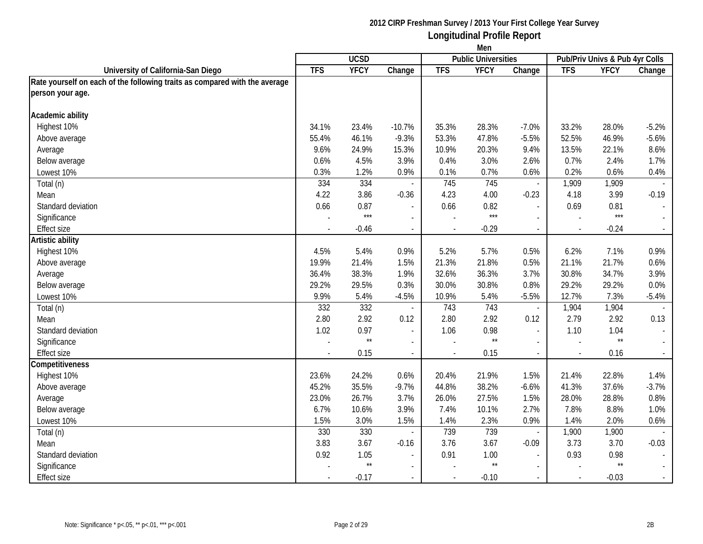|                                                                            | Men        |              |                          |            |                            |                          |                                |                 |                             |
|----------------------------------------------------------------------------|------------|--------------|--------------------------|------------|----------------------------|--------------------------|--------------------------------|-----------------|-----------------------------|
|                                                                            |            | <b>UCSD</b>  |                          |            | <b>Public Universities</b> |                          | Pub/Priv Univs & Pub 4yr Colls |                 |                             |
| University of California-San Diego                                         | <b>TFS</b> | <b>YFCY</b>  | Change                   | <b>TFS</b> | <b>YFCY</b>                | Change                   | <b>TFS</b>                     | <b>YFCY</b>     | Change                      |
| Rate yourself on each of the following traits as compared with the average |            |              |                          |            |                            |                          |                                |                 |                             |
| person your age.                                                           |            |              |                          |            |                            |                          |                                |                 |                             |
| Academic ability                                                           |            |              |                          |            |                            |                          |                                |                 |                             |
| Highest 10%                                                                | 34.1%      | 23.4%        | $-10.7%$                 | 35.3%      | 28.3%                      | $-7.0%$                  | 33.2%                          | 28.0%           | $-5.2%$                     |
| Above average                                                              | 55.4%      | 46.1%        | $-9.3%$                  | 53.3%      | 47.8%                      | $-5.5%$                  | 52.5%                          | 46.9%           | $-5.6%$                     |
| Average                                                                    | 9.6%       | 24.9%        | 15.3%                    | 10.9%      | 20.3%                      | 9.4%                     | 13.5%                          | 22.1%           | 8.6%                        |
| Below average                                                              | 0.6%       | 4.5%         | 3.9%                     | 0.4%       | 3.0%                       | 2.6%                     | 0.7%                           | 2.4%            | 1.7%                        |
| Lowest 10%                                                                 | 0.3%       | 1.2%         | 0.9%                     | 0.1%       | 0.7%                       | 0.6%                     | 0.2%                           | 0.6%            | 0.4%                        |
| Total (n)                                                                  | 334        | 334          |                          | 745        | 745                        | $\blacksquare$           | 1,909                          | 1,909           |                             |
| Mean                                                                       | 4.22       | 3.86         | $-0.36$                  | 4.23       | 4.00                       | $-0.23$                  | 4.18                           | 3.99            | $-0.19$                     |
| Standard deviation                                                         | 0.66       | 0.87         | $\overline{a}$           | 0.66       | 0.82                       | $\overline{\phantom{a}}$ | 0.69                           | 0.81            | $\blacksquare$              |
| Significance                                                               |            | $***$        | $\overline{a}$           |            | $***$                      | $\sim$                   |                                | $***$           | $\sim$                      |
| <b>Effect size</b>                                                         |            | $-0.46$      | $\overline{\phantom{a}}$ | $\sim$     | $-0.29$                    | $\blacksquare$           | $\sim$                         | $-0.24$         | $\sim$                      |
| Artistic ability                                                           |            |              |                          |            |                            |                          |                                |                 |                             |
| Highest 10%                                                                | 4.5%       | 5.4%         | 0.9%                     | 5.2%       | 5.7%                       | 0.5%                     | 6.2%                           | 7.1%            | 0.9%                        |
| Above average                                                              | 19.9%      | 21.4%        | 1.5%                     | 21.3%      | 21.8%                      | 0.5%                     | 21.1%                          | 21.7%           | 0.6%                        |
| Average                                                                    | 36.4%      | 38.3%        | 1.9%                     | 32.6%      | 36.3%                      | 3.7%                     | 30.8%                          | 34.7%           | 3.9%                        |
| Below average                                                              | 29.2%      | 29.5%        | 0.3%                     | 30.0%      | 30.8%                      | 0.8%                     | 29.2%                          | 29.2%           | 0.0%                        |
| Lowest 10%                                                                 | 9.9%       | 5.4%         | $-4.5%$                  | 10.9%      | 5.4%                       | $-5.5%$                  | 12.7%                          | 7.3%            | $-5.4%$                     |
| Total (n)                                                                  | 332        | 332          |                          | 743        | 743                        | $\overline{\phantom{a}}$ | 1,904                          | 1,904           |                             |
| Mean                                                                       | 2.80       | 2.92         | 0.12                     | 2.80       | 2.92                       | 0.12                     | 2.79                           | 2.92            | 0.13                        |
| Standard deviation                                                         | 1.02       | 0.97         | $\overline{\phantom{a}}$ | 1.06       | 0.98                       | $\overline{\phantom{a}}$ | 1.10                           | 1.04            | $\mathcal{L}_{\mathcal{A}}$ |
| Significance                                                               |            | $\star\star$ | $\overline{a}$           |            | $^{\star\star}$            | $\overline{a}$           |                                | $^{\star\star}$ |                             |
| <b>Effect size</b>                                                         |            | 0.15         |                          |            | 0.15                       | $\overline{\phantom{a}}$ |                                | 0.16            | $\sim$                      |
| Competitiveness                                                            |            |              |                          |            |                            |                          |                                |                 |                             |
| Highest 10%                                                                | 23.6%      | 24.2%        | 0.6%                     | 20.4%      | 21.9%                      | 1.5%                     | 21.4%                          | 22.8%           | 1.4%                        |
| Above average                                                              | 45.2%      | 35.5%        | $-9.7%$                  | 44.8%      | 38.2%                      | $-6.6%$                  | 41.3%                          | 37.6%           | $-3.7%$                     |
| Average                                                                    | 23.0%      | 26.7%        | 3.7%                     | 26.0%      | 27.5%                      | 1.5%                     | 28.0%                          | 28.8%           | 0.8%                        |
| Below average                                                              | 6.7%       | 10.6%        | 3.9%                     | 7.4%       | 10.1%                      | 2.7%                     | 7.8%                           | 8.8%            | 1.0%                        |
| Lowest 10%                                                                 | 1.5%       | 3.0%         | 1.5%                     | 1.4%       | 2.3%                       | 0.9%                     | 1.4%                           | 2.0%            | 0.6%                        |
| Total (n)                                                                  | 330        | 330          |                          | 739        | 739                        | $\overline{\phantom{a}}$ | 1,900                          | 1,900           |                             |
| Mean                                                                       | 3.83       | 3.67         | $-0.16$                  | 3.76       | 3.67                       | $-0.09$                  | 3.73                           | 3.70            | $-0.03$                     |
| Standard deviation                                                         | 0.92       | 1.05         | $\overline{a}$           | 0.91       | 1.00                       | $\overline{\phantom{a}}$ | 0.93                           | 0.98            | $\blacksquare$              |
| Significance                                                               |            | $\star\star$ | $\overline{\phantom{0}}$ |            | $\star\star$               | $\overline{\phantom{a}}$ |                                | $\star\star$    |                             |
| <b>Effect size</b>                                                         |            | $-0.17$      |                          |            | $-0.10$                    |                          |                                | $-0.03$         | $\omega_{\rm c}$            |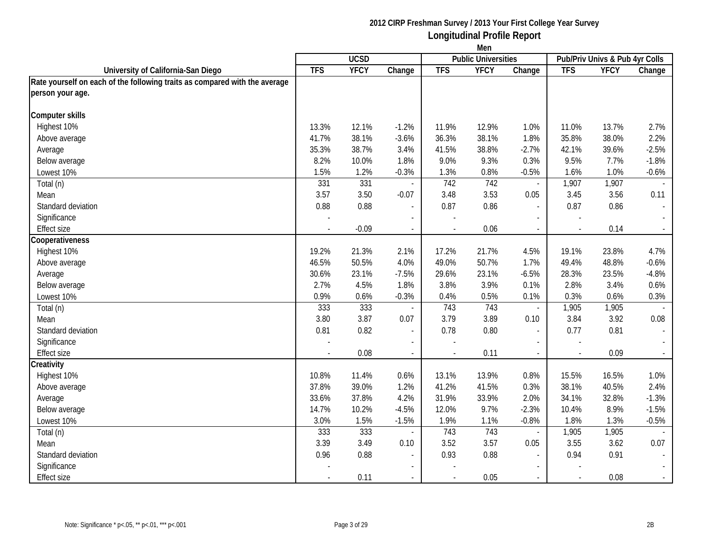|                                                                            | Men        |             |                          |            |                            |                          |                                |             |                             |
|----------------------------------------------------------------------------|------------|-------------|--------------------------|------------|----------------------------|--------------------------|--------------------------------|-------------|-----------------------------|
|                                                                            |            | <b>UCSD</b> |                          |            | <b>Public Universities</b> |                          | Pub/Priv Univs & Pub 4yr Colls |             |                             |
| University of California-San Diego                                         | <b>TFS</b> | <b>YFCY</b> | Change                   | <b>TFS</b> | <b>YFCY</b>                | Change                   | <b>TFS</b>                     | <b>YFCY</b> | Change                      |
| Rate yourself on each of the following traits as compared with the average |            |             |                          |            |                            |                          |                                |             |                             |
| person your age.                                                           |            |             |                          |            |                            |                          |                                |             |                             |
| <b>Computer skills</b>                                                     |            |             |                          |            |                            |                          |                                |             |                             |
| Highest 10%                                                                | 13.3%      | 12.1%       | $-1.2%$                  | 11.9%      | 12.9%                      | 1.0%                     | 11.0%                          | 13.7%       | 2.7%                        |
| Above average                                                              | 41.7%      | 38.1%       | $-3.6%$                  | 36.3%      | 38.1%                      | 1.8%                     | 35.8%                          | 38.0%       | 2.2%                        |
| Average                                                                    | 35.3%      | 38.7%       | 3.4%                     | 41.5%      | 38.8%                      | $-2.7%$                  | 42.1%                          | 39.6%       | $-2.5%$                     |
| Below average                                                              | 8.2%       | 10.0%       | 1.8%                     | 9.0%       | 9.3%                       | 0.3%                     | 9.5%                           | 7.7%        | $-1.8%$                     |
| Lowest 10%                                                                 | 1.5%       | 1.2%        | $-0.3%$                  | 1.3%       | 0.8%                       | $-0.5%$                  | 1.6%                           | 1.0%        | $-0.6%$                     |
| Total (n)                                                                  | 331        | 331         |                          | 742        | 742                        | $\blacksquare$           | 1,907                          | 1,907       |                             |
| Mean                                                                       | 3.57       | 3.50        | $-0.07$                  | 3.48       | 3.53                       | 0.05                     | 3.45                           | 3.56        | 0.11                        |
| Standard deviation                                                         | 0.88       | 0.88        | $\overline{a}$           | 0.87       | 0.86                       | $\overline{\phantom{a}}$ | 0.87                           | 0.86        | $\overline{\phantom{a}}$    |
| Significance                                                               |            |             | $\overline{a}$           |            |                            | $\overline{\phantom{a}}$ |                                |             | $\sim$                      |
| <b>Effect size</b>                                                         |            | $-0.09$     | $\overline{\phantom{a}}$ | $\sim$     | 0.06                       | $\blacksquare$           | $\sim$                         | 0.14        | $\sim$                      |
| Cooperativeness                                                            |            |             |                          |            |                            |                          |                                |             |                             |
| Highest 10%                                                                | 19.2%      | 21.3%       | 2.1%                     | 17.2%      | 21.7%                      | 4.5%                     | 19.1%                          | 23.8%       | 4.7%                        |
| Above average                                                              | 46.5%      | 50.5%       | 4.0%                     | 49.0%      | 50.7%                      | 1.7%                     | 49.4%                          | 48.8%       | $-0.6%$                     |
| Average                                                                    | 30.6%      | 23.1%       | $-7.5%$                  | 29.6%      | 23.1%                      | $-6.5%$                  | 28.3%                          | 23.5%       | $-4.8%$                     |
| Below average                                                              | 2.7%       | 4.5%        | 1.8%                     | 3.8%       | 3.9%                       | 0.1%                     | 2.8%                           | 3.4%        | 0.6%                        |
| Lowest 10%                                                                 | 0.9%       | 0.6%        | $-0.3%$                  | 0.4%       | 0.5%                       | 0.1%                     | 0.3%                           | 0.6%        | 0.3%                        |
| Total (n)                                                                  | 333        | 333         |                          | 743        | 743                        | $\blacksquare$           | 1,905                          | 1,905       |                             |
| Mean                                                                       | 3.80       | 3.87        | 0.07                     | 3.79       | 3.89                       | 0.10                     | 3.84                           | 3.92        | 0.08                        |
| Standard deviation                                                         | 0.81       | 0.82        | $\overline{\phantom{a}}$ | 0.78       | 0.80                       | $\blacksquare$           | 0.77                           | 0.81        | $\mathcal{L}_{\mathcal{A}}$ |
| Significance                                                               |            |             |                          |            |                            |                          |                                |             |                             |
| <b>Effect size</b>                                                         |            | 0.08        |                          |            | 0.11                       | $\overline{a}$           |                                | 0.09        | $\sim$                      |
| Creativity                                                                 |            |             |                          |            |                            |                          |                                |             |                             |
| Highest 10%                                                                | 10.8%      | 11.4%       | 0.6%                     | 13.1%      | 13.9%                      | 0.8%                     | 15.5%                          | 16.5%       | 1.0%                        |
| Above average                                                              | 37.8%      | 39.0%       | 1.2%                     | 41.2%      | 41.5%                      | 0.3%                     | 38.1%                          | 40.5%       | 2.4%                        |
| Average                                                                    | 33.6%      | 37.8%       | 4.2%                     | 31.9%      | 33.9%                      | 2.0%                     | 34.1%                          | 32.8%       | $-1.3%$                     |
| Below average                                                              | 14.7%      | 10.2%       | $-4.5%$                  | 12.0%      | 9.7%                       | $-2.3%$                  | 10.4%                          | 8.9%        | $-1.5%$                     |
| Lowest 10%                                                                 | 3.0%       | 1.5%        | $-1.5%$                  | 1.9%       | 1.1%                       | $-0.8%$                  | 1.8%                           | 1.3%        | $-0.5%$                     |
| Total (n)                                                                  | 333        | 333         |                          | 743        | 743                        | $\overline{\phantom{a}}$ | 1,905                          | 1,905       |                             |
| Mean                                                                       | 3.39       | 3.49        | 0.10                     | 3.52       | 3.57                       | 0.05                     | 3.55                           | 3.62        | 0.07                        |
| Standard deviation                                                         | 0.96       | 0.88        | $\overline{a}$           | 0.93       | 0.88                       | $\overline{\phantom{a}}$ | 0.94                           | 0.91        | $\mathbb{L}$                |
| Significance                                                               |            |             | $\overline{a}$           |            |                            |                          |                                |             |                             |
| <b>Effect size</b>                                                         |            | 0.11        |                          |            | 0.05                       |                          |                                | 0.08        | $\omega_{\rm c}$            |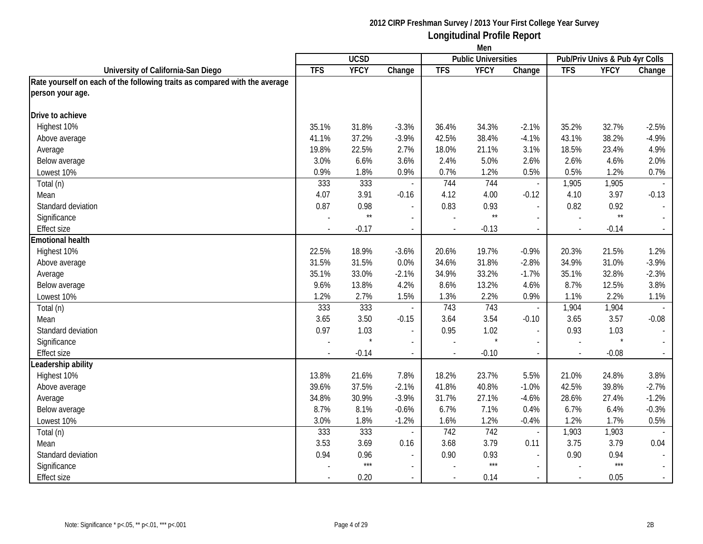|                                                                            | Men        |              |                          |            |                            |                          |                                |              |                             |
|----------------------------------------------------------------------------|------------|--------------|--------------------------|------------|----------------------------|--------------------------|--------------------------------|--------------|-----------------------------|
|                                                                            |            | <b>UCSD</b>  |                          |            | <b>Public Universities</b> |                          | Pub/Priv Univs & Pub 4yr Colls |              |                             |
| University of California-San Diego                                         | <b>TFS</b> | <b>YFCY</b>  | Change                   | <b>TFS</b> | <b>YFCY</b>                | Change                   | <b>TFS</b>                     | <b>YFCY</b>  | Change                      |
| Rate yourself on each of the following traits as compared with the average |            |              |                          |            |                            |                          |                                |              |                             |
| person your age.                                                           |            |              |                          |            |                            |                          |                                |              |                             |
| Drive to achieve                                                           |            |              |                          |            |                            |                          |                                |              |                             |
| Highest 10%                                                                | 35.1%      | 31.8%        | $-3.3%$                  | 36.4%      | 34.3%                      | $-2.1%$                  | 35.2%                          | 32.7%        | $-2.5%$                     |
| Above average                                                              | 41.1%      | 37.2%        | $-3.9%$                  | 42.5%      | 38.4%                      | $-4.1%$                  | 43.1%                          | 38.2%        | $-4.9%$                     |
| Average                                                                    | 19.8%      | 22.5%        | 2.7%                     | 18.0%      | 21.1%                      | 3.1%                     | 18.5%                          | 23.4%        | 4.9%                        |
| Below average                                                              | 3.0%       | 6.6%         | 3.6%                     | 2.4%       | 5.0%                       | 2.6%                     | 2.6%                           | 4.6%         | 2.0%                        |
| Lowest 10%                                                                 | 0.9%       | 1.8%         | 0.9%                     | 0.7%       | 1.2%                       | 0.5%                     | 0.5%                           | 1.2%         | 0.7%                        |
| Total (n)                                                                  | 333        | 333          |                          | 744        | 744                        | $\blacksquare$           | 1,905                          | 1,905        | $\sim$                      |
| Mean                                                                       | 4.07       | 3.91         | $-0.16$                  | 4.12       | 4.00                       | $-0.12$                  | 4.10                           | 3.97         | $-0.13$                     |
| Standard deviation                                                         | 0.87       | 0.98         | $\overline{a}$           | 0.83       | 0.93                       | $\overline{\phantom{a}}$ | 0.82                           | 0.92         | $\overline{\phantom{a}}$    |
| Significance                                                               |            | $\star\star$ | $\overline{a}$           |            | $^{\star\star}$            | $\sim$                   |                                | $\star\star$ | $\mathcal{L}^{\mathcal{A}}$ |
| <b>Effect size</b>                                                         |            | $-0.17$      | $\sim$                   | $\sim$     | $-0.13$                    | $\blacksquare$           | $\sim$                         | $-0.14$      | $\sim$                      |
| <b>Emotional health</b>                                                    |            |              |                          |            |                            |                          |                                |              |                             |
| Highest 10%                                                                | 22.5%      | 18.9%        | $-3.6%$                  | 20.6%      | 19.7%                      | $-0.9%$                  | 20.3%                          | 21.5%        | 1.2%                        |
| Above average                                                              | 31.5%      | 31.5%        | 0.0%                     | 34.6%      | 31.8%                      | $-2.8%$                  | 34.9%                          | 31.0%        | $-3.9%$                     |
| Average                                                                    | 35.1%      | 33.0%        | $-2.1%$                  | 34.9%      | 33.2%                      | $-1.7%$                  | 35.1%                          | 32.8%        | $-2.3%$                     |
| Below average                                                              | 9.6%       | 13.8%        | 4.2%                     | 8.6%       | 13.2%                      | 4.6%                     | 8.7%                           | 12.5%        | 3.8%                        |
| Lowest 10%                                                                 | 1.2%       | 2.7%         | 1.5%                     | 1.3%       | 2.2%                       | 0.9%                     | 1.1%                           | 2.2%         | 1.1%                        |
| Total (n)                                                                  | 333        | 333          |                          | 743        | 743                        | $\blacksquare$           | 1,904                          | 1,904        |                             |
| Mean                                                                       | 3.65       | 3.50         | $-0.15$                  | 3.64       | 3.54                       | $-0.10$                  | 3.65                           | 3.57         | $-0.08$                     |
| Standard deviation                                                         | 0.97       | 1.03         | $\overline{\phantom{a}}$ | 0.95       | 1.02                       | $\blacksquare$           | 0.93                           | 1.03         | $\mathcal{L}_{\mathcal{A}}$ |
| Significance                                                               |            |              | $\overline{a}$           |            | $\star$                    | $\overline{a}$           |                                |              |                             |
| <b>Effect size</b>                                                         |            | $-0.14$      |                          |            | $-0.10$                    | $\overline{\phantom{a}}$ |                                | $-0.08$      | $\sim$                      |
| Leadership ability                                                         |            |              |                          |            |                            |                          |                                |              |                             |
| Highest 10%                                                                | 13.8%      | 21.6%        | 7.8%                     | 18.2%      | 23.7%                      | 5.5%                     | 21.0%                          | 24.8%        | 3.8%                        |
| Above average                                                              | 39.6%      | 37.5%        | $-2.1%$                  | 41.8%      | 40.8%                      | $-1.0%$                  | 42.5%                          | 39.8%        | $-2.7%$                     |
| Average                                                                    | 34.8%      | 30.9%        | $-3.9%$                  | 31.7%      | 27.1%                      | $-4.6%$                  | 28.6%                          | 27.4%        | $-1.2%$                     |
| Below average                                                              | 8.7%       | 8.1%         | $-0.6%$                  | 6.7%       | 7.1%                       | 0.4%                     | 6.7%                           | 6.4%         | $-0.3%$                     |
| Lowest 10%                                                                 | 3.0%       | 1.8%         | $-1.2%$                  | 1.6%       | 1.2%                       | $-0.4%$                  | 1.2%                           | 1.7%         | 0.5%                        |
| Total (n)                                                                  | 333        | 333          |                          | 742        | 742                        | $\overline{\phantom{a}}$ | 1,903                          | 1,903        |                             |
| Mean                                                                       | 3.53       | 3.69         | 0.16                     | 3.68       | 3.79                       | 0.11                     | 3.75                           | 3.79         | 0.04                        |
| Standard deviation                                                         | 0.94       | 0.96         | $\overline{a}$           | 0.90       | 0.93                       | $\overline{a}$           | 0.90                           | 0.94         | $\mathbb{L}^{\mathbb{N}}$   |
| Significance                                                               |            | $***$        | $\overline{\phantom{0}}$ |            | $***$                      | $\overline{a}$           |                                | $***$        |                             |
| <b>Effect size</b>                                                         |            | 0.20         |                          |            | 0.14                       | $\overline{\phantom{a}}$ |                                | 0.05         | $\sim$                      |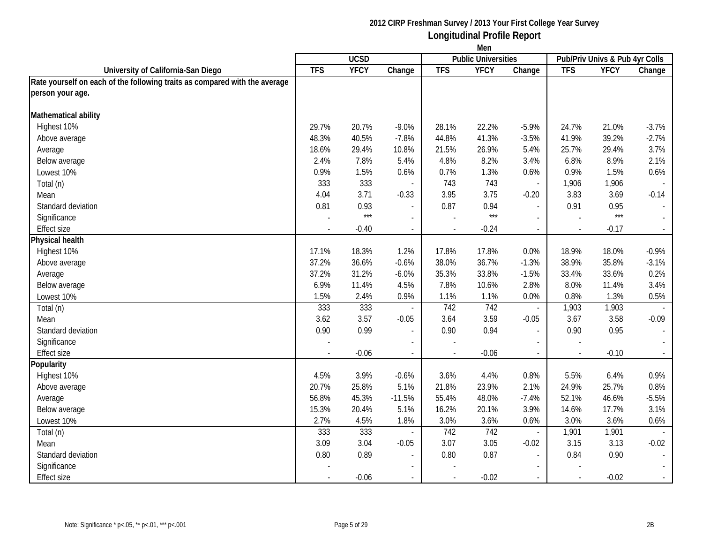|                                                                            | Men            |             |                          |                          |                            |                          |            |                                |                             |
|----------------------------------------------------------------------------|----------------|-------------|--------------------------|--------------------------|----------------------------|--------------------------|------------|--------------------------------|-----------------------------|
|                                                                            |                | <b>UCSD</b> |                          |                          | <b>Public Universities</b> |                          |            | Pub/Priv Univs & Pub 4yr Colls |                             |
| University of California-San Diego                                         | <b>TFS</b>     | <b>YFCY</b> | Change                   | <b>TFS</b>               | <b>YFCY</b>                | Change                   | <b>TFS</b> | <b>YFCY</b>                    | Change                      |
| Rate yourself on each of the following traits as compared with the average |                |             |                          |                          |                            |                          |            |                                |                             |
| person your age.                                                           |                |             |                          |                          |                            |                          |            |                                |                             |
| Mathematical ability                                                       |                |             |                          |                          |                            |                          |            |                                |                             |
| Highest 10%                                                                | 29.7%          | 20.7%       | $-9.0%$                  | 28.1%                    | 22.2%                      | $-5.9%$                  | 24.7%      | 21.0%                          | $-3.7%$                     |
| Above average                                                              | 48.3%          | 40.5%       | $-7.8%$                  | 44.8%                    | 41.3%                      | $-3.5%$                  | 41.9%      | 39.2%                          | $-2.7%$                     |
| Average                                                                    | 18.6%          | 29.4%       | 10.8%                    | 21.5%                    | 26.9%                      | 5.4%                     | 25.7%      | 29.4%                          | 3.7%                        |
| Below average                                                              | 2.4%           | 7.8%        | 5.4%                     | 4.8%                     | 8.2%                       | 3.4%                     | 6.8%       | 8.9%                           | 2.1%                        |
| Lowest 10%                                                                 | 0.9%           | 1.5%        | 0.6%                     | 0.7%                     | 1.3%                       | 0.6%                     | 0.9%       | 1.5%                           | 0.6%                        |
| Total (n)                                                                  | 333            | 333         |                          | 743                      | 743                        | $\overline{\phantom{a}}$ | 1,906      | 1,906                          |                             |
| Mean                                                                       | 4.04           | 3.71        | $-0.33$                  | 3.95                     | 3.75                       | $-0.20$                  | 3.83       | 3.69                           | $-0.14$                     |
| Standard deviation                                                         | 0.81           | 0.93        | $\sim$                   | 0.87                     | 0.94                       | $\overline{\phantom{a}}$ | 0.91       | 0.95                           | $\overline{\phantom{a}}$    |
| Significance                                                               |                | $***$       | $\overline{\phantom{a}}$ |                          | $***$                      | $\overline{a}$           |            | $***$                          | $\mathbb{Z}^{\mathbb{Z}}$   |
| <b>Effect size</b>                                                         | $\overline{a}$ | $-0.40$     | $\blacksquare$           | $\overline{\phantom{a}}$ | $-0.24$                    | $\blacksquare$           | $\sim$     | $-0.17$                        | $\sim$                      |
| Physical health                                                            |                |             |                          |                          |                            |                          |            |                                |                             |
| Highest 10%                                                                | 17.1%          | 18.3%       | 1.2%                     | 17.8%                    | 17.8%                      | 0.0%                     | 18.9%      | 18.0%                          | $-0.9%$                     |
| Above average                                                              | 37.2%          | 36.6%       | $-0.6%$                  | 38.0%                    | 36.7%                      | $-1.3%$                  | 38.9%      | 35.8%                          | $-3.1%$                     |
| Average                                                                    | 37.2%          | 31.2%       | $-6.0%$                  | 35.3%                    | 33.8%                      | $-1.5%$                  | 33.4%      | 33.6%                          | 0.2%                        |
| Below average                                                              | 6.9%           | 11.4%       | 4.5%                     | 7.8%                     | 10.6%                      | 2.8%                     | 8.0%       | 11.4%                          | 3.4%                        |
| Lowest 10%                                                                 | 1.5%           | 2.4%        | 0.9%                     | 1.1%                     | 1.1%                       | 0.0%                     | 0.8%       | 1.3%                           | 0.5%                        |
| Total (n)                                                                  | 333            | 333         |                          | 742                      | 742                        | $\overline{\phantom{a}}$ | 1,903      | 1,903                          |                             |
| Mean                                                                       | 3.62           | 3.57        | $-0.05$                  | 3.64                     | 3.59                       | $-0.05$                  | 3.67       | 3.58                           | $-0.09$                     |
| Standard deviation                                                         | 0.90           | 0.99        | $\overline{\phantom{a}}$ | 0.90                     | 0.94                       | $\blacksquare$           | 0.90       | 0.95                           | $\mathcal{L}_{\mathcal{A}}$ |
| Significance                                                               |                |             |                          |                          |                            |                          |            |                                |                             |
| Effect size                                                                |                | $-0.06$     | $\overline{\phantom{a}}$ | $\overline{a}$           | $-0.06$                    |                          |            | $-0.10$                        | $\mathcal{L}_{\mathcal{A}}$ |
| Popularity                                                                 |                |             |                          |                          |                            |                          |            |                                |                             |
| Highest 10%                                                                | 4.5%           | 3.9%        | $-0.6%$                  | 3.6%                     | 4.4%                       | 0.8%                     | 5.5%       | 6.4%                           | 0.9%                        |
| Above average                                                              | 20.7%          | 25.8%       | 5.1%                     | 21.8%                    | 23.9%                      | 2.1%                     | 24.9%      | 25.7%                          | 0.8%                        |
| Average                                                                    | 56.8%          | 45.3%       | $-11.5%$                 | 55.4%                    | 48.0%                      | $-7.4%$                  | 52.1%      | 46.6%                          | $-5.5%$                     |
| Below average                                                              | 15.3%          | 20.4%       | 5.1%                     | 16.2%                    | 20.1%                      | 3.9%                     | 14.6%      | 17.7%                          | 3.1%                        |
| Lowest 10%                                                                 | 2.7%           | 4.5%        | 1.8%                     | 3.0%                     | 3.6%                       | 0.6%                     | 3.0%       | 3.6%                           | 0.6%                        |
| Total (n)                                                                  | 333            | 333         |                          | 742                      | 742                        | $\overline{\phantom{a}}$ | 1,901      | 1,901                          | $\overline{\phantom{a}}$    |
| Mean                                                                       | 3.09           | 3.04        | $-0.05$                  | 3.07                     | 3.05                       | $-0.02$                  | 3.15       | 3.13                           | $-0.02$                     |
| Standard deviation                                                         | 0.80           | 0.89        | $\sim$                   | 0.80                     | 0.87                       | $\overline{a}$           | 0.84       | 0.90                           | $\sim$                      |
| Significance                                                               |                |             |                          |                          |                            |                          |            |                                |                             |
| <b>Effect size</b>                                                         |                | $-0.06$     |                          |                          | $-0.02$                    |                          |            | $-0.02$                        | $\omega_{\rm c}$            |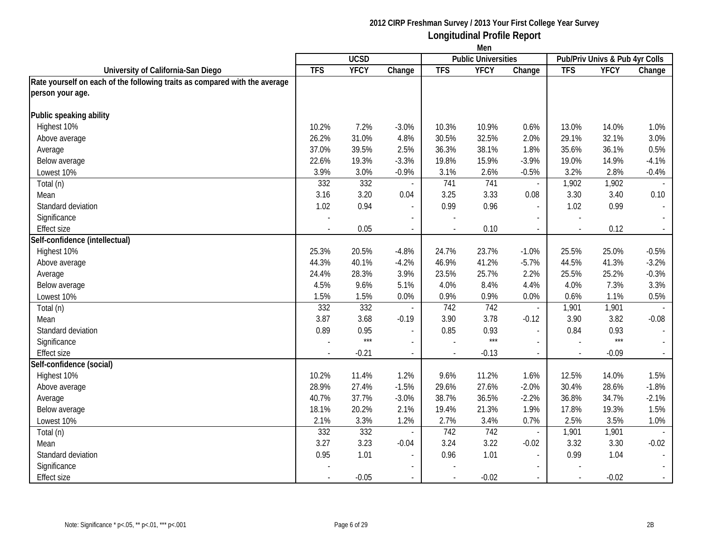|                                                                            | Men                      |             |                          |                |                            |                          |                                |             |                             |
|----------------------------------------------------------------------------|--------------------------|-------------|--------------------------|----------------|----------------------------|--------------------------|--------------------------------|-------------|-----------------------------|
|                                                                            |                          | <b>UCSD</b> |                          |                | <b>Public Universities</b> |                          | Pub/Priv Univs & Pub 4yr Colls |             |                             |
| University of California-San Diego                                         | <b>TFS</b>               | <b>YFCY</b> | Change                   | <b>TFS</b>     | <b>YFCY</b>                | Change                   | <b>TFS</b>                     | <b>YFCY</b> | Change                      |
| Rate yourself on each of the following traits as compared with the average |                          |             |                          |                |                            |                          |                                |             |                             |
| person your age.                                                           |                          |             |                          |                |                            |                          |                                |             |                             |
| Public speaking ability                                                    |                          |             |                          |                |                            |                          |                                |             |                             |
| Highest 10%                                                                | 10.2%                    | 7.2%        | $-3.0%$                  | 10.3%          | 10.9%                      | 0.6%                     | 13.0%                          | 14.0%       | 1.0%                        |
| Above average                                                              | 26.2%                    | 31.0%       | 4.8%                     | 30.5%          | 32.5%                      | 2.0%                     | 29.1%                          | 32.1%       | 3.0%                        |
| Average                                                                    | 37.0%                    | 39.5%       | 2.5%                     | 36.3%          | 38.1%                      | 1.8%                     | 35.6%                          | 36.1%       | 0.5%                        |
| Below average                                                              | 22.6%                    | 19.3%       | $-3.3%$                  | 19.8%          | 15.9%                      | $-3.9%$                  | 19.0%                          | 14.9%       | $-4.1%$                     |
| Lowest 10%                                                                 | 3.9%                     | 3.0%        | $-0.9%$                  | 3.1%           | 2.6%                       | $-0.5%$                  | 3.2%                           | 2.8%        | $-0.4%$                     |
| Total (n)                                                                  | 332                      | 332         |                          | 741            | 741                        | $\overline{\phantom{a}}$ | 1,902                          | 1,902       | $\sim$                      |
| Mean                                                                       | 3.16                     | 3.20        | 0.04                     | 3.25           | 3.33                       | 0.08                     | 3.30                           | 3.40        | 0.10                        |
| Standard deviation                                                         | 1.02                     | 0.94        | $\sim$                   | 0.99           | 0.96                       | $\sim$                   | 1.02                           | 0.99        | $\mathcal{L}_{\mathcal{A}}$ |
| Significance                                                               |                          |             | $\blacksquare$           |                |                            |                          |                                |             | $\sim$                      |
| <b>Effect size</b>                                                         | $\overline{\phantom{a}}$ | 0.05        | $\blacksquare$           | $\blacksquare$ | 0.10                       | $\sim$                   | $\overline{\phantom{a}}$       | 0.12        | $\sim$                      |
| Self-confidence (intellectual)                                             |                          |             |                          |                |                            |                          |                                |             |                             |
| Highest 10%                                                                | 25.3%                    | 20.5%       | $-4.8%$                  | 24.7%          | 23.7%                      | $-1.0%$                  | 25.5%                          | 25.0%       | $-0.5%$                     |
| Above average                                                              | 44.3%                    | 40.1%       | $-4.2%$                  | 46.9%          | 41.2%                      | $-5.7%$                  | 44.5%                          | 41.3%       | $-3.2%$                     |
| Average                                                                    | 24.4%                    | 28.3%       | 3.9%                     | 23.5%          | 25.7%                      | 2.2%                     | 25.5%                          | 25.2%       | $-0.3%$                     |
| Below average                                                              | 4.5%                     | 9.6%        | 5.1%                     | 4.0%           | 8.4%                       | 4.4%                     | 4.0%                           | 7.3%        | 3.3%                        |
| Lowest 10%                                                                 | 1.5%                     | 1.5%        | 0.0%                     | 0.9%           | 0.9%                       | 0.0%                     | 0.6%                           | 1.1%        | 0.5%                        |
| Total (n)                                                                  | 332                      | 332         |                          | 742            | 742                        | $\overline{\phantom{a}}$ | 1,901                          | 1,901       |                             |
| Mean                                                                       | 3.87                     | 3.68        | $-0.19$                  | 3.90           | 3.78                       | $-0.12$                  | 3.90                           | 3.82        | $-0.08$                     |
| Standard deviation                                                         | 0.89                     | 0.95        | $\overline{\phantom{a}}$ | 0.85           | 0.93                       | $\overline{\phantom{a}}$ | 0.84                           | 0.93        | $\overline{\phantom{a}}$    |
| Significance                                                               |                          | $***$       | $\sim$                   |                | ***                        |                          |                                | $***$       |                             |
| <b>Effect size</b>                                                         |                          | $-0.21$     | $\sim$                   | $\overline{a}$ | $-0.13$                    | $\blacksquare$           |                                | $-0.09$     | $\sim$                      |
| Self-confidence (social)                                                   |                          |             |                          |                |                            |                          |                                |             |                             |
| Highest 10%                                                                | 10.2%                    | 11.4%       | 1.2%                     | 9.6%           | 11.2%                      | 1.6%                     | 12.5%                          | 14.0%       | 1.5%                        |
| Above average                                                              | 28.9%                    | 27.4%       | $-1.5%$                  | 29.6%          | 27.6%                      | $-2.0%$                  | 30.4%                          | 28.6%       | $-1.8%$                     |
| Average                                                                    | 40.7%                    | 37.7%       | $-3.0%$                  | 38.7%          | 36.5%                      | $-2.2%$                  | 36.8%                          | 34.7%       | $-2.1%$                     |
| Below average                                                              | 18.1%                    | 20.2%       | 2.1%                     | 19.4%          | 21.3%                      | 1.9%                     | 17.8%                          | 19.3%       | 1.5%                        |
| Lowest 10%                                                                 | 2.1%                     | 3.3%        | 1.2%                     | 2.7%           | 3.4%                       | 0.7%                     | 2.5%                           | 3.5%        | 1.0%                        |
| Total (n)                                                                  | 332                      | 332         | $\sim$                   | 742            | 742                        | $\overline{\phantom{a}}$ | 1,901                          | 1,901       | $\sim$                      |
| Mean                                                                       | 3.27                     | 3.23        | $-0.04$                  | 3.24           | 3.22                       | $-0.02$                  | 3.32                           | 3.30        | $-0.02$                     |
| Standard deviation                                                         | 0.95                     | 1.01        | $\blacksquare$           | 0.96           | 1.01                       | $\overline{a}$           | 0.99                           | 1.04        | $\overline{\phantom{a}}$    |
| Significance                                                               |                          |             |                          |                |                            |                          |                                |             |                             |
| <b>Effect size</b>                                                         |                          | $-0.05$     |                          |                | $-0.02$                    |                          |                                | $-0.02$     | $\mathbb{Z}^{\times}$       |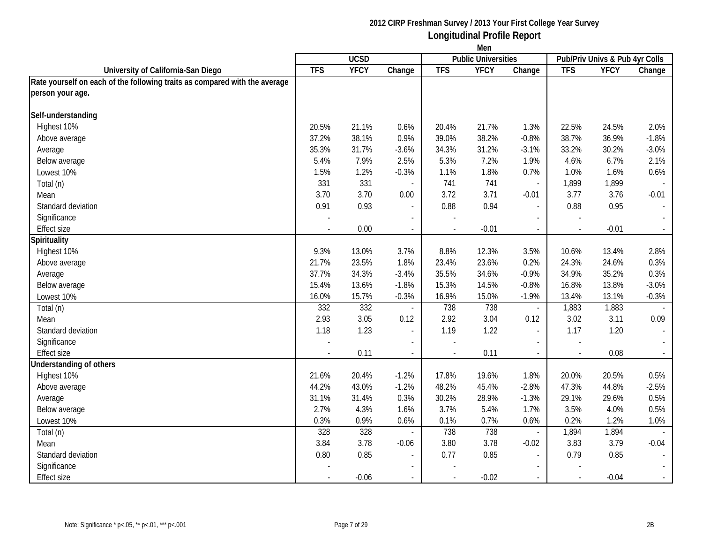|                                                                            | Men        |             |                          |                |                            |                             |                                |             |                          |
|----------------------------------------------------------------------------|------------|-------------|--------------------------|----------------|----------------------------|-----------------------------|--------------------------------|-------------|--------------------------|
|                                                                            |            | <b>UCSD</b> |                          |                | <b>Public Universities</b> |                             | Pub/Priv Univs & Pub 4yr Colls |             |                          |
| University of California-San Diego                                         | <b>TFS</b> | <b>YFCY</b> | Change                   | <b>TFS</b>     | <b>YFCY</b>                | Change                      | <b>TFS</b>                     | <b>YFCY</b> | Change                   |
| Rate yourself on each of the following traits as compared with the average |            |             |                          |                |                            |                             |                                |             |                          |
| person your age.                                                           |            |             |                          |                |                            |                             |                                |             |                          |
| Self-understanding                                                         |            |             |                          |                |                            |                             |                                |             |                          |
| Highest 10%                                                                | 20.5%      | 21.1%       | 0.6%                     | 20.4%          | 21.7%                      | 1.3%                        | 22.5%                          | 24.5%       | 2.0%                     |
| Above average                                                              | 37.2%      | 38.1%       | 0.9%                     | 39.0%          | 38.2%                      | $-0.8%$                     | 38.7%                          | 36.9%       | $-1.8%$                  |
| Average                                                                    | 35.3%      | 31.7%       | $-3.6%$                  | 34.3%          | 31.2%                      | $-3.1%$                     | 33.2%                          | 30.2%       | $-3.0%$                  |
| Below average                                                              | 5.4%       | 7.9%        | 2.5%                     | 5.3%           | 7.2%                       | 1.9%                        | 4.6%                           | 6.7%        | 2.1%                     |
| Lowest 10%                                                                 | 1.5%       | 1.2%        | $-0.3%$                  | 1.1%           | 1.8%                       | 0.7%                        | 1.0%                           | 1.6%        | 0.6%                     |
| Total (n)                                                                  | 331        | 331         |                          | 741            | 741                        | $\blacksquare$              | 1,899                          | 1,899       |                          |
| Mean                                                                       | 3.70       | 3.70        | 0.00                     | 3.72           | 3.71                       | $-0.01$                     | 3.77                           | 3.76        | $-0.01$                  |
| Standard deviation                                                         | 0.91       | 0.93        | $\overline{\phantom{a}}$ | 0.88           | 0.94                       | $\overline{\phantom{a}}$    | 0.88                           | 0.95        | $\blacksquare$           |
| Significance                                                               |            |             | $\blacksquare$           |                |                            | $\sim$                      |                                |             | $\sim$                   |
| <b>Effect size</b>                                                         |            | 0.00        | $\overline{\phantom{a}}$ | $\sim$         | $-0.01$                    | $\blacksquare$              | $\sim$                         | $-0.01$     | $\sim$                   |
| Spirituality                                                               |            |             |                          |                |                            |                             |                                |             |                          |
| Highest 10%                                                                | 9.3%       | 13.0%       | 3.7%                     | 8.8%           | 12.3%                      | 3.5%                        | 10.6%                          | 13.4%       | 2.8%                     |
| Above average                                                              | 21.7%      | 23.5%       | 1.8%                     | 23.4%          | 23.6%                      | 0.2%                        | 24.3%                          | 24.6%       | 0.3%                     |
| Average                                                                    | 37.7%      | 34.3%       | $-3.4%$                  | 35.5%          | 34.6%                      | $-0.9%$                     | 34.9%                          | 35.2%       | 0.3%                     |
| Below average                                                              | 15.4%      | 13.6%       | $-1.8%$                  | 15.3%          | 14.5%                      | $-0.8%$                     | 16.8%                          | 13.8%       | $-3.0%$                  |
| Lowest 10%                                                                 | 16.0%      | 15.7%       | $-0.3%$                  | 16.9%          | 15.0%                      | $-1.9%$                     | 13.4%                          | 13.1%       | $-0.3%$                  |
| Total (n)                                                                  | 332        | 332         |                          | 738            | 738                        | $\overline{\phantom{a}}$    | 1,883                          | 1,883       |                          |
| Mean                                                                       | 2.93       | 3.05        | 0.12                     | 2.92           | 3.04                       | 0.12                        | 3.02                           | 3.11        | 0.09                     |
| Standard deviation                                                         | 1.18       | 1.23        | $\overline{\phantom{a}}$ | 1.19           | 1.22                       | $\overline{\phantom{a}}$    | 1.17                           | 1.20        | $\sim$                   |
| Significance                                                               |            |             |                          |                |                            | $\overline{\phantom{a}}$    |                                |             |                          |
| Effect size                                                                |            | 0.11        | $\overline{\phantom{a}}$ | $\overline{a}$ | 0.11                       | $\mathcal{L}_{\mathcal{A}}$ |                                | 0.08        | $\sim$                   |
| <b>Understanding of others</b>                                             |            |             |                          |                |                            |                             |                                |             |                          |
| Highest 10%                                                                | 21.6%      | 20.4%       | $-1.2%$                  | 17.8%          | 19.6%                      | 1.8%                        | 20.0%                          | 20.5%       | 0.5%                     |
| Above average                                                              | 44.2%      | 43.0%       | $-1.2%$                  | 48.2%          | 45.4%                      | $-2.8%$                     | 47.3%                          | 44.8%       | $-2.5%$                  |
| Average                                                                    | 31.1%      | 31.4%       | 0.3%                     | 30.2%          | 28.9%                      | $-1.3%$                     | 29.1%                          | 29.6%       | 0.5%                     |
| Below average                                                              | 2.7%       | 4.3%        | 1.6%                     | 3.7%           | 5.4%                       | 1.7%                        | 3.5%                           | 4.0%        | 0.5%                     |
| Lowest 10%                                                                 | 0.3%       | 0.9%        | 0.6%                     | 0.1%           | 0.7%                       | 0.6%                        | 0.2%                           | 1.2%        | 1.0%                     |
| Total (n)                                                                  | 328        | 328         |                          | 738            | 738                        | $\overline{\phantom{a}}$    | 1,894                          | 1,894       | $\overline{\phantom{a}}$ |
| Mean                                                                       | 3.84       | 3.78        | $-0.06$                  | 3.80           | 3.78                       | $-0.02$                     | 3.83                           | 3.79        | $-0.04$                  |
| Standard deviation                                                         | 0.80       | 0.85        |                          | 0.77           | 0.85                       | $\overline{a}$              | 0.79                           | 0.85        | $\mathbb{L}$             |
| Significance                                                               |            |             |                          |                |                            |                             |                                |             |                          |
| <b>Effect size</b>                                                         |            | $-0.06$     |                          |                | $-0.02$                    |                             |                                | $-0.04$     | $\omega_{\rm c}$         |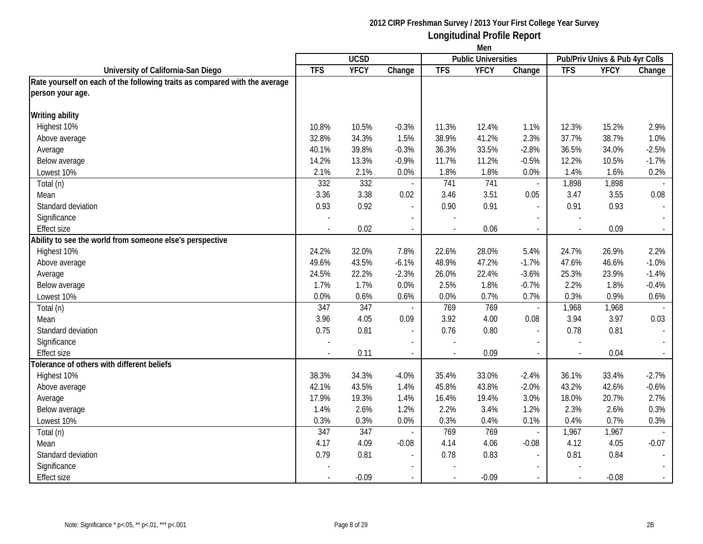|                                                                            | Men                      |                  |                          |                          |                            |                          |                                |             |         |
|----------------------------------------------------------------------------|--------------------------|------------------|--------------------------|--------------------------|----------------------------|--------------------------|--------------------------------|-------------|---------|
|                                                                            |                          | <b>UCSD</b>      |                          |                          | <b>Public Universities</b> |                          | Pub/Priv Univs & Pub 4yr Colls |             |         |
| University of California-San Diego                                         | <b>TFS</b>               | <b>YFCY</b>      | Change                   | <b>TFS</b>               | <b>YFCY</b>                | Change                   | <b>TFS</b>                     | <b>YFCY</b> | Change  |
| Rate yourself on each of the following traits as compared with the average |                          |                  |                          |                          |                            |                          |                                |             |         |
| person your age.                                                           |                          |                  |                          |                          |                            |                          |                                |             |         |
| <b>Writing ability</b>                                                     |                          |                  |                          |                          |                            |                          |                                |             |         |
| Highest 10%                                                                | 10.8%                    | 10.5%            | $-0.3%$                  | 11.3%                    | 12.4%                      | 1.1%                     | 12.3%                          | 15.2%       | 2.9%    |
| Above average                                                              | 32.8%                    | 34.3%            | 1.5%                     | 38.9%                    | 41.2%                      | 2.3%                     | 37.7%                          | 38.7%       | 1.0%    |
| Average                                                                    | 40.1%                    | 39.8%            | $-0.3%$                  | 36.3%                    | 33.5%                      | $-2.8%$                  | 36.5%                          | 34.0%       | $-2.5%$ |
| Below average                                                              | 14.2%                    | 13.3%            | $-0.9%$                  | 11.7%                    | 11.2%                      | $-0.5%$                  | 12.2%                          | 10.5%       | $-1.7%$ |
| Lowest 10%                                                                 | 2.1%                     | 2.1%             | 0.0%                     | 1.8%                     | 1.8%                       | 0.0%                     | 1.4%                           | 1.6%        | 0.2%    |
| Total (n)                                                                  | 332                      | 332              |                          | 741                      | 741                        | $\overline{\phantom{a}}$ | 1,898                          | 1,898       |         |
| Mean                                                                       | 3.36                     | 3.38             | 0.02                     | 3.46                     | 3.51                       | 0.05                     | 3.47                           | 3.55        | 0.08    |
| Standard deviation                                                         | 0.93                     | 0.92             | $\overline{a}$           | 0.90                     | 0.91                       | $\overline{\phantom{a}}$ | 0.91                           | 0.93        |         |
| Significance                                                               |                          |                  | $\overline{\phantom{a}}$ |                          |                            | $\overline{\phantom{a}}$ |                                |             |         |
| <b>Effect size</b>                                                         | $\overline{\phantom{a}}$ | 0.02             | $\blacksquare$           | $\overline{\phantom{a}}$ | 0.06                       | $\sim$                   | $\overline{\phantom{a}}$       | 0.09        | $\sim$  |
| Ability to see the world from someone else's perspective                   |                          |                  |                          |                          |                            |                          |                                |             |         |
| Highest 10%                                                                | 24.2%                    | 32.0%            | 7.8%                     | 22.6%                    | 28.0%                      | 5.4%                     | 24.7%                          | 26.9%       | 2.2%    |
| Above average                                                              | 49.6%                    | 43.5%            | $-6.1%$                  | 48.9%                    | 47.2%                      | $-1.7%$                  | 47.6%                          | 46.6%       | $-1.0%$ |
| Average                                                                    | 24.5%                    | 22.2%            | $-2.3%$                  | 26.0%                    | 22.4%                      | $-3.6%$                  | 25.3%                          | 23.9%       | $-1.4%$ |
| Below average                                                              | 1.7%                     | 1.7%             | 0.0%                     | 2.5%                     | 1.8%                       | $-0.7%$                  | 2.2%                           | 1.8%        | $-0.4%$ |
| Lowest 10%                                                                 | 0.0%                     | 0.6%             | 0.6%                     | 0.0%                     | 0.7%                       | 0.7%                     | 0.3%                           | 0.9%        | 0.6%    |
| Total (n)                                                                  | 347                      | $\overline{347}$ |                          | 769                      | 769                        | $\overline{\phantom{a}}$ | 1,968                          | 1,968       |         |
| Mean                                                                       | 3.96                     | 4.05             | 0.09                     | 3.92                     | 4.00                       | 0.08                     | 3.94                           | 3.97        | 0.03    |
| Standard deviation                                                         | 0.75                     | 0.81             | $\overline{\phantom{a}}$ | 0.76                     | 0.80                       | $\blacksquare$           | 0.78                           | 0.81        |         |
| Significance                                                               |                          |                  |                          |                          |                            |                          |                                |             |         |
| <b>Effect size</b>                                                         |                          | 0.11             |                          |                          | 0.09                       | $\overline{\phantom{a}}$ |                                | 0.04        |         |
| Tolerance of others with different beliefs                                 |                          |                  |                          |                          |                            |                          |                                |             |         |
| Highest 10%                                                                | 38.3%                    | 34.3%            | $-4.0%$                  | 35.4%                    | 33.0%                      | $-2.4%$                  | 36.1%                          | 33.4%       | $-2.7%$ |
| Above average                                                              | 42.1%                    | 43.5%            | 1.4%                     | 45.8%                    | 43.8%                      | $-2.0%$                  | 43.2%                          | 42.6%       | $-0.6%$ |
| Average                                                                    | 17.9%                    | 19.3%            | 1.4%                     | 16.4%                    | 19.4%                      | 3.0%                     | 18.0%                          | 20.7%       | 2.7%    |
| Below average                                                              | 1.4%                     | 2.6%             | 1.2%                     | 2.2%                     | 3.4%                       | 1.2%                     | 2.3%                           | 2.6%        | 0.3%    |
| Lowest 10%                                                                 | 0.3%                     | 0.3%             | 0.0%                     | 0.3%                     | 0.4%                       | 0.1%                     | 0.4%                           | 0.7%        | 0.3%    |
| Total (n)                                                                  | 347                      | 347              |                          | 769                      | 769                        | $\overline{\phantom{a}}$ | 1,967                          | 1,967       |         |
| Mean                                                                       | 4.17                     | 4.09             | $-0.08$                  | 4.14                     | 4.06                       | $-0.08$                  | 4.12                           | 4.05        | $-0.07$ |
| Standard deviation                                                         | 0.79                     | 0.81             |                          | 0.78                     | 0.83                       | $\overline{\phantom{a}}$ | 0.81                           | 0.84        |         |
| Significance                                                               |                          |                  |                          |                          |                            |                          |                                |             |         |
| <b>Effect size</b>                                                         |                          | $-0.09$          |                          |                          | $-0.09$                    |                          |                                | $-0.08$     |         |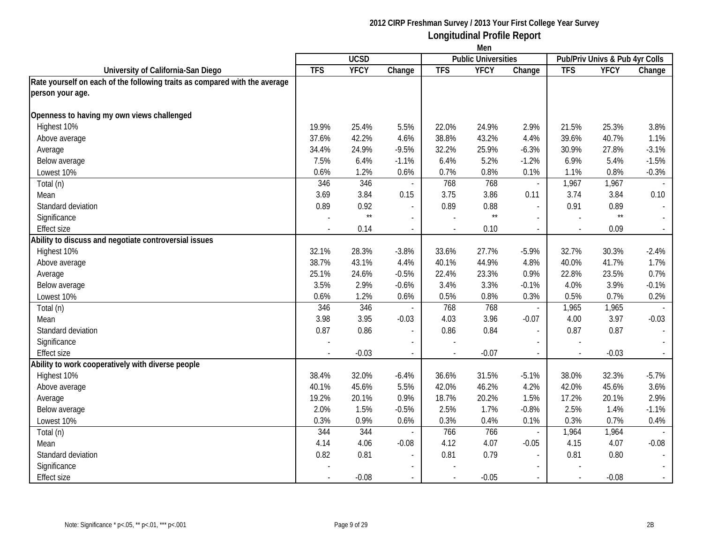|                                                                            | Men        |              |                          |            |                            |                          |            |                                |                             |
|----------------------------------------------------------------------------|------------|--------------|--------------------------|------------|----------------------------|--------------------------|------------|--------------------------------|-----------------------------|
|                                                                            |            | <b>UCSD</b>  |                          |            | <b>Public Universities</b> |                          |            | Pub/Priv Univs & Pub 4yr Colls |                             |
| University of California-San Diego                                         | <b>TFS</b> | <b>YFCY</b>  | Change                   | <b>TFS</b> | <b>YFCY</b>                | Change                   | <b>TFS</b> | <b>YFCY</b>                    | Change                      |
| Rate yourself on each of the following traits as compared with the average |            |              |                          |            |                            |                          |            |                                |                             |
| person your age.                                                           |            |              |                          |            |                            |                          |            |                                |                             |
| Openness to having my own views challenged                                 |            |              |                          |            |                            |                          |            |                                |                             |
| Highest 10%                                                                | 19.9%      | 25.4%        | 5.5%                     | 22.0%      | 24.9%                      | 2.9%                     | 21.5%      | 25.3%                          | 3.8%                        |
| Above average                                                              | 37.6%      | 42.2%        | 4.6%                     | 38.8%      | 43.2%                      | 4.4%                     | 39.6%      | 40.7%                          | 1.1%                        |
| Average                                                                    | 34.4%      | 24.9%        | $-9.5%$                  | 32.2%      | 25.9%                      | $-6.3%$                  | 30.9%      | 27.8%                          | $-3.1%$                     |
| Below average                                                              | 7.5%       | 6.4%         | $-1.1%$                  | 6.4%       | 5.2%                       | $-1.2%$                  | 6.9%       | 5.4%                           | $-1.5%$                     |
| Lowest 10%                                                                 | 0.6%       | 1.2%         | 0.6%                     | 0.7%       | 0.8%                       | 0.1%                     | 1.1%       | 0.8%                           | $-0.3%$                     |
| Total (n)                                                                  | 346        | 346          |                          | 768        | 768                        | $\mathbb{Z}^2$           | 1,967      | 1,967                          |                             |
| Mean                                                                       | 3.69       | 3.84         | 0.15                     | 3.75       | 3.86                       | 0.11                     | 3.74       | 3.84                           | 0.10                        |
| Standard deviation                                                         | 0.89       | 0.92         | $\sim$                   | 0.89       | 0.88                       | $\overline{\phantom{a}}$ | 0.91       | 0.89                           | $\overline{\phantom{a}}$    |
| Significance                                                               |            | $\star\star$ | $\overline{\phantom{a}}$ |            | $\star\star$               | $\overline{a}$           |            | $\star\star$                   | $\sim$                      |
| <b>Effect size</b>                                                         |            | 0.14         | $\overline{\phantom{a}}$ | $\sim$     | 0.10                       | $\sim$                   |            | 0.09                           | $\sim$                      |
| Ability to discuss and negotiate controversial issues                      |            |              |                          |            |                            |                          |            |                                |                             |
| Highest 10%                                                                | 32.1%      | 28.3%        | $-3.8%$                  | 33.6%      | 27.7%                      | $-5.9%$                  | 32.7%      | 30.3%                          | $-2.4%$                     |
| Above average                                                              | 38.7%      | 43.1%        | 4.4%                     | 40.1%      | 44.9%                      | 4.8%                     | 40.0%      | 41.7%                          | 1.7%                        |
| Average                                                                    | 25.1%      | 24.6%        | $-0.5%$                  | 22.4%      | 23.3%                      | 0.9%                     | 22.8%      | 23.5%                          | 0.7%                        |
| Below average                                                              | 3.5%       | 2.9%         | $-0.6%$                  | 3.4%       | 3.3%                       | $-0.1%$                  | 4.0%       | 3.9%                           | $-0.1%$                     |
| Lowest 10%                                                                 | 0.6%       | 1.2%         | 0.6%                     | 0.5%       | 0.8%                       | 0.3%                     | 0.5%       | 0.7%                           | 0.2%                        |
| Total (n)                                                                  | 346        | 346          |                          | 768        | 768                        | $\overline{\phantom{a}}$ | 1,965      | 1,965                          |                             |
| Mean                                                                       | 3.98       | 3.95         | $-0.03$                  | 4.03       | 3.96                       | $-0.07$                  | 4.00       | 3.97                           | $-0.03$                     |
| Standard deviation                                                         | 0.87       | 0.86         | $\overline{\phantom{a}}$ | 0.86       | 0.84                       | $\blacksquare$           | 0.87       | 0.87                           | $\mathbb{Z}^{\mathbb{Z}}$   |
| Significance                                                               |            |              |                          |            |                            |                          |            |                                |                             |
| <b>Effect size</b>                                                         |            | $-0.03$      |                          |            | $-0.07$                    |                          |            | $-0.03$                        | $\mathcal{L}_{\mathcal{A}}$ |
| Ability to work cooperatively with diverse people                          |            |              |                          |            |                            |                          |            |                                |                             |
| Highest 10%                                                                | 38.4%      | 32.0%        | $-6.4%$                  | 36.6%      | 31.5%                      | $-5.1%$                  | 38.0%      | 32.3%                          | $-5.7%$                     |
| Above average                                                              | 40.1%      | 45.6%        | 5.5%                     | 42.0%      | 46.2%                      | 4.2%                     | 42.0%      | 45.6%                          | 3.6%                        |
| Average                                                                    | 19.2%      | 20.1%        | 0.9%                     | 18.7%      | 20.2%                      | 1.5%                     | 17.2%      | 20.1%                          | 2.9%                        |
| Below average                                                              | 2.0%       | 1.5%         | $-0.5%$                  | 2.5%       | 1.7%                       | $-0.8%$                  | 2.5%       | 1.4%                           | $-1.1%$                     |
| Lowest 10%                                                                 | 0.3%       | 0.9%         | 0.6%                     | 0.3%       | 0.4%                       | 0.1%                     | 0.3%       | 0.7%                           | 0.4%                        |
| Total (n)                                                                  | 344        | 344          |                          | 766        | 766                        | $\overline{\phantom{a}}$ | 1,964      | 1,964                          |                             |
| Mean                                                                       | 4.14       | 4.06         | $-0.08$                  | 4.12       | 4.07                       | $-0.05$                  | 4.15       | 4.07                           | $-0.08$                     |
| Standard deviation                                                         | 0.82       | 0.81         | $\sim$                   | 0.81       | 0.79                       |                          | 0.81       | 0.80                           | $\sim$                      |
| Significance                                                               |            |              |                          |            |                            |                          |            |                                |                             |
| <b>Effect size</b>                                                         |            | $-0.08$      |                          |            | $-0.05$                    |                          |            | $-0.08$                        | $\omega_{\rm c}$            |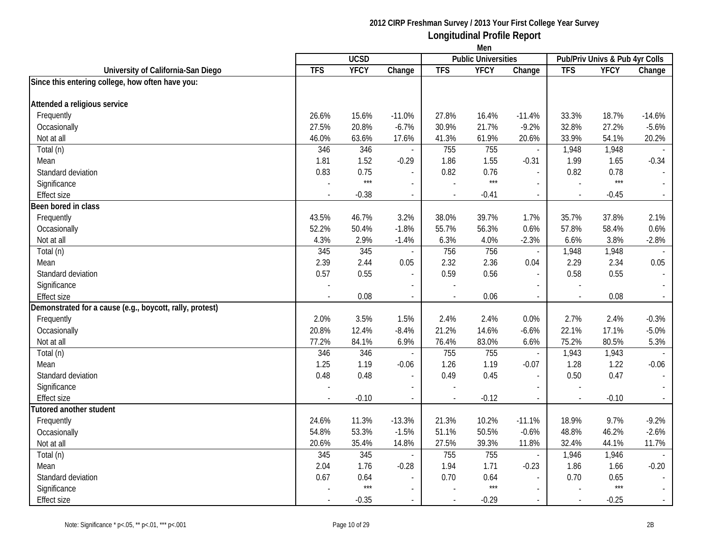| <b>Public Universities</b><br>Pub/Priv Univs & Pub 4yr Colls<br><b>YFCY</b><br><b>TFS</b><br><b>TFS</b><br>YFCY<br><b>TFS</b><br><b>YFCY</b><br>Change<br>University of California-San Diego<br>Change<br>Change<br>Since this entering college, how often have you:<br>Attended a religious service<br>Frequently<br>26.6%<br>15.6%<br>$-11.0%$<br>27.8%<br>16.4%<br>33.3%<br>18.7%<br>$-14.6%$<br>$-11.4%$<br>Occasionally<br>27.5%<br>20.8%<br>$-6.7%$<br>30.9%<br>21.7%<br>$-9.2%$<br>32.8%<br>27.2%<br>$-5.6%$<br>46.0%<br>17.6%<br>61.9%<br>20.6%<br>33.9%<br>54.1%<br>Not at all<br>63.6%<br>41.3%<br>20.2%<br>346<br>346<br>755<br>755<br>1,948<br>1,948<br>Total (n)<br>$\overline{\phantom{a}}$<br>$\sim$<br>1.52<br>1.55<br>1.99<br>1.81<br>1.86<br>1.65<br>$-0.34$<br>$-0.29$<br>$-0.31$<br>Mean<br>0.75<br>0.83<br>0.82<br>0.76<br>0.82<br>0.78<br>Standard deviation<br>$\overline{a}$<br>$***$<br>$***$<br>$***$<br>Significance<br>$\overline{\phantom{a}}$<br>$\overline{\phantom{a}}$<br><b>Effect size</b><br>$-0.38$<br>$-0.41$<br>$-0.45$<br>$\sim$<br>$\overline{\phantom{a}}$<br>$\blacksquare$<br>Been bored in class<br>46.7%<br>3.2%<br>39.7%<br>35.7%<br>37.8%<br>Frequently<br>43.5%<br>38.0%<br>1.7%<br>2.1%<br>$-1.8%$<br>56.3%<br>57.8%<br>0.6%<br>Occasionally<br>52.2%<br>50.4%<br>55.7%<br>0.6%<br>58.4%<br>2.9%<br>4.0%<br>3.8%<br>4.3%<br>$-1.4%$<br>6.3%<br>$-2.3%$<br>6.6%<br>$-2.8%$<br>Not at all<br>Total (n)<br>345<br>345<br>756<br>756<br>1,948<br>1,948<br>$\overline{\phantom{a}}$<br>$\overline{a}$<br>2.29<br>Mean<br>2.39<br>2.44<br>2.32<br>2.36<br>2.34<br>0.05<br>0.05<br>0.04<br>0.57<br>0.55<br>0.59<br>0.58<br>0.55<br>Standard deviation<br>0.56<br>$\blacksquare$<br>$\overline{\phantom{a}}$<br>Significance<br>0.08<br>0.06<br>0.08<br>Effect size<br>$\sim$<br>$\blacksquare$<br>2.0%<br>3.5%<br>1.5%<br>2.4%<br>2.4%<br>0.0%<br>2.7%<br>2.4%<br>$-0.3%$<br>Frequently<br>22.1%<br>Occasionally<br>20.8%<br>12.4%<br>$-8.4%$<br>21.2%<br>14.6%<br>17.1%<br>$-5.0%$<br>$-6.6%$<br>77.2%<br>84.1%<br>6.9%<br>83.0%<br>75.2%<br>80.5%<br>5.3%<br>Not at all<br>76.4%<br>6.6%<br>346<br>755<br>755<br>Total (n)<br>346<br>1,943<br>1,943<br>$\overline{\phantom{a}}$<br>$\overline{\phantom{a}}$<br>1.25<br>1.19<br>1.26<br>1.19<br>1.28<br>1.22<br>Mean<br>$-0.06$<br>$-0.07$<br>$-0.06$ |                                                          | Men  |             |                |      |      |                |      |      |                |
|---------------------------------------------------------------------------------------------------------------------------------------------------------------------------------------------------------------------------------------------------------------------------------------------------------------------------------------------------------------------------------------------------------------------------------------------------------------------------------------------------------------------------------------------------------------------------------------------------------------------------------------------------------------------------------------------------------------------------------------------------------------------------------------------------------------------------------------------------------------------------------------------------------------------------------------------------------------------------------------------------------------------------------------------------------------------------------------------------------------------------------------------------------------------------------------------------------------------------------------------------------------------------------------------------------------------------------------------------------------------------------------------------------------------------------------------------------------------------------------------------------------------------------------------------------------------------------------------------------------------------------------------------------------------------------------------------------------------------------------------------------------------------------------------------------------------------------------------------------------------------------------------------------------------------------------------------------------------------------------------------------------------------------------------------------------------------------------------------------------------------------------------------------------------------------------------------------------------------------------------------------------------------------------------------------------------------------------------------|----------------------------------------------------------|------|-------------|----------------|------|------|----------------|------|------|----------------|
|                                                                                                                                                                                                                                                                                                                                                                                                                                                                                                                                                                                                                                                                                                                                                                                                                                                                                                                                                                                                                                                                                                                                                                                                                                                                                                                                                                                                                                                                                                                                                                                                                                                                                                                                                                                                                                                                                                                                                                                                                                                                                                                                                                                                                                                                                                                                                   |                                                          |      | <b>UCSD</b> |                |      |      |                |      |      |                |
|                                                                                                                                                                                                                                                                                                                                                                                                                                                                                                                                                                                                                                                                                                                                                                                                                                                                                                                                                                                                                                                                                                                                                                                                                                                                                                                                                                                                                                                                                                                                                                                                                                                                                                                                                                                                                                                                                                                                                                                                                                                                                                                                                                                                                                                                                                                                                   |                                                          |      |             |                |      |      |                |      |      |                |
|                                                                                                                                                                                                                                                                                                                                                                                                                                                                                                                                                                                                                                                                                                                                                                                                                                                                                                                                                                                                                                                                                                                                                                                                                                                                                                                                                                                                                                                                                                                                                                                                                                                                                                                                                                                                                                                                                                                                                                                                                                                                                                                                                                                                                                                                                                                                                   |                                                          |      |             |                |      |      |                |      |      |                |
|                                                                                                                                                                                                                                                                                                                                                                                                                                                                                                                                                                                                                                                                                                                                                                                                                                                                                                                                                                                                                                                                                                                                                                                                                                                                                                                                                                                                                                                                                                                                                                                                                                                                                                                                                                                                                                                                                                                                                                                                                                                                                                                                                                                                                                                                                                                                                   |                                                          |      |             |                |      |      |                |      |      |                |
|                                                                                                                                                                                                                                                                                                                                                                                                                                                                                                                                                                                                                                                                                                                                                                                                                                                                                                                                                                                                                                                                                                                                                                                                                                                                                                                                                                                                                                                                                                                                                                                                                                                                                                                                                                                                                                                                                                                                                                                                                                                                                                                                                                                                                                                                                                                                                   |                                                          |      |             |                |      |      |                |      |      |                |
|                                                                                                                                                                                                                                                                                                                                                                                                                                                                                                                                                                                                                                                                                                                                                                                                                                                                                                                                                                                                                                                                                                                                                                                                                                                                                                                                                                                                                                                                                                                                                                                                                                                                                                                                                                                                                                                                                                                                                                                                                                                                                                                                                                                                                                                                                                                                                   |                                                          |      |             |                |      |      |                |      |      |                |
|                                                                                                                                                                                                                                                                                                                                                                                                                                                                                                                                                                                                                                                                                                                                                                                                                                                                                                                                                                                                                                                                                                                                                                                                                                                                                                                                                                                                                                                                                                                                                                                                                                                                                                                                                                                                                                                                                                                                                                                                                                                                                                                                                                                                                                                                                                                                                   |                                                          |      |             |                |      |      |                |      |      |                |
|                                                                                                                                                                                                                                                                                                                                                                                                                                                                                                                                                                                                                                                                                                                                                                                                                                                                                                                                                                                                                                                                                                                                                                                                                                                                                                                                                                                                                                                                                                                                                                                                                                                                                                                                                                                                                                                                                                                                                                                                                                                                                                                                                                                                                                                                                                                                                   |                                                          |      |             |                |      |      |                |      |      |                |
|                                                                                                                                                                                                                                                                                                                                                                                                                                                                                                                                                                                                                                                                                                                                                                                                                                                                                                                                                                                                                                                                                                                                                                                                                                                                                                                                                                                                                                                                                                                                                                                                                                                                                                                                                                                                                                                                                                                                                                                                                                                                                                                                                                                                                                                                                                                                                   |                                                          |      |             |                |      |      |                |      |      |                |
|                                                                                                                                                                                                                                                                                                                                                                                                                                                                                                                                                                                                                                                                                                                                                                                                                                                                                                                                                                                                                                                                                                                                                                                                                                                                                                                                                                                                                                                                                                                                                                                                                                                                                                                                                                                                                                                                                                                                                                                                                                                                                                                                                                                                                                                                                                                                                   |                                                          |      |             |                |      |      |                |      |      |                |
|                                                                                                                                                                                                                                                                                                                                                                                                                                                                                                                                                                                                                                                                                                                                                                                                                                                                                                                                                                                                                                                                                                                                                                                                                                                                                                                                                                                                                                                                                                                                                                                                                                                                                                                                                                                                                                                                                                                                                                                                                                                                                                                                                                                                                                                                                                                                                   |                                                          |      |             |                |      |      |                |      |      |                |
|                                                                                                                                                                                                                                                                                                                                                                                                                                                                                                                                                                                                                                                                                                                                                                                                                                                                                                                                                                                                                                                                                                                                                                                                                                                                                                                                                                                                                                                                                                                                                                                                                                                                                                                                                                                                                                                                                                                                                                                                                                                                                                                                                                                                                                                                                                                                                   |                                                          |      |             |                |      |      |                |      |      |                |
|                                                                                                                                                                                                                                                                                                                                                                                                                                                                                                                                                                                                                                                                                                                                                                                                                                                                                                                                                                                                                                                                                                                                                                                                                                                                                                                                                                                                                                                                                                                                                                                                                                                                                                                                                                                                                                                                                                                                                                                                                                                                                                                                                                                                                                                                                                                                                   |                                                          |      |             |                |      |      |                |      |      |                |
|                                                                                                                                                                                                                                                                                                                                                                                                                                                                                                                                                                                                                                                                                                                                                                                                                                                                                                                                                                                                                                                                                                                                                                                                                                                                                                                                                                                                                                                                                                                                                                                                                                                                                                                                                                                                                                                                                                                                                                                                                                                                                                                                                                                                                                                                                                                                                   |                                                          |      |             |                |      |      |                |      |      |                |
|                                                                                                                                                                                                                                                                                                                                                                                                                                                                                                                                                                                                                                                                                                                                                                                                                                                                                                                                                                                                                                                                                                                                                                                                                                                                                                                                                                                                                                                                                                                                                                                                                                                                                                                                                                                                                                                                                                                                                                                                                                                                                                                                                                                                                                                                                                                                                   |                                                          |      |             |                |      |      |                |      |      |                |
|                                                                                                                                                                                                                                                                                                                                                                                                                                                                                                                                                                                                                                                                                                                                                                                                                                                                                                                                                                                                                                                                                                                                                                                                                                                                                                                                                                                                                                                                                                                                                                                                                                                                                                                                                                                                                                                                                                                                                                                                                                                                                                                                                                                                                                                                                                                                                   |                                                          |      |             |                |      |      |                |      |      |                |
|                                                                                                                                                                                                                                                                                                                                                                                                                                                                                                                                                                                                                                                                                                                                                                                                                                                                                                                                                                                                                                                                                                                                                                                                                                                                                                                                                                                                                                                                                                                                                                                                                                                                                                                                                                                                                                                                                                                                                                                                                                                                                                                                                                                                                                                                                                                                                   |                                                          |      |             |                |      |      |                |      |      |                |
|                                                                                                                                                                                                                                                                                                                                                                                                                                                                                                                                                                                                                                                                                                                                                                                                                                                                                                                                                                                                                                                                                                                                                                                                                                                                                                                                                                                                                                                                                                                                                                                                                                                                                                                                                                                                                                                                                                                                                                                                                                                                                                                                                                                                                                                                                                                                                   |                                                          |      |             |                |      |      |                |      |      |                |
|                                                                                                                                                                                                                                                                                                                                                                                                                                                                                                                                                                                                                                                                                                                                                                                                                                                                                                                                                                                                                                                                                                                                                                                                                                                                                                                                                                                                                                                                                                                                                                                                                                                                                                                                                                                                                                                                                                                                                                                                                                                                                                                                                                                                                                                                                                                                                   |                                                          |      |             |                |      |      |                |      |      |                |
|                                                                                                                                                                                                                                                                                                                                                                                                                                                                                                                                                                                                                                                                                                                                                                                                                                                                                                                                                                                                                                                                                                                                                                                                                                                                                                                                                                                                                                                                                                                                                                                                                                                                                                                                                                                                                                                                                                                                                                                                                                                                                                                                                                                                                                                                                                                                                   |                                                          |      |             |                |      |      |                |      |      |                |
|                                                                                                                                                                                                                                                                                                                                                                                                                                                                                                                                                                                                                                                                                                                                                                                                                                                                                                                                                                                                                                                                                                                                                                                                                                                                                                                                                                                                                                                                                                                                                                                                                                                                                                                                                                                                                                                                                                                                                                                                                                                                                                                                                                                                                                                                                                                                                   |                                                          |      |             |                |      |      |                |      |      |                |
|                                                                                                                                                                                                                                                                                                                                                                                                                                                                                                                                                                                                                                                                                                                                                                                                                                                                                                                                                                                                                                                                                                                                                                                                                                                                                                                                                                                                                                                                                                                                                                                                                                                                                                                                                                                                                                                                                                                                                                                                                                                                                                                                                                                                                                                                                                                                                   |                                                          |      |             |                |      |      |                |      |      |                |
|                                                                                                                                                                                                                                                                                                                                                                                                                                                                                                                                                                                                                                                                                                                                                                                                                                                                                                                                                                                                                                                                                                                                                                                                                                                                                                                                                                                                                                                                                                                                                                                                                                                                                                                                                                                                                                                                                                                                                                                                                                                                                                                                                                                                                                                                                                                                                   | Demonstrated for a cause (e.g., boycott, rally, protest) |      |             |                |      |      |                |      |      |                |
|                                                                                                                                                                                                                                                                                                                                                                                                                                                                                                                                                                                                                                                                                                                                                                                                                                                                                                                                                                                                                                                                                                                                                                                                                                                                                                                                                                                                                                                                                                                                                                                                                                                                                                                                                                                                                                                                                                                                                                                                                                                                                                                                                                                                                                                                                                                                                   |                                                          |      |             |                |      |      |                |      |      |                |
|                                                                                                                                                                                                                                                                                                                                                                                                                                                                                                                                                                                                                                                                                                                                                                                                                                                                                                                                                                                                                                                                                                                                                                                                                                                                                                                                                                                                                                                                                                                                                                                                                                                                                                                                                                                                                                                                                                                                                                                                                                                                                                                                                                                                                                                                                                                                                   |                                                          |      |             |                |      |      |                |      |      |                |
|                                                                                                                                                                                                                                                                                                                                                                                                                                                                                                                                                                                                                                                                                                                                                                                                                                                                                                                                                                                                                                                                                                                                                                                                                                                                                                                                                                                                                                                                                                                                                                                                                                                                                                                                                                                                                                                                                                                                                                                                                                                                                                                                                                                                                                                                                                                                                   |                                                          |      |             |                |      |      |                |      |      |                |
|                                                                                                                                                                                                                                                                                                                                                                                                                                                                                                                                                                                                                                                                                                                                                                                                                                                                                                                                                                                                                                                                                                                                                                                                                                                                                                                                                                                                                                                                                                                                                                                                                                                                                                                                                                                                                                                                                                                                                                                                                                                                                                                                                                                                                                                                                                                                                   |                                                          |      |             |                |      |      |                |      |      |                |
|                                                                                                                                                                                                                                                                                                                                                                                                                                                                                                                                                                                                                                                                                                                                                                                                                                                                                                                                                                                                                                                                                                                                                                                                                                                                                                                                                                                                                                                                                                                                                                                                                                                                                                                                                                                                                                                                                                                                                                                                                                                                                                                                                                                                                                                                                                                                                   |                                                          |      |             |                |      |      |                |      |      |                |
|                                                                                                                                                                                                                                                                                                                                                                                                                                                                                                                                                                                                                                                                                                                                                                                                                                                                                                                                                                                                                                                                                                                                                                                                                                                                                                                                                                                                                                                                                                                                                                                                                                                                                                                                                                                                                                                                                                                                                                                                                                                                                                                                                                                                                                                                                                                                                   | Standard deviation                                       | 0.48 | 0.48        | $\overline{a}$ | 0.49 | 0.45 | $\overline{a}$ | 0.50 | 0.47 | $\mathbb{L}^2$ |
| Significance<br>$\overline{a}$<br>$\sim$<br>$\overline{a}$                                                                                                                                                                                                                                                                                                                                                                                                                                                                                                                                                                                                                                                                                                                                                                                                                                                                                                                                                                                                                                                                                                                                                                                                                                                                                                                                                                                                                                                                                                                                                                                                                                                                                                                                                                                                                                                                                                                                                                                                                                                                                                                                                                                                                                                                                        |                                                          |      |             |                |      |      |                |      |      |                |
| <b>Effect size</b><br>$-0.10$<br>$-0.12$<br>$-0.10$<br>$\sim$<br>$\blacksquare$<br>$\overline{\phantom{a}}$<br>$\blacksquare$                                                                                                                                                                                                                                                                                                                                                                                                                                                                                                                                                                                                                                                                                                                                                                                                                                                                                                                                                                                                                                                                                                                                                                                                                                                                                                                                                                                                                                                                                                                                                                                                                                                                                                                                                                                                                                                                                                                                                                                                                                                                                                                                                                                                                     |                                                          |      |             |                |      |      |                |      |      |                |
| <b>Tutored another student</b>                                                                                                                                                                                                                                                                                                                                                                                                                                                                                                                                                                                                                                                                                                                                                                                                                                                                                                                                                                                                                                                                                                                                                                                                                                                                                                                                                                                                                                                                                                                                                                                                                                                                                                                                                                                                                                                                                                                                                                                                                                                                                                                                                                                                                                                                                                                    |                                                          |      |             |                |      |      |                |      |      |                |
| $-9.2%$<br>Frequently<br>24.6%<br>11.3%<br>$-13.3%$<br>21.3%<br>10.2%<br>18.9%<br>9.7%<br>$-11.1%$                                                                                                                                                                                                                                                                                                                                                                                                                                                                                                                                                                                                                                                                                                                                                                                                                                                                                                                                                                                                                                                                                                                                                                                                                                                                                                                                                                                                                                                                                                                                                                                                                                                                                                                                                                                                                                                                                                                                                                                                                                                                                                                                                                                                                                                |                                                          |      |             |                |      |      |                |      |      |                |
| 50.5%<br>48.8%<br>54.8%<br>53.3%<br>$-1.5%$<br>51.1%<br>$-0.6%$<br>46.2%<br>$-2.6%$<br>Occasionally                                                                                                                                                                                                                                                                                                                                                                                                                                                                                                                                                                                                                                                                                                                                                                                                                                                                                                                                                                                                                                                                                                                                                                                                                                                                                                                                                                                                                                                                                                                                                                                                                                                                                                                                                                                                                                                                                                                                                                                                                                                                                                                                                                                                                                               |                                                          |      |             |                |      |      |                |      |      |                |
| 20.6%<br>35.4%<br>14.8%<br>27.5%<br>39.3%<br>11.8%<br>32.4%<br>44.1%<br>11.7%<br>Not at all                                                                                                                                                                                                                                                                                                                                                                                                                                                                                                                                                                                                                                                                                                                                                                                                                                                                                                                                                                                                                                                                                                                                                                                                                                                                                                                                                                                                                                                                                                                                                                                                                                                                                                                                                                                                                                                                                                                                                                                                                                                                                                                                                                                                                                                       |                                                          |      |             |                |      |      |                |      |      |                |
| 345<br>755<br>345<br>755<br>1,946<br>1,946<br>Total (n)<br>$\overline{\phantom{a}}$<br>$\blacksquare$                                                                                                                                                                                                                                                                                                                                                                                                                                                                                                                                                                                                                                                                                                                                                                                                                                                                                                                                                                                                                                                                                                                                                                                                                                                                                                                                                                                                                                                                                                                                                                                                                                                                                                                                                                                                                                                                                                                                                                                                                                                                                                                                                                                                                                             |                                                          |      |             |                |      |      |                |      |      |                |
| 2.04<br>1.76<br>1.94<br>1.71<br>1.86<br>1.66<br>$-0.20$<br>$-0.28$<br>$-0.23$<br>Mean                                                                                                                                                                                                                                                                                                                                                                                                                                                                                                                                                                                                                                                                                                                                                                                                                                                                                                                                                                                                                                                                                                                                                                                                                                                                                                                                                                                                                                                                                                                                                                                                                                                                                                                                                                                                                                                                                                                                                                                                                                                                                                                                                                                                                                                             |                                                          |      |             |                |      |      |                |      |      |                |
| Standard deviation<br>0.67<br>0.64<br>0.70<br>0.64<br>0.70<br>0.65                                                                                                                                                                                                                                                                                                                                                                                                                                                                                                                                                                                                                                                                                                                                                                                                                                                                                                                                                                                                                                                                                                                                                                                                                                                                                                                                                                                                                                                                                                                                                                                                                                                                                                                                                                                                                                                                                                                                                                                                                                                                                                                                                                                                                                                                                |                                                          |      |             |                |      |      |                |      |      |                |
| $***$<br>$***$<br>$***$<br>Significance<br>$\overline{\phantom{a}}$                                                                                                                                                                                                                                                                                                                                                                                                                                                                                                                                                                                                                                                                                                                                                                                                                                                                                                                                                                                                                                                                                                                                                                                                                                                                                                                                                                                                                                                                                                                                                                                                                                                                                                                                                                                                                                                                                                                                                                                                                                                                                                                                                                                                                                                                               |                                                          |      |             |                |      |      |                |      |      |                |
| Effect size<br>$-0.35$<br>$-0.29$<br>$-0.25$<br>$\sim$<br>$\blacksquare$                                                                                                                                                                                                                                                                                                                                                                                                                                                                                                                                                                                                                                                                                                                                                                                                                                                                                                                                                                                                                                                                                                                                                                                                                                                                                                                                                                                                                                                                                                                                                                                                                                                                                                                                                                                                                                                                                                                                                                                                                                                                                                                                                                                                                                                                          |                                                          |      |             |                |      |      |                |      |      |                |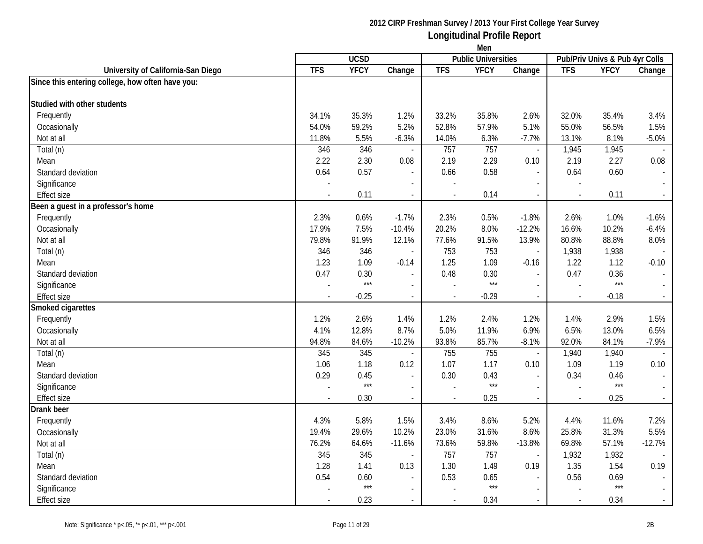|                                                  | Men                      |             |                          |            |                            |                          |            |                                |                             |
|--------------------------------------------------|--------------------------|-------------|--------------------------|------------|----------------------------|--------------------------|------------|--------------------------------|-----------------------------|
|                                                  |                          | <b>UCSD</b> |                          |            | <b>Public Universities</b> |                          |            | Pub/Priv Univs & Pub 4yr Colls |                             |
| University of California-San Diego               | <b>TFS</b>               | <b>YFCY</b> | Change                   | <b>TFS</b> | <b>YFCY</b>                | Change                   | <b>TFS</b> | <b>YFCY</b>                    | Change                      |
| Since this entering college, how often have you: |                          |             |                          |            |                            |                          |            |                                |                             |
|                                                  |                          |             |                          |            |                            |                          |            |                                |                             |
| Studied with other students                      |                          |             |                          |            |                            |                          |            |                                |                             |
| Frequently                                       | 34.1%                    | 35.3%       | 1.2%                     | 33.2%      | 35.8%                      | 2.6%                     | 32.0%      | 35.4%                          | 3.4%                        |
| Occasionally                                     | 54.0%                    | 59.2%       | 5.2%                     | 52.8%      | 57.9%                      | 5.1%                     | 55.0%      | 56.5%                          | 1.5%                        |
| Not at all                                       | 11.8%                    | 5.5%        | $-6.3%$                  | 14.0%      | 6.3%                       | $-7.7%$                  | 13.1%      | 8.1%                           | $-5.0%$                     |
| Total (n)                                        | 346                      | 346         | $\sim$                   | 757        | 757                        | $\overline{\phantom{a}}$ | 1,945      | 1,945                          |                             |
| Mean                                             | 2.22                     | 2.30        | 0.08                     | 2.19       | 2.29                       | 0.10                     | 2.19       | 2.27                           | 0.08                        |
| Standard deviation                               | 0.64                     | 0.57        |                          | 0.66       | 0.58                       | $\overline{a}$           | 0.64       | 0.60                           |                             |
| Significance                                     | $\overline{\phantom{a}}$ |             |                          |            |                            | $\sim$                   |            |                                |                             |
| <b>Effect size</b>                               | $\blacksquare$           | 0.11        | $\overline{\phantom{a}}$ |            | 0.14                       | $\blacksquare$           | $\sim$     | 0.11                           | $\mathcal{L}_{\mathcal{A}}$ |
| Been a guest in a professor's home               |                          |             |                          |            |                            |                          |            |                                |                             |
| Frequently                                       | 2.3%                     | 0.6%        | $-1.7%$                  | 2.3%       | 0.5%                       | $-1.8%$                  | 2.6%       | 1.0%                           | $-1.6%$                     |
| Occasionally                                     | 17.9%                    | 7.5%        | $-10.4%$                 | 20.2%      | 8.0%                       | $-12.2%$                 | 16.6%      | 10.2%                          | $-6.4%$                     |
| Not at all                                       | 79.8%                    | 91.9%       | 12.1%                    | 77.6%      | 91.5%                      | 13.9%                    | 80.8%      | 88.8%                          | 8.0%                        |
| Total (n)                                        | 346                      | 346         | $\sim$                   | 753        | 753                        | $\blacksquare$           | 1,938      | 1,938                          |                             |
| Mean                                             | 1.23                     | 1.09        | $-0.14$                  | 1.25       | 1.09                       | $-0.16$                  | 1.22       | 1.12                           | $-0.10$                     |
| Standard deviation                               | 0.47                     | 0.30        |                          | 0.48       | 0.30                       | $\overline{\phantom{a}}$ | 0.47       | 0.36                           | $\mathbb{Z}^2$              |
| Significance                                     |                          | $***$       |                          |            | $***$                      | $\sim$                   |            | $***$                          |                             |
| Effect size                                      |                          | $-0.25$     | $\mathcal{L}$            |            | $-0.29$                    | $\overline{\phantom{a}}$ |            | $-0.18$                        | $\sim$                      |
| Smoked cigarettes                                |                          |             |                          |            |                            |                          |            |                                |                             |
| Frequently                                       | 1.2%                     | 2.6%        | 1.4%                     | 1.2%       | 2.4%                       | 1.2%                     | 1.4%       | 2.9%                           | 1.5%                        |
| Occasionally                                     | 4.1%                     | 12.8%       | 8.7%                     | 5.0%       | 11.9%                      | 6.9%                     | 6.5%       | 13.0%                          | 6.5%                        |
| Not at all                                       | 94.8%                    | 84.6%       | $-10.2%$                 | 93.8%      | 85.7%                      | $-8.1%$                  | 92.0%      | 84.1%                          | $-7.9%$                     |
| Total (n)                                        | 345                      | 345         | $\overline{\phantom{a}}$ | 755        | 755                        | $\overline{\phantom{a}}$ | 1,940      | 1,940                          | $\sim$                      |
| Mean                                             | 1.06                     | 1.18        | 0.12                     | 1.07       | 1.17                       | 0.10                     | 1.09       | 1.19                           | 0.10                        |
| Standard deviation                               | 0.29                     | 0.45        | $\overline{\phantom{a}}$ | 0.30       | 0.43                       | $\overline{a}$           | 0.34       | 0.46                           | $\sim$                      |
| Significance                                     |                          | $***$       | $\sim$                   |            | $***$                      | $\blacksquare$           |            | $***$                          | $\sim$                      |
| Effect size                                      |                          | 0.30        | $\mathcal{L}$            |            | 0.25                       | $\overline{\phantom{a}}$ | $\sim$     | 0.25                           | $\sim$                      |
| Drank beer                                       |                          |             |                          |            |                            |                          |            |                                |                             |
| Frequently                                       | 4.3%                     | 5.8%        | 1.5%                     | 3.4%       | 8.6%                       | 5.2%                     | 4.4%       | 11.6%                          | 7.2%                        |
| Occasionally                                     | 19.4%                    | 29.6%       | 10.2%                    | 23.0%      | 31.6%                      | 8.6%                     | 25.8%      | 31.3%                          | 5.5%                        |
| Not at all                                       | 76.2%                    | 64.6%       | $-11.6%$                 | 73.6%      | 59.8%                      | $-13.8%$                 | 69.8%      | 57.1%                          | $-12.7%$                    |
| Total (n)                                        | 345                      | 345         | $\blacksquare$           | 757        | 757                        | $\blacksquare$           | 1,932      | 1,932                          |                             |
| Mean                                             | 1.28                     | 1.41        | 0.13                     | 1.30       | 1.49                       | 0.19                     | 1.35       | 1.54                           | 0.19                        |
| Standard deviation                               | 0.54                     | 0.60        |                          | 0.53       | 0.65                       | $\overline{a}$           | 0.56       | 0.69                           |                             |
| Significance                                     |                          | $***$       |                          |            | $***$                      | $\blacksquare$           |            | $***$                          |                             |
| Effect size                                      |                          | 0.23        |                          |            | 0.34                       | $\blacksquare$           | $\sim$     | 0.34                           | $\sim$                      |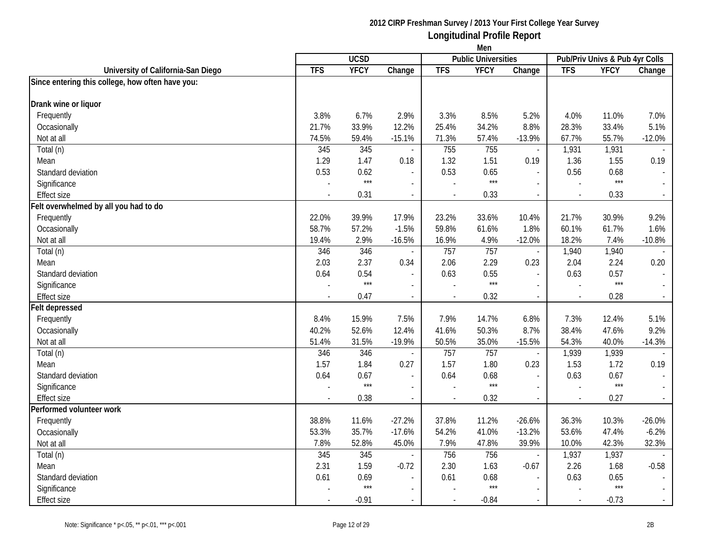|                                                  | Men        |             |                          |            |                            |                          |                                |             |          |
|--------------------------------------------------|------------|-------------|--------------------------|------------|----------------------------|--------------------------|--------------------------------|-------------|----------|
|                                                  |            | <b>UCSD</b> |                          |            | <b>Public Universities</b> |                          | Pub/Priv Univs & Pub 4yr Colls |             |          |
| University of California-San Diego               | <b>TFS</b> | <b>YFCY</b> | Change                   | <b>TFS</b> | <b>YFCY</b>                | Change                   | <b>TFS</b>                     | <b>YFCY</b> | Change   |
| Since entering this college, how often have you: |            |             |                          |            |                            |                          |                                |             |          |
|                                                  |            |             |                          |            |                            |                          |                                |             |          |
| Drank wine or liquor                             |            |             |                          |            |                            |                          |                                |             |          |
| Frequently                                       | 3.8%       | 6.7%        | 2.9%                     | 3.3%       | 8.5%                       | 5.2%                     | 4.0%                           | 11.0%       | 7.0%     |
| Occasionally                                     | 21.7%      | 33.9%       | 12.2%                    | 25.4%      | 34.2%                      | 8.8%                     | 28.3%                          | 33.4%       | 5.1%     |
| Not at all                                       | 74.5%      | 59.4%       | $-15.1%$                 | 71.3%      | 57.4%                      | $-13.9%$                 | 67.7%                          | 55.7%       | $-12.0%$ |
| Total (n)                                        | 345        | 345         |                          | 755        | 755                        | $\blacksquare$           | 1,931                          | 1,931       |          |
| Mean                                             | 1.29       | 1.47        | 0.18                     | 1.32       | 1.51                       | 0.19                     | 1.36                           | 1.55        | 0.19     |
| Standard deviation                               | 0.53       | 0.62        |                          | 0.53       | 0.65                       | $\sim$                   | 0.56                           | 0.68        |          |
| Significance                                     |            | $***$       | $\overline{a}$           |            | $***$                      | $\sim$                   |                                | $***$       |          |
| <b>Effect size</b>                               |            | 0.31        | $\overline{\phantom{a}}$ | $\sim$     | 0.33                       | $\overline{\phantom{a}}$ | $\overline{a}$                 | 0.33        | $\sim$   |
| Felt overwhelmed by all you had to do            |            |             |                          |            |                            |                          |                                |             |          |
| Frequently                                       | 22.0%      | 39.9%       | 17.9%                    | 23.2%      | 33.6%                      | 10.4%                    | 21.7%                          | 30.9%       | 9.2%     |
| Occasionally                                     | 58.7%      | 57.2%       | $-1.5%$                  | 59.8%      | 61.6%                      | 1.8%                     | 60.1%                          | 61.7%       | 1.6%     |
| Not at all                                       | 19.4%      | 2.9%        | $-16.5%$                 | 16.9%      | 4.9%                       | $-12.0%$                 | 18.2%                          | 7.4%        | $-10.8%$ |
| Total (n)                                        | 346        | 346         |                          | 757        | 757                        | $\overline{\phantom{a}}$ | 1,940                          | 1,940       |          |
| Mean                                             | 2.03       | 2.37        | 0.34                     | 2.06       | 2.29                       | 0.23                     | 2.04                           | 2.24        | 0.20     |
| Standard deviation                               | 0.64       | 0.54        |                          | 0.63       | 0.55                       | $\overline{\phantom{a}}$ | 0.63                           | 0.57        |          |
| Significance                                     |            | $***$       |                          |            | $***$                      | $\sim$                   |                                | $***$       |          |
| Effect size                                      |            | 0.47        | $\overline{\phantom{a}}$ |            | 0.32                       | $\blacksquare$           |                                | 0.28        | $\sim$   |
| <b>Felt depressed</b>                            |            |             |                          |            |                            |                          |                                |             |          |
| Frequently                                       | 8.4%       | 15.9%       | 7.5%                     | 7.9%       | 14.7%                      | 6.8%                     | 7.3%                           | 12.4%       | 5.1%     |
| Occasionally                                     | 40.2%      | 52.6%       | 12.4%                    | 41.6%      | 50.3%                      | 8.7%                     | 38.4%                          | 47.6%       | 9.2%     |
| Not at all                                       | 51.4%      | 31.5%       | $-19.9%$                 | 50.5%      | 35.0%                      | $-15.5%$                 | 54.3%                          | 40.0%       | $-14.3%$ |
| Total (n)                                        | 346        | 346         |                          | 757        | 757                        | $\overline{\phantom{a}}$ | 1,939                          | 1,939       |          |
| Mean                                             | 1.57       | 1.84        | 0.27                     | 1.57       | 1.80                       | 0.23                     | 1.53                           | 1.72        | 0.19     |
| Standard deviation                               | 0.64       | 0.67        |                          | 0.64       | 0.68                       | $\overline{a}$           | 0.63                           | 0.67        |          |
| Significance                                     |            | $***$       | $\blacksquare$           |            | $***$                      | $\blacksquare$           |                                | $***$       | $\sim$   |
| <b>Effect size</b>                               |            | 0.38        | $\blacksquare$           |            | 0.32                       | $\overline{\phantom{a}}$ | $\overline{\phantom{a}}$       | 0.27        | $\sim$   |
| Performed volunteer work                         |            |             |                          |            |                            |                          |                                |             |          |
| Frequently                                       | 38.8%      | 11.6%       | $-27.2%$                 | 37.8%      | 11.2%                      | $-26.6%$                 | 36.3%                          | 10.3%       | $-26.0%$ |
| Occasionally                                     | 53.3%      | 35.7%       | $-17.6%$                 | 54.2%      | 41.0%                      | $-13.2%$                 | 53.6%                          | 47.4%       | $-6.2%$  |
| Not at all                                       | 7.8%       | 52.8%       | 45.0%                    | 7.9%       | 47.8%                      | 39.9%                    | 10.0%                          | 42.3%       | 32.3%    |
| Total (n)                                        | 345        | 345         |                          | 756        | 756                        | $\overline{\phantom{a}}$ | 1,937                          | 1,937       |          |
| Mean                                             | 2.31       | 1.59        | $-0.72$                  | 2.30       | 1.63                       | $-0.67$                  | 2.26                           | 1.68        | $-0.58$  |
| Standard deviation                               | 0.61       | 0.69        |                          | 0.61       | 0.68                       | $\overline{a}$           | 0.63                           | 0.65        |          |
| Significance                                     |            | $***$       |                          |            | $***$                      | $\sim$                   |                                | $***$       |          |
| Effect size                                      |            | $-0.91$     |                          |            | $-0.84$                    | $\overline{\phantom{a}}$ |                                | $-0.73$     | $\sim$   |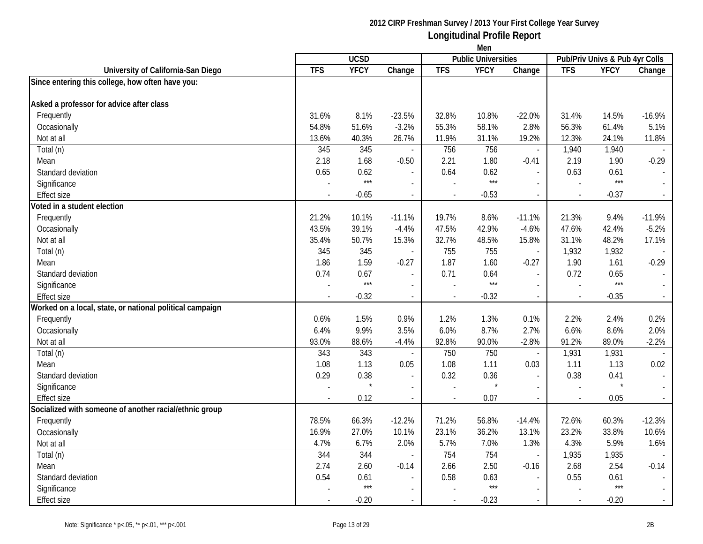|                                                          | Men        |             |                          |                |                            |                          |            |                                |               |
|----------------------------------------------------------|------------|-------------|--------------------------|----------------|----------------------------|--------------------------|------------|--------------------------------|---------------|
|                                                          |            | <b>UCSD</b> |                          |                | <b>Public Universities</b> |                          |            | Pub/Priv Univs & Pub 4yr Colls |               |
| University of California-San Diego                       | <b>TFS</b> | <b>YFCY</b> | Change                   | <b>TFS</b>     | <b>YFCY</b>                | Change                   | <b>TFS</b> | <b>YFCY</b>                    | Change        |
| Since entering this college, how often have you:         |            |             |                          |                |                            |                          |            |                                |               |
| Asked a professor for advice after class                 |            |             |                          |                |                            |                          |            |                                |               |
| Frequently                                               | 31.6%      | 8.1%        | $-23.5%$                 | 32.8%          | 10.8%                      | $-22.0%$                 | 31.4%      | 14.5%                          | $-16.9%$      |
| Occasionally                                             | 54.8%      | 51.6%       | $-3.2%$                  | 55.3%          | 58.1%                      | 2.8%                     | 56.3%      | 61.4%                          | 5.1%          |
| Not at all                                               | 13.6%      | 40.3%       | 26.7%                    | 11.9%          | 31.1%                      | 19.2%                    | 12.3%      | 24.1%                          | 11.8%         |
| Total (n)                                                | 345        | 345         | $\sim$                   | 756            | 756                        | $\overline{\phantom{a}}$ | 1,940      | 1,940                          |               |
| Mean                                                     | 2.18       | 1.68        | $-0.50$                  | 2.21           | 1.80                       | $-0.41$                  | 2.19       | 1.90                           | $-0.29$       |
| Standard deviation                                       | 0.65       | 0.62        |                          | 0.64           | 0.62                       | $\overline{a}$           | 0.63       | 0.61                           |               |
| Significance                                             |            | $***$       | $\overline{\phantom{a}}$ |                | $***$                      | $\overline{\phantom{a}}$ |            | $***$                          |               |
| <b>Effect size</b>                                       |            | $-0.65$     | $\overline{\phantom{a}}$ |                | $-0.53$                    | $\blacksquare$           | $\sim$     | $-0.37$                        | $\sim$        |
| Voted in a student election                              |            |             |                          |                |                            |                          |            |                                |               |
| Frequently                                               | 21.2%      | 10.1%       | $-11.1%$                 | 19.7%          | 8.6%                       | $-11.1%$                 | 21.3%      | 9.4%                           | $-11.9%$      |
| Occasionally                                             | 43.5%      | 39.1%       | $-4.4%$                  | 47.5%          | 42.9%                      | $-4.6%$                  | 47.6%      | 42.4%                          | $-5.2%$       |
| Not at all                                               | 35.4%      | 50.7%       | 15.3%                    | 32.7%          | 48.5%                      | 15.8%                    | 31.1%      | 48.2%                          | 17.1%         |
| Total (n)                                                | 345        | 345         | $\overline{\phantom{a}}$ | 755            | 755                        | $\overline{\phantom{a}}$ | 1,932      | 1,932                          |               |
| Mean                                                     | 1.86       | 1.59        | $-0.27$                  | 1.87           | 1.60                       | $-0.27$                  | 1.90       | 1.61                           | $-0.29$       |
| Standard deviation                                       | 0.74       | 0.67        | $\overline{\phantom{a}}$ | 0.71           | 0.64                       | $\blacksquare$           | 0.72       | 0.65                           |               |
| Significance                                             |            | $***$       |                          |                | $***$                      |                          |            | $***$                          |               |
| <b>Effect size</b>                                       |            | $-0.32$     | $\overline{\phantom{a}}$ |                | $-0.32$                    | $\blacksquare$           |            | $-0.35$                        | $\sim$        |
| Worked on a local, state, or national political campaign |            |             |                          |                |                            |                          |            |                                |               |
| Frequently                                               | 0.6%       | 1.5%        | 0.9%                     | 1.2%           | 1.3%                       | 0.1%                     | 2.2%       | 2.4%                           | 0.2%          |
| Occasionally                                             | 6.4%       | 9.9%        | 3.5%                     | 6.0%           | 8.7%                       | 2.7%                     | 6.6%       | 8.6%                           | 2.0%          |
| Not at all                                               | 93.0%      | 88.6%       | $-4.4%$                  | 92.8%          | 90.0%                      | $-2.8%$                  | 91.2%      | 89.0%                          | $-2.2%$       |
| Total (n)                                                | 343        | 343         | $\overline{\phantom{a}}$ | 750            | 750                        | $\overline{\phantom{a}}$ | 1,931      | 1,931                          |               |
| Mean                                                     | 1.08       | 1.13        | 0.05                     | 1.08           | 1.11                       | 0.03                     | 1.11       | 1.13                           | 0.02          |
| Standard deviation                                       | 0.29       | 0.38        | $\blacksquare$           | 0.32           | 0.36                       | $\overline{a}$           | 0.38       | 0.41                           | $\sim$        |
| Significance                                             |            |             | $\overline{\phantom{a}}$ |                |                            | $\blacksquare$           |            | $\star$                        | $\mathcal{L}$ |
| <b>Effect size</b>                                       |            | 0.12        | $\blacksquare$           | $\blacksquare$ | 0.07                       | $\blacksquare$           |            | 0.05                           | $\sim$        |
| Socialized with someone of another racial/ethnic group   |            |             |                          |                |                            |                          |            |                                |               |
| Frequently                                               | 78.5%      | 66.3%       | $-12.2%$                 | 71.2%          | 56.8%                      | $-14.4%$                 | 72.6%      | 60.3%                          | $-12.3%$      |
| Occasionally                                             | 16.9%      | 27.0%       | 10.1%                    | 23.1%          | 36.2%                      | 13.1%                    | 23.2%      | 33.8%                          | 10.6%         |
| Not at all                                               | 4.7%       | 6.7%        | 2.0%                     | 5.7%           | 7.0%                       | 1.3%                     | 4.3%       | 5.9%                           | 1.6%          |
| Total (n)                                                | 344        | 344         | $\blacksquare$           | 754            | 754                        | $\overline{\phantom{a}}$ | 1,935      | 1,935                          |               |
| Mean                                                     | 2.74       | 2.60        | $-0.14$                  | 2.66           | 2.50                       | $-0.16$                  | 2.68       | 2.54                           | $-0.14$       |
| Standard deviation                                       | 0.54       | 0.61        |                          | 0.58           | 0.63                       |                          | 0.55       | 0.61                           |               |
| Significance                                             |            | $***$       |                          |                | $***$                      | $\overline{\phantom{a}}$ |            | $***$                          |               |
| <b>Effect size</b>                                       |            | $-0.20$     | $\blacksquare$           |                | $-0.23$                    |                          |            | $-0.20$                        | $\sim$        |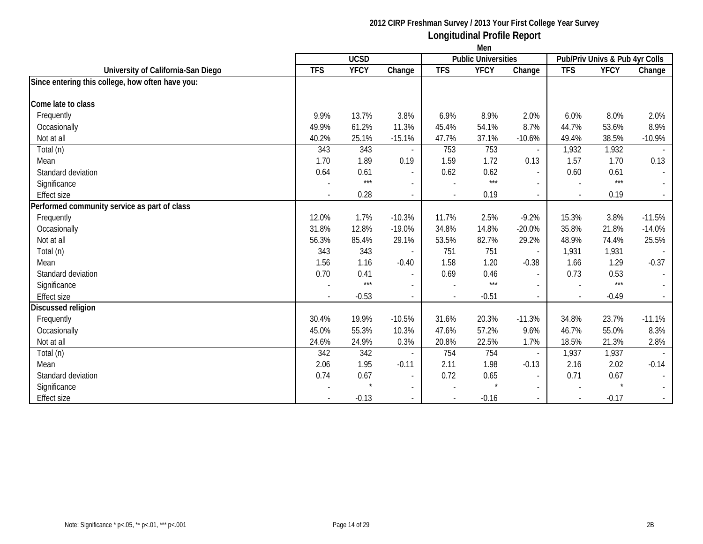|                                                  | Men            |             |                          |                |                            |                          |                          |                                |          |
|--------------------------------------------------|----------------|-------------|--------------------------|----------------|----------------------------|--------------------------|--------------------------|--------------------------------|----------|
|                                                  |                | <b>UCSD</b> |                          |                | <b>Public Universities</b> |                          |                          | Pub/Priv Univs & Pub 4yr Colls |          |
| University of California-San Diego               | <b>TFS</b>     | <b>YFCY</b> | Change                   | <b>TFS</b>     | <b>YFCY</b>                | Change                   | <b>TFS</b>               | <b>YFCY</b>                    | Change   |
| Since entering this college, how often have you: |                |             |                          |                |                            |                          |                          |                                |          |
| Come late to class                               |                |             |                          |                |                            |                          |                          |                                |          |
| Frequently                                       | 9.9%           | 13.7%       | 3.8%                     | 6.9%           | 8.9%                       | 2.0%                     | 6.0%                     | 8.0%                           | 2.0%     |
| Occasionally                                     | 49.9%          | 61.2%       | 11.3%                    | 45.4%          | 54.1%                      | 8.7%                     | 44.7%                    | 53.6%                          | 8.9%     |
| Not at all                                       | 40.2%          | 25.1%       | $-15.1%$                 | 47.7%          | 37.1%                      | $-10.6%$                 | 49.4%                    | 38.5%                          | $-10.9%$ |
| Total (n)                                        | 343            | 343         |                          | 753            | 753                        | $\overline{\phantom{a}}$ | 1,932                    | 1,932                          |          |
| Mean                                             | 1.70           | 1.89        | 0.19                     | 1.59           | 1.72                       | 0.13                     | 1.57                     | 1.70                           | 0.13     |
| Standard deviation                               | 0.64           | 0.61        | $\overline{\phantom{a}}$ | 0.62           | 0.62                       | $\blacksquare$           | 0.60                     | 0.61                           |          |
| Significance                                     |                | $***$       |                          |                | $***$                      | $\overline{\phantom{a}}$ | $\sim$                   | $***$                          |          |
| <b>Effect size</b>                               |                | 0.28        | $\blacksquare$           |                | 0.19                       | $\overline{\phantom{a}}$ | $\overline{\phantom{a}}$ | 0.19                           |          |
| Performed community service as part of class     |                |             |                          |                |                            |                          |                          |                                |          |
| Frequently                                       | 12.0%          | 1.7%        | $-10.3%$                 | 11.7%          | 2.5%                       | $-9.2%$                  | 15.3%                    | 3.8%                           | $-11.5%$ |
| Occasionally                                     | 31.8%          | 12.8%       | $-19.0%$                 | 34.8%          | 14.8%                      | $-20.0%$                 | 35.8%                    | 21.8%                          | $-14.0%$ |
| Not at all                                       | 56.3%          | 85.4%       | 29.1%                    | 53.5%          | 82.7%                      | 29.2%                    | 48.9%                    | 74.4%                          | 25.5%    |
| Total (n)                                        | 343            | 343         |                          | 751            | 751                        | $\blacksquare$           | 1,931                    | 1,931                          |          |
| Mean                                             | 1.56           | 1.16        | $-0.40$                  | 1.58           | 1.20                       | $-0.38$                  | 1.66                     | 1.29                           | $-0.37$  |
| Standard deviation                               | 0.70           | 0.41        | $\blacksquare$           | 0.69           | 0.46                       | $\blacksquare$           | 0.73                     | 0.53                           |          |
| Significance                                     |                | $***$       | $\overline{a}$           |                | $***$                      | $\sim$                   | $\sim$                   | $***$                          |          |
| <b>Effect size</b>                               | $\blacksquare$ | $-0.53$     | $\overline{\phantom{a}}$ | $\blacksquare$ | $-0.51$                    | $\overline{\phantom{a}}$ | $\sim$                   | $-0.49$                        |          |
| Discussed religion                               |                |             |                          |                |                            |                          |                          |                                |          |
| Frequently                                       | 30.4%          | 19.9%       | $-10.5%$                 | 31.6%          | 20.3%                      | $-11.3%$                 | 34.8%                    | 23.7%                          | $-11.1%$ |
| Occasionally                                     | 45.0%          | 55.3%       | 10.3%                    | 47.6%          | 57.2%                      | 9.6%                     | 46.7%                    | 55.0%                          | 8.3%     |
| Not at all                                       | 24.6%          | 24.9%       | 0.3%                     | 20.8%          | 22.5%                      | 1.7%                     | 18.5%                    | 21.3%                          | 2.8%     |
| Total (n)                                        | 342            | 342         |                          | 754            | 754                        | $\overline{\phantom{a}}$ | 1,937                    | 1,937                          |          |
| Mean                                             | 2.06           | 1.95        | $-0.11$                  | 2.11           | 1.98                       | $-0.13$                  | 2.16                     | 2.02                           | $-0.14$  |
| Standard deviation                               | 0.74           | 0.67        | $\blacksquare$           | 0.72           | 0.65                       | $\blacksquare$           | 0.71                     | 0.67                           |          |
| Significance                                     |                |             | $\blacksquare$           |                |                            | $\overline{\phantom{a}}$ |                          |                                |          |
| <b>Effect size</b>                               |                | $-0.13$     |                          |                | $-0.16$                    | $\overline{\phantom{a}}$ | $\sim$                   | $-0.17$                        |          |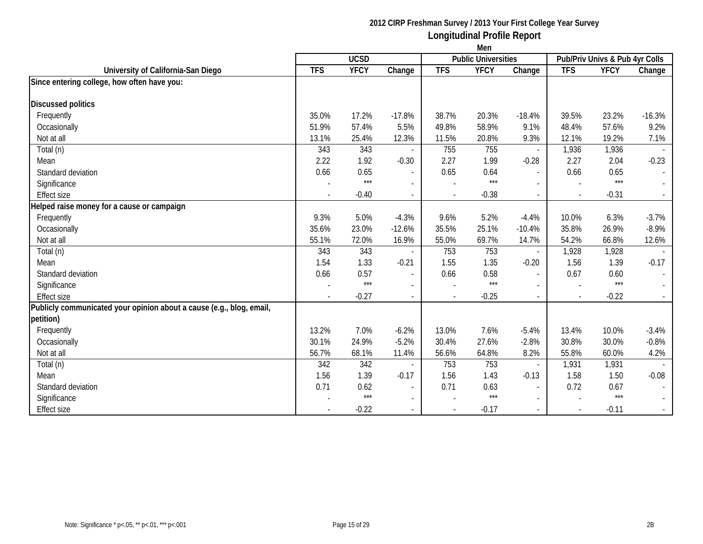|                                                                      | Men                      |             |                          |                |                            |                          |              |                                |          |
|----------------------------------------------------------------------|--------------------------|-------------|--------------------------|----------------|----------------------------|--------------------------|--------------|--------------------------------|----------|
|                                                                      |                          | <b>UCSD</b> |                          |                | <b>Public Universities</b> |                          |              | Pub/Priv Univs & Pub 4yr Colls |          |
| University of California-San Diego                                   | <b>TFS</b>               | <b>YFCY</b> | Change                   | <b>TFS</b>     | <b>YFCY</b>                | Change                   | <b>TFS</b>   | <b>YFCY</b>                    | Change   |
| Since entering college, how often have you:                          |                          |             |                          |                |                            |                          |              |                                |          |
| <b>Discussed politics</b>                                            |                          |             |                          |                |                            |                          |              |                                |          |
| Frequently                                                           | 35.0%                    | 17.2%       | $-17.8%$                 | 38.7%          | 20.3%                      | $-18.4%$                 | 39.5%        | 23.2%                          | $-16.3%$ |
| Occasionally                                                         | 51.9%                    | 57.4%       | 5.5%                     | 49.8%          | 58.9%                      | 9.1%                     | 48.4%        | 57.6%                          | 9.2%     |
| Not at all                                                           | 13.1%                    | 25.4%       | 12.3%                    | 11.5%          | 20.8%                      | 9.3%                     | 12.1%        | 19.2%                          | 7.1%     |
| Total (n)                                                            | 343                      | 343         |                          | 755            | 755                        | $\overline{\phantom{a}}$ | 1,936        | 1,936                          |          |
| Mean                                                                 | 2.22                     | 1.92        | $-0.30$                  | 2.27           | 1.99                       | $-0.28$                  | 2.27         | 2.04                           | $-0.23$  |
| Standard deviation                                                   | 0.66                     | 0.65        | $\blacksquare$           | 0.65           | 0.64                       | $\blacksquare$           | 0.66         | 0.65                           |          |
| Significance                                                         |                          | $***$       |                          |                | $***$                      |                          |              | $***$                          |          |
| <b>Effect size</b>                                                   | $\overline{\phantom{a}}$ | $-0.40$     | $\overline{\phantom{a}}$ | $\blacksquare$ | $-0.38$                    | $\overline{\phantom{a}}$ | $\sim$       | $-0.31$                        |          |
| Helped raise money for a cause or campaign                           |                          |             |                          |                |                            |                          |              |                                |          |
| Frequently                                                           | 9.3%                     | 5.0%        | $-4.3%$                  | 9.6%           | 5.2%                       | $-4.4%$                  | 10.0%        | 6.3%                           | $-3.7%$  |
| Occasionally                                                         | 35.6%                    | 23.0%       | $-12.6%$                 | 35.5%          | 25.1%                      | $-10.4%$                 | 35.8%        | 26.9%                          | $-8.9%$  |
| Not at all                                                           | 55.1%                    | 72.0%       | 16.9%                    | 55.0%          | 69.7%                      | 14.7%                    | 54.2%        | 66.8%                          | 12.6%    |
| Total (n)                                                            | 343                      | 343         |                          | 753            | 753                        | $\overline{\phantom{a}}$ | 1,928        | 1,928                          |          |
| Mean                                                                 | 1.54                     | 1.33        | $-0.21$                  | 1.55           | 1.35                       | $-0.20$                  | 1.56         | 1.39                           | $-0.17$  |
| Standard deviation                                                   | 0.66                     | 0.57        | $\blacksquare$           | 0.66           | 0.58                       | $\blacksquare$           | 0.67         | 0.60                           |          |
| Significance                                                         |                          | $***$       | $\overline{\phantom{0}}$ |                | $***$                      | $\blacksquare$           |              | $***$                          |          |
| <b>Effect size</b>                                                   |                          | $-0.27$     |                          |                | $-0.25$                    | $\overline{\phantom{a}}$ | $\mathbf{r}$ | $-0.22$                        |          |
| Publicly communicated your opinion about a cause (e.g., blog, email, |                          |             |                          |                |                            |                          |              |                                |          |
| petition)                                                            |                          |             |                          |                |                            |                          |              |                                |          |
| Frequently                                                           | 13.2%                    | 7.0%        | $-6.2%$                  | 13.0%          | 7.6%                       | $-5.4%$                  | 13.4%        | 10.0%                          | $-3.4%$  |
| Occasionally                                                         | 30.1%                    | 24.9%       | $-5.2%$                  | 30.4%          | 27.6%                      | $-2.8%$                  | 30.8%        | 30.0%                          | $-0.8%$  |
| Not at all                                                           | 56.7%                    | 68.1%       | 11.4%                    | 56.6%          | 64.8%                      | 8.2%                     | 55.8%        | 60.0%                          | 4.2%     |
| Total (n)                                                            | 342                      | 342         |                          | 753            | 753                        | $\overline{\phantom{a}}$ | 1,931        | 1,931                          |          |
| Mean                                                                 | 1.56                     | 1.39        | $-0.17$                  | 1.56           | 1.43                       | $-0.13$                  | 1.58         | 1.50                           | $-0.08$  |
| Standard deviation                                                   | 0.71                     | 0.62        | $\blacksquare$           | 0.71           | 0.63                       | $\blacksquare$           | 0.72         | 0.67                           |          |
| Significance                                                         |                          | $***$       | $\mathbf{r}$             |                | $***$                      | $\sim$                   |              | $***$                          |          |
| <b>Effect size</b>                                                   |                          | $-0.22$     |                          |                | $-0.17$                    |                          | $\mathbf{r}$ | $-0.11$                        |          |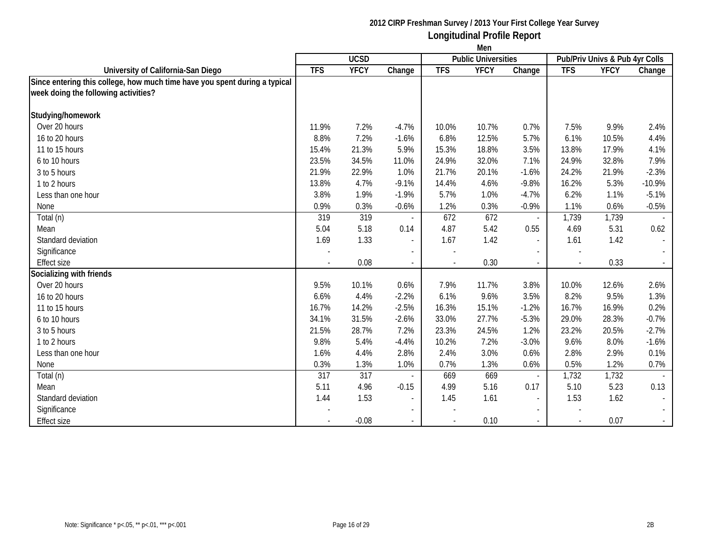|                                                                            | Men        |             |                          |            |                            |                          |            |                                |                          |
|----------------------------------------------------------------------------|------------|-------------|--------------------------|------------|----------------------------|--------------------------|------------|--------------------------------|--------------------------|
|                                                                            |            | <b>UCSD</b> |                          |            | <b>Public Universities</b> |                          |            | Pub/Priv Univs & Pub 4yr Colls |                          |
| University of California-San Diego                                         | <b>TFS</b> | <b>YFCY</b> | Change                   | <b>TFS</b> | <b>YFCY</b>                | Change                   | <b>TFS</b> | <b>YFCY</b>                    | Change                   |
| Since entering this college, how much time have you spent during a typical |            |             |                          |            |                            |                          |            |                                |                          |
| week doing the following activities?                                       |            |             |                          |            |                            |                          |            |                                |                          |
| Studying/homework                                                          |            |             |                          |            |                            |                          |            |                                |                          |
| Over 20 hours                                                              | 11.9%      | 7.2%        | $-4.7%$                  | 10.0%      | 10.7%                      | 0.7%                     | 7.5%       | 9.9%                           | 2.4%                     |
| 16 to 20 hours                                                             | 8.8%       | 7.2%        | $-1.6%$                  | 6.8%       | 12.5%                      | 5.7%                     | 6.1%       | 10.5%                          | 4.4%                     |
| 11 to 15 hours                                                             | 15.4%      | 21.3%       | 5.9%                     | 15.3%      | 18.8%                      | 3.5%                     | 13.8%      | 17.9%                          | 4.1%                     |
| 6 to 10 hours                                                              | 23.5%      | 34.5%       | 11.0%                    | 24.9%      | 32.0%                      | 7.1%                     | 24.9%      | 32.8%                          | 7.9%                     |
| 3 to 5 hours                                                               | 21.9%      | 22.9%       | 1.0%                     | 21.7%      | 20.1%                      | $-1.6%$                  | 24.2%      | 21.9%                          | $-2.3%$                  |
| 1 to 2 hours                                                               | 13.8%      | 4.7%        | $-9.1%$                  | 14.4%      | 4.6%                       | $-9.8%$                  | 16.2%      | 5.3%                           | $-10.9%$                 |
| Less than one hour                                                         | 3.8%       | 1.9%        | $-1.9%$                  | 5.7%       | 1.0%                       | $-4.7%$                  | 6.2%       | 1.1%                           | $-5.1%$                  |
| None                                                                       | 0.9%       | 0.3%        | $-0.6%$                  | 1.2%       | 0.3%                       | $-0.9%$                  | 1.1%       | 0.6%                           | $-0.5%$                  |
| Total (n)                                                                  | 319        | 319         |                          | 672        | 672                        | $\overline{\phantom{a}}$ | 1,739      | 1,739                          |                          |
| Mean                                                                       | 5.04       | 5.18        | 0.14                     | 4.87       | 5.42                       | 0.55                     | 4.69       | 5.31                           | 0.62                     |
| Standard deviation                                                         | 1.69       | 1.33        | $\overline{\phantom{a}}$ | 1.67       | 1.42                       | $\overline{\phantom{a}}$ | 1.61       | 1.42                           | $\blacksquare$           |
| Significance                                                               |            |             | $\sim$                   |            |                            |                          |            |                                |                          |
| <b>Effect size</b>                                                         |            | 0.08        | $\sim$                   |            | 0.30                       |                          |            | 0.33                           |                          |
| Socializing with friends                                                   |            |             |                          |            |                            |                          |            |                                |                          |
| Over 20 hours                                                              | 9.5%       | 10.1%       | 0.6%                     | 7.9%       | 11.7%                      | 3.8%                     | 10.0%      | 12.6%                          | 2.6%                     |
| 16 to 20 hours                                                             | 6.6%       | 4.4%        | $-2.2%$                  | 6.1%       | 9.6%                       | 3.5%                     | 8.2%       | 9.5%                           | 1.3%                     |
| 11 to 15 hours                                                             | 16.7%      | 14.2%       | $-2.5%$                  | 16.3%      | 15.1%                      | $-1.2%$                  | 16.7%      | 16.9%                          | 0.2%                     |
| 6 to 10 hours                                                              | 34.1%      | 31.5%       | $-2.6%$                  | 33.0%      | 27.7%                      | $-5.3%$                  | 29.0%      | 28.3%                          | $-0.7%$                  |
| 3 to 5 hours                                                               | 21.5%      | 28.7%       | 7.2%                     | 23.3%      | 24.5%                      | 1.2%                     | 23.2%      | 20.5%                          | $-2.7%$                  |
| 1 to 2 hours                                                               | 9.8%       | 5.4%        | $-4.4%$                  | 10.2%      | 7.2%                       | $-3.0%$                  | 9.6%       | 8.0%                           | $-1.6%$                  |
| Less than one hour                                                         | 1.6%       | 4.4%        | 2.8%                     | 2.4%       | 3.0%                       | 0.6%                     | 2.8%       | 2.9%                           | 0.1%                     |
| None                                                                       | 0.3%       | 1.3%        | 1.0%                     | 0.7%       | 1.3%                       | 0.6%                     | 0.5%       | 1.2%                           | 0.7%                     |
| Total (n)                                                                  | 317        | 317         |                          | 669        | 669                        | $\overline{\phantom{a}}$ | 1,732      | 1,732                          |                          |
| Mean                                                                       | 5.11       | 4.96        | $-0.15$                  | 4.99       | 5.16                       | 0.17                     | 5.10       | 5.23                           | 0.13                     |
| Standard deviation                                                         | 1.44       | 1.53        | $\overline{\phantom{a}}$ | 1.45       | 1.61                       | $\blacksquare$           | 1.53       | 1.62                           | $\overline{\phantom{a}}$ |
| Significance                                                               |            |             | $\overline{\phantom{a}}$ |            |                            |                          |            |                                | $\sim$                   |
| <b>Effect size</b>                                                         |            | $-0.08$     | $\sim$                   |            | 0.10                       |                          |            | 0.07                           | $\sim$                   |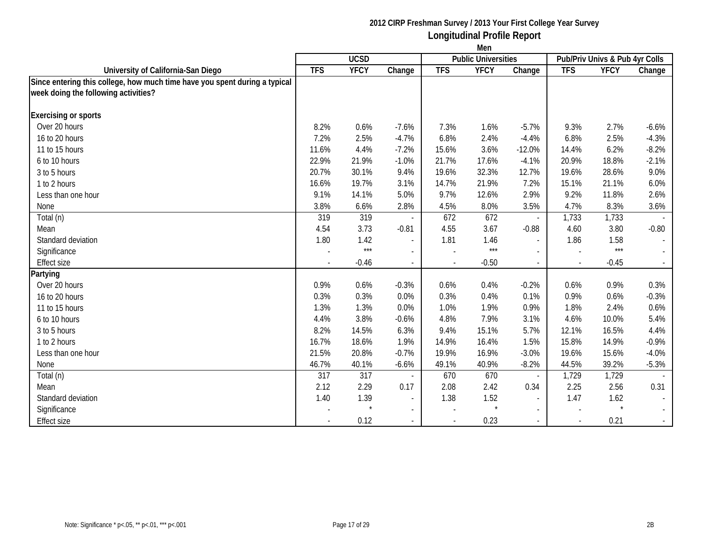|                                                                            | Men        |             |                          |            |                            |                          |            |                                |                           |
|----------------------------------------------------------------------------|------------|-------------|--------------------------|------------|----------------------------|--------------------------|------------|--------------------------------|---------------------------|
|                                                                            |            | <b>UCSD</b> |                          |            | <b>Public Universities</b> |                          |            | Pub/Priv Univs & Pub 4yr Colls |                           |
| University of California-San Diego                                         | <b>TFS</b> | <b>YFCY</b> | Change                   | <b>TFS</b> | <b>YFCY</b>                | Change                   | <b>TFS</b> | <b>YFCY</b>                    | Change                    |
| Since entering this college, how much time have you spent during a typical |            |             |                          |            |                            |                          |            |                                |                           |
| week doing the following activities?                                       |            |             |                          |            |                            |                          |            |                                |                           |
| <b>Exercising or sports</b>                                                |            |             |                          |            |                            |                          |            |                                |                           |
| Over 20 hours                                                              | 8.2%       | 0.6%        | $-7.6%$                  | 7.3%       | 1.6%                       | $-5.7%$                  | 9.3%       | 2.7%                           | $-6.6%$                   |
| 16 to 20 hours                                                             | 7.2%       | 2.5%        | $-4.7%$                  | 6.8%       | 2.4%                       | $-4.4%$                  | 6.8%       | 2.5%                           | $-4.3%$                   |
| 11 to 15 hours                                                             | 11.6%      | 4.4%        | $-7.2%$                  | 15.6%      | 3.6%                       | $-12.0%$                 | 14.4%      | 6.2%                           | $-8.2%$                   |
| 6 to 10 hours                                                              | 22.9%      | 21.9%       | $-1.0%$                  | 21.7%      | 17.6%                      | $-4.1%$                  | 20.9%      | 18.8%                          | $-2.1%$                   |
| 3 to 5 hours                                                               | 20.7%      | 30.1%       | 9.4%                     | 19.6%      | 32.3%                      | 12.7%                    | 19.6%      | 28.6%                          | 9.0%                      |
| 1 to 2 hours                                                               | 16.6%      | 19.7%       | 3.1%                     | 14.7%      | 21.9%                      | 7.2%                     | 15.1%      | 21.1%                          | 6.0%                      |
| Less than one hour                                                         | 9.1%       | 14.1%       | 5.0%                     | 9.7%       | 12.6%                      | 2.9%                     | 9.2%       | 11.8%                          | 2.6%                      |
| None                                                                       | 3.8%       | 6.6%        | 2.8%                     | 4.5%       | 8.0%                       | 3.5%                     | 4.7%       | 8.3%                           | 3.6%                      |
| Total (n)                                                                  | 319        | 319         |                          | 672        | 672                        | $\overline{\phantom{a}}$ | 1,733      | 1,733                          |                           |
| Mean                                                                       | 4.54       | 3.73        | $-0.81$                  | 4.55       | 3.67                       | $-0.88$                  | 4.60       | 3.80                           | $-0.80$                   |
| Standard deviation                                                         | 1.80       | 1.42        | $\overline{\phantom{a}}$ | 1.81       | 1.46                       | $\blacksquare$           | 1.86       | 1.58                           | $\overline{\phantom{a}}$  |
| Significance                                                               |            | $***$       | $\sim$                   |            | $***$                      |                          |            | $***$                          |                           |
| <b>Effect size</b>                                                         |            | $-0.46$     |                          |            | $-0.50$                    |                          |            | $-0.45$                        |                           |
| Partying                                                                   |            |             |                          |            |                            |                          |            |                                |                           |
| Over 20 hours                                                              | 0.9%       | 0.6%        | $-0.3%$                  | 0.6%       | 0.4%                       | $-0.2%$                  | 0.6%       | 0.9%                           | 0.3%                      |
| 16 to 20 hours                                                             | 0.3%       | 0.3%        | 0.0%                     | 0.3%       | 0.4%                       | 0.1%                     | 0.9%       | 0.6%                           | $-0.3%$                   |
| 11 to 15 hours                                                             | 1.3%       | 1.3%        | 0.0%                     | 1.0%       | 1.9%                       | 0.9%                     | 1.8%       | 2.4%                           | 0.6%                      |
| 6 to 10 hours                                                              | 4.4%       | 3.8%        | $-0.6%$                  | 4.8%       | 7.9%                       | 3.1%                     | 4.6%       | 10.0%                          | 5.4%                      |
| 3 to 5 hours                                                               | 8.2%       | 14.5%       | 6.3%                     | 9.4%       | 15.1%                      | 5.7%                     | 12.1%      | 16.5%                          | 4.4%                      |
| 1 to 2 hours                                                               | 16.7%      | 18.6%       | 1.9%                     | 14.9%      | 16.4%                      | 1.5%                     | 15.8%      | 14.9%                          | $-0.9%$                   |
| Less than one hour                                                         | 21.5%      | 20.8%       | $-0.7%$                  | 19.9%      | 16.9%                      | $-3.0%$                  | 19.6%      | 15.6%                          | $-4.0%$                   |
| None                                                                       | 46.7%      | 40.1%       | $-6.6%$                  | 49.1%      | 40.9%                      | $-8.2%$                  | 44.5%      | 39.2%                          | $-5.3%$                   |
| Total (n)                                                                  | 317        | 317         |                          | 670        | 670                        | $\overline{\phantom{a}}$ | 1,729      | 1,729                          |                           |
| Mean                                                                       | 2.12       | 2.29        | 0.17                     | 2.08       | 2.42                       | 0.34                     | 2.25       | 2.56                           | 0.31                      |
| Standard deviation                                                         | 1.40       | 1.39        | $\sim$                   | 1.38       | 1.52                       | $\overline{a}$           | 1.47       | 1.62                           |                           |
| Significance                                                               |            |             | $\sim$                   |            | $\star$                    | $\blacksquare$           |            | $\star$                        | $\mathbb{Z}^{\mathbb{Z}}$ |
| <b>Effect size</b>                                                         |            | 0.12        | $\overline{\phantom{a}}$ |            | 0.23                       | $\overline{a}$           |            | 0.21                           | $\sim$                    |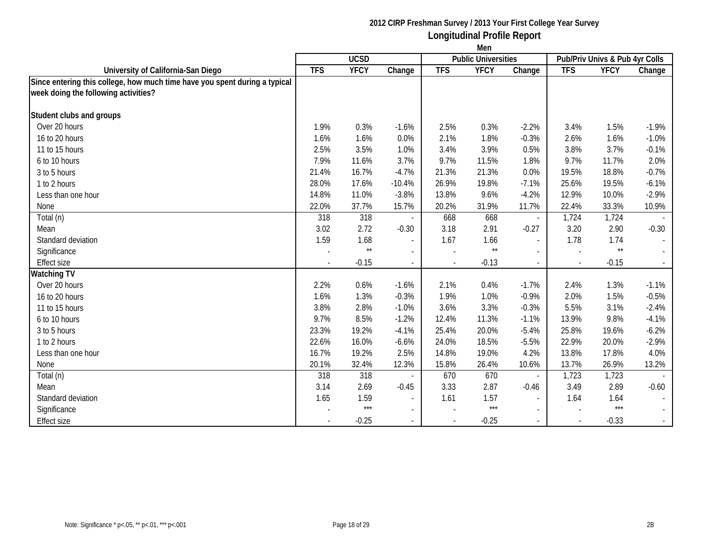|                                                                            | Men        |               |                          |            |                            |                          |            |                                |         |
|----------------------------------------------------------------------------|------------|---------------|--------------------------|------------|----------------------------|--------------------------|------------|--------------------------------|---------|
|                                                                            |            | <b>UCSD</b>   |                          |            | <b>Public Universities</b> |                          |            | Pub/Priv Univs & Pub 4yr Colls |         |
| University of California-San Diego                                         | <b>TFS</b> | <b>YFCY</b>   | Change                   | <b>TFS</b> | <b>YFCY</b>                | Change                   | <b>TFS</b> | <b>YFCY</b>                    | Change  |
| Since entering this college, how much time have you spent during a typical |            |               |                          |            |                            |                          |            |                                |         |
| week doing the following activities?                                       |            |               |                          |            |                            |                          |            |                                |         |
| Student clubs and groups                                                   |            |               |                          |            |                            |                          |            |                                |         |
| Over 20 hours                                                              | 1.9%       | 0.3%          | $-1.6%$                  | 2.5%       | 0.3%                       | $-2.2%$                  | 3.4%       | 1.5%                           | $-1.9%$ |
| 16 to 20 hours                                                             | 1.6%       | 1.6%          | 0.0%                     | 2.1%       | 1.8%                       | $-0.3%$                  | 2.6%       | 1.6%                           | $-1.0%$ |
| 11 to 15 hours                                                             | 2.5%       | 3.5%          | 1.0%                     | 3.4%       | 3.9%                       | 0.5%                     | 3.8%       | 3.7%                           | $-0.1%$ |
| 6 to 10 hours                                                              | 7.9%       | 11.6%         | 3.7%                     | 9.7%       | 11.5%                      | 1.8%                     | 9.7%       | 11.7%                          | 2.0%    |
| 3 to 5 hours                                                               | 21.4%      | 16.7%         | $-4.7%$                  | 21.3%      | 21.3%                      | 0.0%                     | 19.5%      | 18.8%                          | $-0.7%$ |
| 1 to 2 hours                                                               | 28.0%      | 17.6%         | $-10.4%$                 | 26.9%      | 19.8%                      | $-7.1%$                  | 25.6%      | 19.5%                          | $-6.1%$ |
| Less than one hour                                                         | 14.8%      | 11.0%         | $-3.8%$                  | 13.8%      | 9.6%                       | $-4.2%$                  | 12.9%      | 10.0%                          | $-2.9%$ |
| None                                                                       | 22.0%      | 37.7%         | 15.7%                    | 20.2%      | 31.9%                      | 11.7%                    | 22.4%      | 33.3%                          | 10.9%   |
| Total (n)                                                                  | 318        | 318           |                          | 668        | 668                        | $\overline{\phantom{a}}$ | 1,724      | 1,724                          |         |
| Mean                                                                       | 3.02       | 2.72          | $-0.30$                  | 3.18       | 2.91                       | $-0.27$                  | 3.20       | 2.90                           | $-0.30$ |
| Standard deviation                                                         | 1.59       | 1.68          | $\overline{\phantom{a}}$ | 1.67       | 1.66                       | $\overline{\phantom{a}}$ | 1.78       | 1.74                           |         |
| Significance                                                               |            | $\star\star$  | $\sim$                   |            | $\star\star$               |                          |            | $\star\star$                   |         |
| <b>Effect size</b>                                                         |            | $-0.15$       | $\blacksquare$           |            | $-0.13$                    |                          |            | $-0.15$                        |         |
| <b>Watching TV</b>                                                         |            |               |                          |            |                            |                          |            |                                |         |
| Over 20 hours                                                              | 2.2%       | 0.6%          | $-1.6%$                  | 2.1%       | 0.4%                       | $-1.7%$                  | 2.4%       | 1.3%                           | $-1.1%$ |
| 16 to 20 hours                                                             | 1.6%       | 1.3%          | $-0.3%$                  | 1.9%       | 1.0%                       | $-0.9%$                  | 2.0%       | 1.5%                           | $-0.5%$ |
| 11 to 15 hours                                                             | 3.8%       | 2.8%          | $-1.0%$                  | 3.6%       | 3.3%                       | $-0.3%$                  | 5.5%       | 3.1%                           | $-2.4%$ |
| 6 to 10 hours                                                              | 9.7%       | 8.5%          | $-1.2%$                  | 12.4%      | 11.3%                      | $-1.1%$                  | 13.9%      | 9.8%                           | $-4.1%$ |
| 3 to 5 hours                                                               | 23.3%      | 19.2%         | $-4.1%$                  | 25.4%      | 20.0%                      | $-5.4%$                  | 25.8%      | 19.6%                          | $-6.2%$ |
| 1 to 2 hours                                                               | 22.6%      | 16.0%         | $-6.6%$                  | 24.0%      | 18.5%                      | $-5.5%$                  | 22.9%      | 20.0%                          | $-2.9%$ |
| Less than one hour                                                         | 16.7%      | 19.2%         | 2.5%                     | 14.8%      | 19.0%                      | 4.2%                     | 13.8%      | 17.8%                          | 4.0%    |
| None                                                                       | 20.1%      | 32.4%         | 12.3%                    | 15.8%      | 26.4%                      | 10.6%                    | 13.7%      | 26.9%                          | 13.2%   |
| Total (n)                                                                  | 318        | 318           |                          | 670        | 670                        | $\overline{\phantom{a}}$ | 1,723      | 1,723                          |         |
| Mean                                                                       | 3.14       | 2.69          | $-0.45$                  | 3.33       | 2.87                       | $-0.46$                  | 3.49       | 2.89                           | $-0.60$ |
| Standard deviation                                                         | 1.65       | 1.59<br>$***$ | $\sim$                   | 1.61       | 1.57<br>$***$              |                          | 1.64       | 1.64<br>$***$                  |         |
| Significance                                                               |            |               | $\sim$                   |            |                            |                          |            |                                | $\sim$  |
| <b>Effect size</b>                                                         |            | $-0.25$       | $\sim$                   |            | $-0.25$                    | $\overline{\phantom{a}}$ |            | $-0.33$                        |         |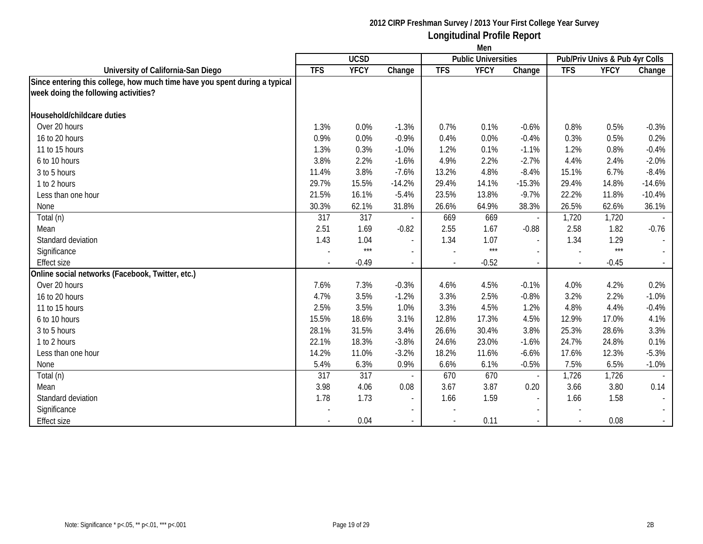|                                                                            | Men        |             |          |            |                            |                          |            |                                |                |
|----------------------------------------------------------------------------|------------|-------------|----------|------------|----------------------------|--------------------------|------------|--------------------------------|----------------|
|                                                                            |            | <b>UCSD</b> |          |            | <b>Public Universities</b> |                          |            | Pub/Priv Univs & Pub 4yr Colls |                |
| University of California-San Diego                                         | <b>TFS</b> | <b>YFCY</b> | Change   | <b>TFS</b> | <b>YFCY</b>                | Change                   | <b>TFS</b> | <b>YFCY</b>                    | Change         |
| Since entering this college, how much time have you spent during a typical |            |             |          |            |                            |                          |            |                                |                |
| week doing the following activities?                                       |            |             |          |            |                            |                          |            |                                |                |
| Household/childcare duties                                                 |            |             |          |            |                            |                          |            |                                |                |
| Over 20 hours                                                              | 1.3%       | 0.0%        | $-1.3%$  | 0.7%       | 0.1%                       | $-0.6%$                  | 0.8%       | 0.5%                           | $-0.3%$        |
| 16 to 20 hours                                                             | 0.9%       | 0.0%        | $-0.9%$  | 0.4%       | 0.0%                       | $-0.4%$                  | 0.3%       | 0.5%                           | 0.2%           |
| 11 to 15 hours                                                             | 1.3%       | 0.3%        | $-1.0%$  | 1.2%       | 0.1%                       | $-1.1%$                  | 1.2%       | 0.8%                           | $-0.4%$        |
| 6 to 10 hours                                                              | 3.8%       | 2.2%        | $-1.6%$  | 4.9%       | 2.2%                       | $-2.7%$                  | 4.4%       | 2.4%                           | $-2.0%$        |
| 3 to 5 hours                                                               | 11.4%      | 3.8%        | $-7.6%$  | 13.2%      | 4.8%                       | $-8.4%$                  | 15.1%      | 6.7%                           | $-8.4%$        |
| 1 to 2 hours                                                               | 29.7%      | 15.5%       | $-14.2%$ | 29.4%      | 14.1%                      | $-15.3%$                 | 29.4%      | 14.8%                          | $-14.6%$       |
| Less than one hour                                                         | 21.5%      | 16.1%       | $-5.4%$  | 23.5%      | 13.8%                      | $-9.7%$                  | 22.2%      | 11.8%                          | $-10.4%$       |
| None                                                                       | 30.3%      | 62.1%       | 31.8%    | 26.6%      | 64.9%                      | 38.3%                    | 26.5%      | 62.6%                          | 36.1%          |
| Total (n)                                                                  | 317        | 317         |          | 669        | 669                        | $\overline{\phantom{a}}$ | 1,720      | 1,720                          |                |
| Mean                                                                       | 2.51       | 1.69        | $-0.82$  | 2.55       | 1.67                       | $-0.88$                  | 2.58       | 1.82                           | $-0.76$        |
| Standard deviation                                                         | 1.43       | 1.04        |          | 1.34       | 1.07                       | $\overline{a}$           | 1.34       | 1.29                           |                |
| Significance                                                               |            | $***$       | $\sim$   |            | $***$                      | $\overline{a}$           |            | $***$                          | $\sim$         |
| <b>Effect size</b>                                                         |            | $-0.49$     |          |            | $-0.52$                    | $\mathcal{L}^{\pm}$      |            | $-0.45$                        |                |
| Online social networks (Facebook, Twitter, etc.)                           |            |             |          |            |                            |                          |            |                                |                |
| Over 20 hours                                                              | 7.6%       | 7.3%        | $-0.3%$  | 4.6%       | 4.5%                       | $-0.1%$                  | 4.0%       | 4.2%                           | 0.2%           |
| 16 to 20 hours                                                             | 4.7%       | 3.5%        | $-1.2%$  | 3.3%       | 2.5%                       | $-0.8%$                  | 3.2%       | 2.2%                           | $-1.0%$        |
| 11 to 15 hours                                                             | 2.5%       | 3.5%        | 1.0%     | 3.3%       | 4.5%                       | 1.2%                     | 4.8%       | 4.4%                           | $-0.4%$        |
| 6 to 10 hours                                                              | 15.5%      | 18.6%       | 3.1%     | 12.8%      | 17.3%                      | 4.5%                     | 12.9%      | 17.0%                          | 4.1%           |
| 3 to 5 hours                                                               | 28.1%      | 31.5%       | 3.4%     | 26.6%      | 30.4%                      | 3.8%                     | 25.3%      | 28.6%                          | 3.3%           |
| 1 to 2 hours                                                               | 22.1%      | 18.3%       | $-3.8%$  | 24.6%      | 23.0%                      | $-1.6%$                  | 24.7%      | 24.8%                          | 0.1%           |
| Less than one hour                                                         | 14.2%      | 11.0%       | $-3.2%$  | 18.2%      | 11.6%                      | $-6.6%$                  | 17.6%      | 12.3%                          | $-5.3%$        |
| None                                                                       | 5.4%       | 6.3%        | 0.9%     | 6.6%       | 6.1%                       | $-0.5%$                  | 7.5%       | 6.5%                           | $-1.0%$        |
| Total (n)                                                                  | 317        | 317         |          | 670        | 670                        |                          | 1,726      | 1,726                          |                |
| Mean                                                                       | 3.98       | 4.06        | 0.08     | 3.67       | 3.87                       | 0.20                     | 3.66       | 3.80                           | 0.14           |
| Standard deviation                                                         | 1.78       | 1.73        |          | 1.66       | 1.59                       | $\blacksquare$           | 1.66       | 1.58                           |                |
| Significance                                                               |            |             |          |            |                            | $\blacksquare$           |            |                                | $\sim$         |
| <b>Effect size</b>                                                         |            | 0.04        |          |            | 0.11                       | $\overline{\phantom{a}}$ |            | 0.08                           | $\sim 10^{-1}$ |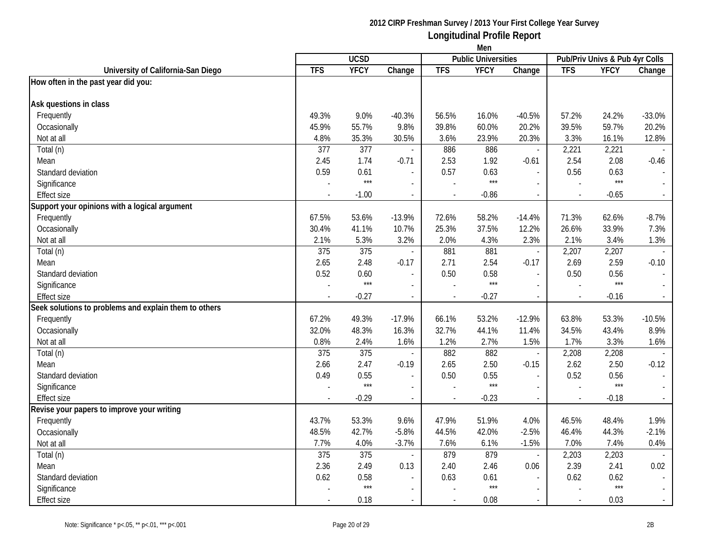|                                                       | Men        |             |                          |                          |                            |                          |            |                                |                          |
|-------------------------------------------------------|------------|-------------|--------------------------|--------------------------|----------------------------|--------------------------|------------|--------------------------------|--------------------------|
|                                                       |            | <b>UCSD</b> |                          |                          | <b>Public Universities</b> |                          |            | Pub/Priv Univs & Pub 4yr Colls |                          |
| University of California-San Diego                    | <b>TFS</b> | <b>YFCY</b> | Change                   | <b>TFS</b>               | <b>YFCY</b>                | Change                   | <b>TFS</b> | <b>YFCY</b>                    | Change                   |
| How often in the past year did you:                   |            |             |                          |                          |                            |                          |            |                                |                          |
|                                                       |            |             |                          |                          |                            |                          |            |                                |                          |
| Ask questions in class                                |            |             |                          |                          |                            |                          |            |                                |                          |
| Frequently                                            | 49.3%      | 9.0%        | $-40.3%$                 | 56.5%                    | 16.0%                      | $-40.5%$                 | 57.2%      | 24.2%                          | $-33.0%$                 |
| Occasionally                                          | 45.9%      | 55.7%       | 9.8%                     | 39.8%                    | 60.0%                      | 20.2%                    | 39.5%      | 59.7%                          | 20.2%                    |
| Not at all                                            | 4.8%       | 35.3%       | 30.5%                    | 3.6%                     | 23.9%                      | 20.3%                    | 3.3%       | 16.1%                          | 12.8%                    |
| Total (n)                                             | 377        | 377         | $\overline{a}$           | 886                      | 886                        | $\overline{\phantom{a}}$ | 2,221      | 2,221                          |                          |
| Mean                                                  | 2.45       | 1.74        | $-0.71$                  | 2.53                     | 1.92                       | $-0.61$                  | 2.54       | 2.08                           | $-0.46$                  |
| Standard deviation                                    | 0.59       | 0.61        |                          | 0.57                     | 0.63                       | $\overline{a}$           | 0.56       | 0.63                           |                          |
| Significance                                          |            | $***$       | $\sim$                   |                          | $***$                      | $\overline{\phantom{a}}$ |            | $***$                          |                          |
| <b>Effect size</b>                                    | ÷,         | $-1.00$     | $\overline{\phantom{a}}$ | $\overline{\phantom{a}}$ | $-0.86$                    | $\blacksquare$           |            | $-0.65$                        | $\blacksquare$           |
| Support your opinions with a logical argument         |            |             |                          |                          |                            |                          |            |                                |                          |
| Frequently                                            | 67.5%      | 53.6%       | $-13.9%$                 | 72.6%                    | 58.2%                      | $-14.4%$                 | 71.3%      | 62.6%                          | $-8.7%$                  |
| Occasionally                                          | 30.4%      | 41.1%       | 10.7%                    | 25.3%                    | 37.5%                      | 12.2%                    | 26.6%      | 33.9%                          | 7.3%                     |
| Not at all                                            | 2.1%       | 5.3%        | 3.2%                     | 2.0%                     | 4.3%                       | 2.3%                     | 2.1%       | 3.4%                           | 1.3%                     |
| Total (n)                                             | 375        | 375         | $\sim$                   | 881                      | 881                        | $\overline{\phantom{a}}$ | 2,207      | 2,207                          | $\overline{\phantom{a}}$ |
| Mean                                                  | 2.65       | 2.48        | $-0.17$                  | 2.71                     | 2.54                       | $-0.17$                  | 2.69       | 2.59                           | $-0.10$                  |
| Standard deviation                                    | 0.52       | 0.60        | $\overline{\phantom{a}}$ | 0.50                     | 0.58                       | $\overline{\phantom{a}}$ | 0.50       | 0.56                           |                          |
| Significance                                          |            | $***$       | $\overline{a}$           |                          | $***$                      |                          |            | $***$                          |                          |
| <b>Effect size</b>                                    |            | $-0.27$     | $\overline{\phantom{a}}$ |                          | $-0.27$                    | $\blacksquare$           |            | $-0.16$                        |                          |
| Seek solutions to problems and explain them to others |            |             |                          |                          |                            |                          |            |                                |                          |
| Frequently                                            | 67.2%      | 49.3%       | $-17.9%$                 | 66.1%                    | 53.2%                      | $-12.9%$                 | 63.8%      | 53.3%                          | $-10.5%$                 |
| Occasionally                                          | 32.0%      | 48.3%       | 16.3%                    | 32.7%                    | 44.1%                      | 11.4%                    | 34.5%      | 43.4%                          | 8.9%                     |
| Not at all                                            | 0.8%       | 2.4%        | 1.6%                     | 1.2%                     | 2.7%                       | 1.5%                     | 1.7%       | 3.3%                           | 1.6%                     |
| Total (n)                                             | 375        | 375         | $\overline{\phantom{a}}$ | 882                      | 882                        | $\blacksquare$           | 2,208      | 2,208                          | $\overline{\phantom{a}}$ |
| Mean                                                  | 2.66       | 2.47        | $-0.19$                  | 2.65                     | 2.50                       | $-0.15$                  | 2.62       | 2.50                           | $-0.12$                  |
| Standard deviation                                    | 0.49       | 0.55        | $\blacksquare$           | 0.50                     | 0.55                       | $\overline{a}$           | 0.52       | 0.56                           | $\sim$                   |
| Significance                                          |            | $***$       | $\sim$                   |                          | $***$                      | $\overline{a}$           |            | $***$                          | $\sim$                   |
| <b>Effect size</b>                                    |            | $-0.29$     | $\sim$                   | $\sim$                   | $-0.23$                    | $\overline{\phantom{a}}$ |            | $-0.18$                        | $\sim$                   |
| Revise your papers to improve your writing            |            |             |                          |                          |                            |                          |            |                                |                          |
| Frequently                                            | 43.7%      | 53.3%       | 9.6%                     | 47.9%                    | 51.9%                      | 4.0%                     | 46.5%      | 48.4%                          | 1.9%                     |
| Occasionally                                          | 48.5%      | 42.7%       | $-5.8%$                  | 44.5%                    | 42.0%                      | $-2.5%$                  | 46.4%      | 44.3%                          | $-2.1%$                  |
| Not at all                                            | 7.7%       | 4.0%        | $-3.7%$                  | 7.6%                     | 6.1%                       | $-1.5%$                  | 7.0%       | 7.4%                           | 0.4%                     |
| Total (n)                                             | 375        | 375         | $\overline{\phantom{a}}$ | 879                      | 879                        | $\blacksquare$           | 2,203      | 2,203                          |                          |
| Mean                                                  | 2.36       | 2.49        | 0.13                     | 2.40                     | 2.46                       | 0.06                     | 2.39       | 2.41                           | 0.02                     |
| Standard deviation                                    | 0.62       | 0.58        | $\overline{\phantom{a}}$ | 0.63                     | 0.61                       |                          | 0.62       | 0.62                           |                          |
| Significance                                          |            | $***$       |                          |                          | $***$                      |                          |            | $***$                          |                          |
| <b>Effect size</b>                                    |            | 0.18        | $\blacksquare$           |                          | 0.08                       |                          |            | 0.03                           | $\sim$                   |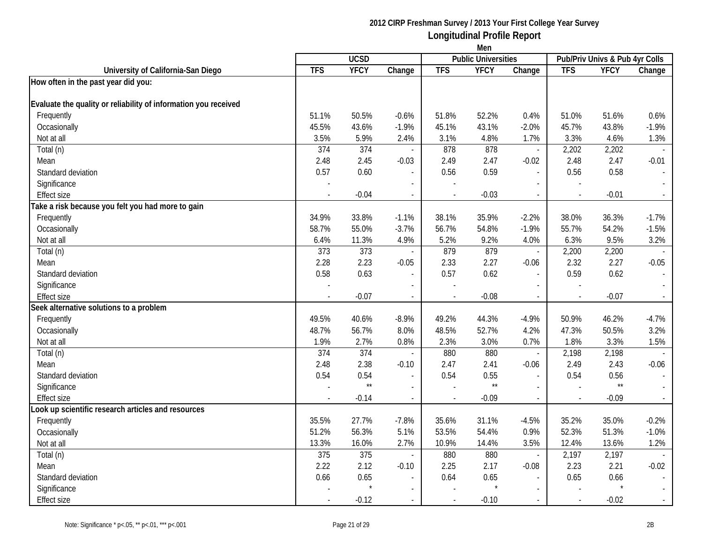|                                                                 | Men        |                  |                          |                |                            |                          |            |                                |                             |
|-----------------------------------------------------------------|------------|------------------|--------------------------|----------------|----------------------------|--------------------------|------------|--------------------------------|-----------------------------|
|                                                                 |            | <b>UCSD</b>      |                          |                | <b>Public Universities</b> |                          |            | Pub/Priv Univs & Pub 4yr Colls |                             |
| University of California-San Diego                              | <b>TFS</b> | <b>YFCY</b>      | Change                   | <b>TFS</b>     | <b>YFCY</b>                | Change                   | <b>TFS</b> | <b>YFCY</b>                    | Change                      |
| How often in the past year did you:                             |            |                  |                          |                |                            |                          |            |                                |                             |
| Evaluate the quality or reliability of information you received |            |                  |                          |                |                            |                          |            |                                |                             |
| Frequently                                                      | 51.1%      | 50.5%            | $-0.6%$                  | 51.8%          | 52.2%                      | 0.4%                     | 51.0%      | 51.6%                          | 0.6%                        |
| Occasionally                                                    | 45.5%      | 43.6%            | $-1.9%$                  | 45.1%          | 43.1%                      | $-2.0%$                  | 45.7%      | 43.8%                          | $-1.9%$                     |
| Not at all                                                      | 3.5%       | 5.9%             | 2.4%                     | 3.1%           | 4.8%                       | 1.7%                     | 3.3%       | 4.6%                           | 1.3%                        |
| Total (n)                                                       | 374        | 374              |                          | 878            | 878                        | $\overline{\phantom{a}}$ | 2,202      | 2,202                          |                             |
| Mean                                                            | 2.48       | 2.45             | $-0.03$                  | 2.49           | 2.47                       | $-0.02$                  | 2.48       | 2.47                           | $-0.01$                     |
| Standard deviation                                              | 0.57       | 0.60             |                          | 0.56           | 0.59                       | $\overline{\phantom{a}}$ | 0.56       | 0.58                           | $\overline{\phantom{a}}$    |
| Significance                                                    |            |                  |                          |                |                            |                          |            |                                |                             |
| <b>Effect size</b>                                              |            | $-0.04$          | $\overline{\phantom{a}}$ | $\blacksquare$ | $-0.03$                    | $\overline{\phantom{a}}$ |            | $-0.01$                        | $\overline{\phantom{a}}$    |
| Take a risk because you felt you had more to gain               |            |                  |                          |                |                            |                          |            |                                |                             |
| Frequently                                                      | 34.9%      | 33.8%            | $-1.1%$                  | 38.1%          | 35.9%                      | $-2.2%$                  | 38.0%      | 36.3%                          | $-1.7%$                     |
| Occasionally                                                    | 58.7%      | 55.0%            | $-3.7%$                  | 56.7%          | 54.8%                      | $-1.9%$                  | 55.7%      | 54.2%                          | $-1.5%$                     |
| Not at all                                                      | 6.4%       | 11.3%            | 4.9%                     | 5.2%           | 9.2%                       | 4.0%                     | 6.3%       | 9.5%                           | 3.2%                        |
| Total (n)                                                       | 373        | 373              |                          | 879            | 879                        | $\overline{a}$           | 2,200      | 2,200                          |                             |
| Mean                                                            | 2.28       | 2.23             | $-0.05$                  | 2.33           | 2.27                       | $-0.06$                  | 2.32       | 2.27                           | $-0.05$                     |
| Standard deviation                                              | 0.58       | 0.63             |                          | 0.57           | 0.62                       |                          | 0.59       | 0.62                           |                             |
| Significance                                                    |            |                  |                          |                |                            |                          |            |                                |                             |
| Effect size                                                     |            | $-0.07$          |                          |                | $-0.08$                    | $\blacksquare$           |            | $-0.07$                        | $\mathcal{L}_{\mathcal{A}}$ |
| Seek alternative solutions to a problem                         |            |                  |                          |                |                            |                          |            |                                |                             |
| Frequently                                                      | 49.5%      | 40.6%            | $-8.9%$                  | 49.2%          | 44.3%                      | $-4.9%$                  | 50.9%      | 46.2%                          | $-4.7%$                     |
| Occasionally                                                    | 48.7%      | 56.7%            | 8.0%                     | 48.5%          | 52.7%                      | 4.2%                     | 47.3%      | 50.5%                          | 3.2%                        |
| Not at all                                                      | 1.9%       | 2.7%             | 0.8%                     | 2.3%           | 3.0%                       | 0.7%                     | 1.8%       | 3.3%                           | 1.5%                        |
| Total (n)                                                       | 374        | 374              |                          | 880            | 880                        | $\overline{\phantom{a}}$ | 2,198      | 2,198                          |                             |
| Mean                                                            | 2.48       | 2.38             | $-0.10$                  | 2.47           | 2.41                       | $-0.06$                  | 2.49       | 2.43                           | $-0.06$                     |
| Standard deviation                                              | 0.54       | 0.54             |                          | 0.54           | 0.55                       |                          | 0.54       | 0.56                           | $\sim$                      |
| Significance                                                    |            | $\star\star$     | $\overline{a}$           |                | $\star\star$               | $\sim$                   |            | $\star\star$                   | $\sim$                      |
| <b>Effect size</b>                                              |            | $-0.14$          | $\overline{\phantom{a}}$ |                | $-0.09$                    | $\overline{\phantom{a}}$ |            | $-0.09$                        | $\omega_{\rm c}$            |
| Look up scientific research articles and resources              |            |                  |                          |                |                            |                          |            |                                |                             |
| Frequently                                                      | 35.5%      | 27.7%            | $-7.8%$                  | 35.6%          | 31.1%                      | $-4.5%$                  | 35.2%      | 35.0%                          | $-0.2%$                     |
| Occasionally                                                    | 51.2%      | 56.3%            | 5.1%                     | 53.5%          | 54.4%                      | 0.9%                     | 52.3%      | 51.3%                          | $-1.0%$                     |
| Not at all                                                      | 13.3%      | 16.0%            | 2.7%                     | 10.9%          | 14.4%                      | 3.5%                     | 12.4%      | 13.6%                          | 1.2%                        |
| Total (n)                                                       | 375        | $\overline{375}$ | $\mathcal{L}$            | 880            | 880                        | $\mathbb{L}^+$           | 2,197      | 2,197                          |                             |
| Mean                                                            | 2.22       | 2.12             | $-0.10$                  | 2.25           | 2.17                       | $-0.08$                  | 2.23       | 2.21                           | $-0.02$                     |
| Standard deviation                                              | 0.66       | 0.65             |                          | 0.64           | 0.65                       |                          | 0.65       | 0.66                           |                             |
| Significance                                                    |            |                  |                          |                |                            | $\overline{a}$           |            |                                | $\sim$                      |
| Effect size                                                     |            | $-0.12$          |                          |                | $-0.10$                    |                          |            | $-0.02$                        | $\sim$                      |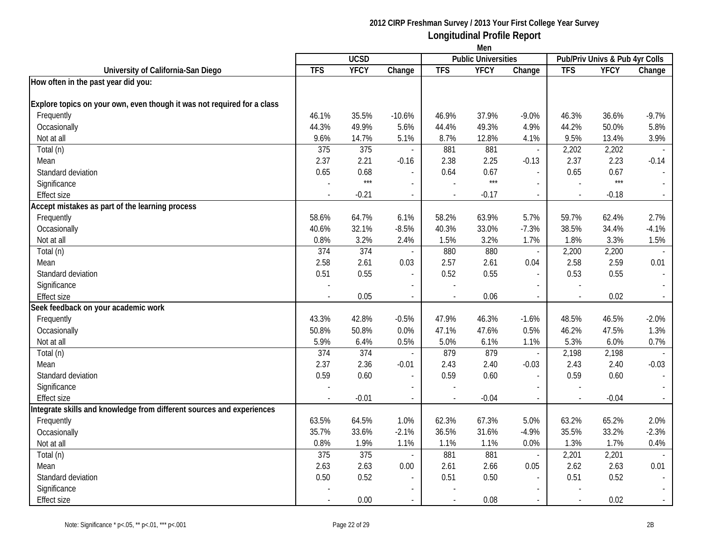|                                                                         | Men            |             |                          |                |                            |                          |            |                                |         |
|-------------------------------------------------------------------------|----------------|-------------|--------------------------|----------------|----------------------------|--------------------------|------------|--------------------------------|---------|
|                                                                         |                | <b>UCSD</b> |                          |                | <b>Public Universities</b> |                          |            | Pub/Priv Univs & Pub 4yr Colls |         |
| University of California-San Diego                                      | <b>TFS</b>     | <b>YFCY</b> | Change                   | <b>TFS</b>     | <b>YFCY</b>                | Change                   | <b>TFS</b> | <b>YFCY</b>                    | Change  |
| How often in the past year did you:                                     |                |             |                          |                |                            |                          |            |                                |         |
| Explore topics on your own, even though it was not required for a class |                |             |                          |                |                            |                          |            |                                |         |
| Frequently                                                              | 46.1%          | 35.5%       | $-10.6%$                 | 46.9%          | 37.9%                      | $-9.0%$                  | 46.3%      | 36.6%                          | $-9.7%$ |
| Occasionally                                                            | 44.3%          | 49.9%       | 5.6%                     | 44.4%          | 49.3%                      | 4.9%                     | 44.2%      | 50.0%                          | 5.8%    |
| Not at all                                                              | 9.6%           | 14.7%       | 5.1%                     | 8.7%           | 12.8%                      | 4.1%                     | 9.5%       | 13.4%                          | 3.9%    |
| Total (n)                                                               | 375            | 375         |                          | 881            | 881                        | $\overline{\phantom{a}}$ | 2,202      | 2,202                          |         |
| Mean                                                                    | 2.37           | 2.21        | $-0.16$                  | 2.38           | 2.25                       | $-0.13$                  | 2.37       | 2.23                           | $-0.14$ |
| Standard deviation                                                      | 0.65           | 0.68        |                          | 0.64           | 0.67                       | $\overline{\phantom{a}}$ | 0.65       | 0.67                           |         |
| Significance                                                            |                | $***$       |                          |                | $***$                      | $\sim$                   |            | $***$                          |         |
| <b>Effect size</b>                                                      |                | $-0.21$     | $\blacksquare$           |                | $-0.17$                    | $\blacksquare$           |            | $-0.18$                        | $\sim$  |
| Accept mistakes as part of the learning process                         |                |             |                          |                |                            |                          |            |                                |         |
| Frequently                                                              | 58.6%          | 64.7%       | 6.1%                     | 58.2%          | 63.9%                      | 5.7%                     | 59.7%      | 62.4%                          | 2.7%    |
| Occasionally                                                            | 40.6%          | 32.1%       | $-8.5%$                  | 40.3%          | 33.0%                      | $-7.3%$                  | 38.5%      | 34.4%                          | $-4.1%$ |
| Not at all                                                              | 0.8%           | 3.2%        | 2.4%                     | 1.5%           | 3.2%                       | 1.7%                     | 1.8%       | 3.3%                           | 1.5%    |
| Total (n)                                                               | 374            | 374         |                          | 880            | 880                        | $\overline{\phantom{a}}$ | 2,200      | 2,200                          |         |
| Mean                                                                    | 2.58           | 2.61        | 0.03                     | 2.57           | 2.61                       | 0.04                     | 2.58       | 2.59                           | 0.01    |
| Standard deviation                                                      | 0.51           | 0.55        |                          | 0.52           | 0.55                       |                          | 0.53       | 0.55                           |         |
| Significance                                                            |                |             |                          |                |                            |                          |            |                                |         |
| <b>Effect size</b>                                                      |                | 0.05        | $\overline{\phantom{a}}$ |                | 0.06                       | $\blacksquare$           |            | 0.02                           | $\sim$  |
| Seek feedback on your academic work                                     |                |             |                          |                |                            |                          |            |                                |         |
| Frequently                                                              | 43.3%          | 42.8%       | $-0.5%$                  | 47.9%          | 46.3%                      | $-1.6%$                  | 48.5%      | 46.5%                          | $-2.0%$ |
| Occasionally                                                            | 50.8%          | 50.8%       | 0.0%                     | 47.1%          | 47.6%                      | 0.5%                     | 46.2%      | 47.5%                          | 1.3%    |
| Not at all                                                              | 5.9%           | 6.4%        | 0.5%                     | 5.0%           | 6.1%                       | 1.1%                     | 5.3%       | 6.0%                           | 0.7%    |
| Total (n)                                                               | 374            | 374         |                          | 879            | 879                        | $\blacksquare$           | 2,198      | 2,198                          |         |
| Mean                                                                    | 2.37           | 2.36        | $-0.01$                  | 2.43           | 2.40                       | $-0.03$                  | 2.43       | 2.40                           | $-0.03$ |
| Standard deviation                                                      | 0.59           | 0.60        |                          | 0.59           | 0.60                       |                          | 0.59       | 0.60                           |         |
| Significance                                                            |                |             | $\overline{\phantom{a}}$ |                |                            | $\overline{\phantom{a}}$ |            |                                |         |
| <b>Effect size</b>                                                      | $\overline{a}$ | $-0.01$     | $\blacksquare$           | $\blacksquare$ | $-0.04$                    | $\sim$                   |            | $-0.04$                        | $\sim$  |
| Integrate skills and knowledge from different sources and experiences   |                |             |                          |                |                            |                          |            |                                |         |
| Frequently                                                              | 63.5%          | 64.5%       | 1.0%                     | 62.3%          | 67.3%                      | 5.0%                     | 63.2%      | 65.2%                          | 2.0%    |
| Occasionally                                                            | 35.7%          | 33.6%       | $-2.1%$                  | 36.5%          | 31.6%                      | $-4.9%$                  | 35.5%      | 33.2%                          | $-2.3%$ |
| Not at all                                                              | 0.8%           | 1.9%        | 1.1%                     | 1.1%           | 1.1%                       | 0.0%                     | 1.3%       | 1.7%                           | 0.4%    |
| Total (n)                                                               | 375            | 375         | $\mathcal{L}$            | 881            | 881                        | $\overline{\phantom{a}}$ | 2,201      | 2,201                          |         |
| Mean                                                                    | 2.63           | 2.63        | 0.00                     | 2.61           | 2.66                       | 0.05                     | 2.62       | 2.63                           | 0.01    |
| Standard deviation                                                      | 0.50           | 0.52        |                          | 0.51           | 0.50                       |                          | 0.51       | 0.52                           |         |
| Significance                                                            |                |             |                          |                |                            | $\overline{\phantom{a}}$ |            |                                |         |
| <b>Effect size</b>                                                      |                | 0.00        | $\sim$                   |                | 0.08                       | $\sim$                   |            | 0.02                           | $\sim$  |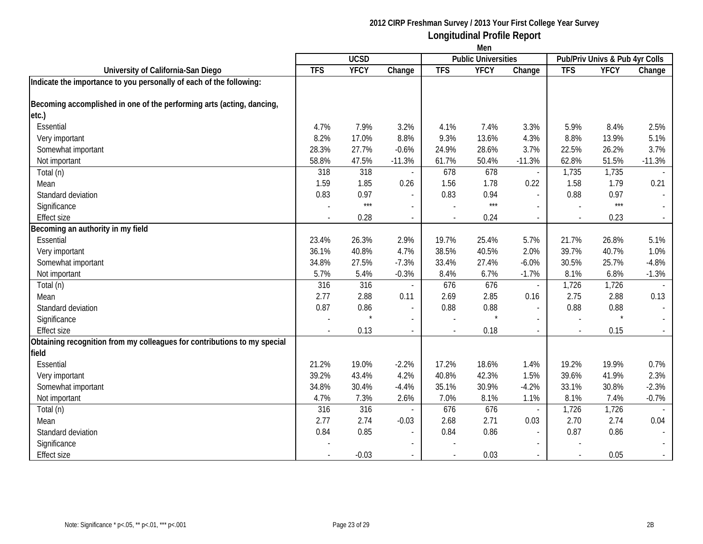|                                                                          | Men            |             |                          |            |                            |                          |            |                                |          |
|--------------------------------------------------------------------------|----------------|-------------|--------------------------|------------|----------------------------|--------------------------|------------|--------------------------------|----------|
|                                                                          |                | <b>UCSD</b> |                          |            | <b>Public Universities</b> |                          |            | Pub/Priv Univs & Pub 4yr Colls |          |
| University of California-San Diego                                       | <b>TFS</b>     | <b>YFCY</b> | Change                   | <b>TFS</b> | <b>YFCY</b>                | Change                   | <b>TFS</b> | <b>YFCY</b>                    | Change   |
| Indicate the importance to you personally of each of the following:      |                |             |                          |            |                            |                          |            |                                |          |
| Becoming accomplished in one of the performing arts (acting, dancing,    |                |             |                          |            |                            |                          |            |                                |          |
| etc.)                                                                    |                |             |                          |            |                            |                          |            |                                |          |
| Essential                                                                | 4.7%           | 7.9%        | 3.2%                     | 4.1%       | 7.4%                       | 3.3%                     | 5.9%       | 8.4%                           | 2.5%     |
| Very important                                                           | 8.2%           | 17.0%       | 8.8%                     | 9.3%       | 13.6%                      | 4.3%                     | 8.8%       | 13.9%                          | 5.1%     |
| Somewhat important                                                       | 28.3%          | 27.7%       | $-0.6%$                  | 24.9%      | 28.6%                      | 3.7%                     | 22.5%      | 26.2%                          | 3.7%     |
| Not important                                                            | 58.8%          | 47.5%       | $-11.3%$                 | 61.7%      | 50.4%                      | $-11.3%$                 | 62.8%      | 51.5%                          | $-11.3%$ |
| Total (n)                                                                | 318            | 318         |                          | 678        | 678                        | $\blacksquare$           | 1,735      | 1,735                          |          |
| Mean                                                                     | 1.59           | 1.85        | 0.26                     | 1.56       | 1.78                       | 0.22                     | 1.58       | 1.79                           | 0.21     |
| Standard deviation                                                       | 0.83           | 0.97        |                          | 0.83       | 0.94                       | $\overline{a}$           | 0.88       | 0.97                           | $\sim$   |
| Significance                                                             |                | $***$       |                          |            | ***                        | $\overline{\phantom{a}}$ |            | $***$                          |          |
| <b>Effect size</b>                                                       |                | 0.28        | $\blacksquare$           |            | 0.24                       | $\overline{a}$           |            | 0.23                           |          |
| Becoming an authority in my field                                        |                |             |                          |            |                            |                          |            |                                |          |
| Essential                                                                | 23.4%          | 26.3%       | 2.9%                     | 19.7%      | 25.4%                      | 5.7%                     | 21.7%      | 26.8%                          | 5.1%     |
| Very important                                                           | 36.1%          | 40.8%       | 4.7%                     | 38.5%      | 40.5%                      | 2.0%                     | 39.7%      | 40.7%                          | 1.0%     |
| Somewhat important                                                       | 34.8%          | 27.5%       | $-7.3%$                  | 33.4%      | 27.4%                      | $-6.0%$                  | 30.5%      | 25.7%                          | $-4.8%$  |
| Not important                                                            | 5.7%           | 5.4%        | $-0.3%$                  | 8.4%       | 6.7%                       | $-1.7%$                  | 8.1%       | 6.8%                           | $-1.3%$  |
| Total (n)                                                                | 316            | 316         |                          | 676        | 676                        | $\overline{\phantom{a}}$ | 1,726      | 1,726                          |          |
| Mean                                                                     | 2.77           | 2.88        | 0.11                     | 2.69       | 2.85                       | 0.16                     | 2.75       | 2.88                           | 0.13     |
| Standard deviation                                                       | 0.87           | 0.86        | $\overline{\phantom{a}}$ | 0.88       | 0.88                       | $\blacksquare$           | 0.88       | 0.88                           | $\sim$   |
| Significance                                                             |                |             | $\sim$                   |            |                            |                          |            | $\star$                        |          |
| <b>Effect size</b>                                                       | $\blacksquare$ | 0.13        | $\sim$                   |            | 0.18                       | $\overline{\phantom{a}}$ |            | 0.15                           | $\sim$   |
| Obtaining recognition from my colleagues for contributions to my special |                |             |                          |            |                            |                          |            |                                |          |
| field                                                                    |                |             |                          |            |                            |                          |            |                                |          |
| Essential                                                                | 21.2%          | 19.0%       | $-2.2%$                  | 17.2%      | 18.6%                      | 1.4%                     | 19.2%      | 19.9%                          | 0.7%     |
| Very important                                                           | 39.2%          | 43.4%       | 4.2%                     | 40.8%      | 42.3%                      | 1.5%                     | 39.6%      | 41.9%                          | 2.3%     |
| Somewhat important                                                       | 34.8%          | 30.4%       | $-4.4%$                  | 35.1%      | 30.9%                      | $-4.2%$                  | 33.1%      | 30.8%                          | $-2.3%$  |
| Not important                                                            | 4.7%           | 7.3%        | 2.6%                     | 7.0%       | 8.1%                       | 1.1%                     | 8.1%       | 7.4%                           | $-0.7%$  |
| Total (n)                                                                | 316            | 316         |                          | 676        | 676                        | $\blacksquare$           | 1,726      | 1,726                          |          |
| Mean                                                                     | 2.77           | 2.74        | $-0.03$                  | 2.68       | 2.71                       | 0.03                     | 2.70       | 2.74                           | 0.04     |
| Standard deviation                                                       | 0.84           | 0.85        | $\overline{\phantom{a}}$ | 0.84       | 0.86                       |                          | 0.87       | 0.86                           |          |
| Significance                                                             |                |             |                          |            |                            |                          |            |                                |          |
| <b>Effect size</b>                                                       |                | $-0.03$     |                          |            | 0.03                       |                          |            | 0.05                           | $\sim$   |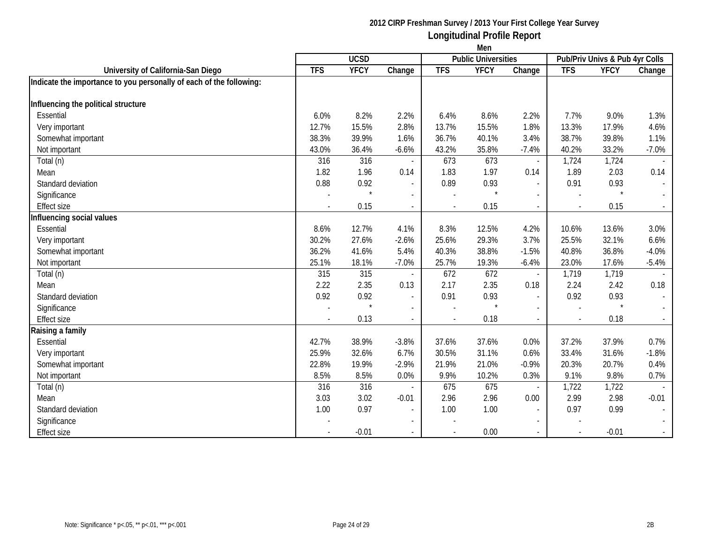|                                                                     | Men              |             |                          |            |                            |                          |            |                                |                             |  |
|---------------------------------------------------------------------|------------------|-------------|--------------------------|------------|----------------------------|--------------------------|------------|--------------------------------|-----------------------------|--|
|                                                                     |                  | <b>UCSD</b> |                          |            | <b>Public Universities</b> |                          |            | Pub/Priv Univs & Pub 4yr Colls |                             |  |
| University of California-San Diego                                  | $\overline{TFS}$ | <b>YFCY</b> | Change                   | <b>TFS</b> | <b>YFCY</b>                | Change                   | <b>TFS</b> | <b>YFCY</b>                    | Change                      |  |
| Indicate the importance to you personally of each of the following: |                  |             |                          |            |                            |                          |            |                                |                             |  |
|                                                                     |                  |             |                          |            |                            |                          |            |                                |                             |  |
| Influencing the political structure                                 |                  |             |                          |            |                            |                          |            |                                |                             |  |
| Essential                                                           | 6.0%             | 8.2%        | 2.2%                     | 6.4%       | 8.6%                       | 2.2%                     | 7.7%       | 9.0%                           | 1.3%                        |  |
| Very important                                                      | 12.7%            | 15.5%       | 2.8%                     | 13.7%      | 15.5%                      | 1.8%                     | 13.3%      | 17.9%                          | 4.6%                        |  |
| Somewhat important                                                  | 38.3%            | 39.9%       | 1.6%                     | 36.7%      | 40.1%                      | 3.4%                     | 38.7%      | 39.8%                          | 1.1%                        |  |
| Not important                                                       | 43.0%            | 36.4%       | $-6.6%$                  | 43.2%      | 35.8%                      | $-7.4%$                  | 40.2%      | 33.2%                          | $-7.0%$                     |  |
| Total (n)                                                           | 316              | 316         |                          | 673        | 673                        | $\overline{\phantom{a}}$ | 1,724      | 1,724                          |                             |  |
| Mean                                                                | 1.82             | 1.96        | 0.14                     | 1.83       | 1.97                       | 0.14                     | 1.89       | 2.03                           | 0.14                        |  |
| Standard deviation                                                  | 0.88             | 0.92        | $\sim$                   | 0.89       | 0.93                       | $\overline{\phantom{a}}$ | 0.91       | 0.93                           | $\sim$                      |  |
| Significance                                                        |                  | $\star$     | $\blacksquare$           |            |                            | $\overline{\phantom{a}}$ |            | $\star$                        | $\sim$                      |  |
| <b>Effect size</b>                                                  |                  | 0.15        | $\sim$                   |            | 0.15                       |                          |            | 0.15                           |                             |  |
| Influencing social values                                           |                  |             |                          |            |                            |                          |            |                                |                             |  |
| Essential                                                           | 8.6%             | 12.7%       | 4.1%                     | 8.3%       | 12.5%                      | 4.2%                     | 10.6%      | 13.6%                          | 3.0%                        |  |
| Very important                                                      | 30.2%            | 27.6%       | $-2.6%$                  | 25.6%      | 29.3%                      | 3.7%                     | 25.5%      | 32.1%                          | 6.6%                        |  |
| Somewhat important                                                  | 36.2%            | 41.6%       | 5.4%                     | 40.3%      | 38.8%                      | $-1.5%$                  | 40.8%      | 36.8%                          | $-4.0%$                     |  |
| Not important                                                       | 25.1%            | 18.1%       | $-7.0%$                  | 25.7%      | 19.3%                      | $-6.4%$                  | 23.0%      | 17.6%                          | $-5.4%$                     |  |
| Total (n)                                                           | 315              | 315         | $\overline{\phantom{a}}$ | 672        | 672                        | $\overline{\phantom{a}}$ | 1,719      | 1,719                          |                             |  |
| Mean                                                                | 2.22             | 2.35        | 0.13                     | 2.17       | 2.35                       | 0.18                     | 2.24       | 2.42                           | 0.18                        |  |
| Standard deviation                                                  | 0.92             | 0.92        | $\sim$                   | 0.91       | 0.93                       | $\overline{\phantom{a}}$ | 0.92       | 0.93                           | $\sim$                      |  |
| Significance                                                        |                  |             | $\overline{\phantom{a}}$ |            |                            |                          |            | $\star$                        | $\sim$                      |  |
| <b>Effect size</b>                                                  |                  | 0.13        | $\overline{\phantom{a}}$ |            | 0.18                       |                          |            | 0.18                           | $\mathcal{L}_{\mathcal{A}}$ |  |
| Raising a family                                                    |                  |             |                          |            |                            |                          |            |                                |                             |  |
| Essential                                                           | 42.7%            | 38.9%       | $-3.8%$                  | 37.6%      | 37.6%                      | 0.0%                     | 37.2%      | 37.9%                          | 0.7%                        |  |
| Very important                                                      | 25.9%            | 32.6%       | 6.7%                     | 30.5%      | 31.1%                      | 0.6%                     | 33.4%      | 31.6%                          | $-1.8%$                     |  |
| Somewhat important                                                  | 22.8%            | 19.9%       | $-2.9%$                  | 21.9%      | 21.0%                      | $-0.9%$                  | 20.3%      | 20.7%                          | 0.4%                        |  |
| Not important                                                       | 8.5%             | 8.5%        | 0.0%                     | 9.9%       | 10.2%                      | 0.3%                     | 9.1%       | 9.8%                           | 0.7%                        |  |
| Total (n)                                                           | 316              | 316         |                          | 675        | 675                        | $\blacksquare$           | 1,722      | 1,722                          |                             |  |
| Mean                                                                | 3.03             | 3.02        | $-0.01$                  | 2.96       | 2.96                       | 0.00                     | 2.99       | 2.98                           | $-0.01$                     |  |
| Standard deviation                                                  | 1.00             | 0.97        | $\sim$                   | 1.00       | 1.00                       | $\overline{\phantom{a}}$ | 0.97       | 0.99                           | $\sim$                      |  |
| Significance                                                        |                  |             | $\blacksquare$           |            |                            |                          |            |                                | $\sim$                      |  |
| <b>Effect size</b>                                                  |                  | $-0.01$     |                          |            | 0.00                       |                          |            | $-0.01$                        |                             |  |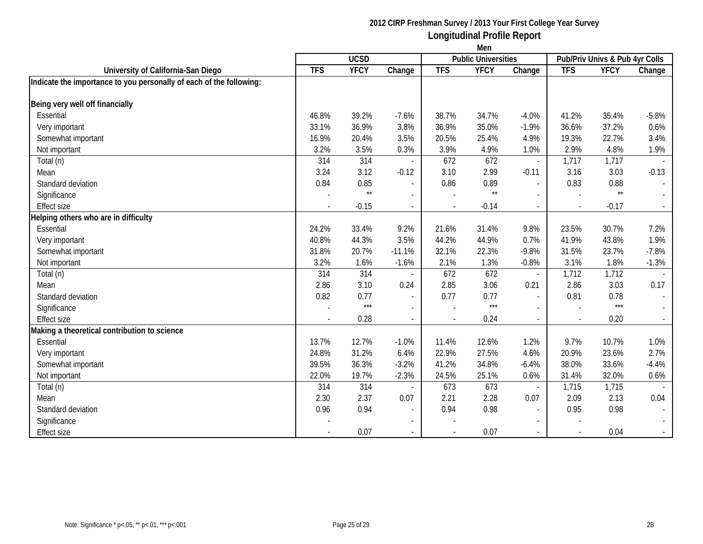| <b>UCSD</b><br><b>Public Universities</b><br>Pub/Priv Univs & Pub 4yr Colls<br><b>TFS</b><br><b>YFCY</b><br><b>TFS</b><br><b>YFCY</b><br><b>TFS</b><br><b>YFCY</b><br>University of California-San Diego<br>Change<br>Change<br>Change<br>Indicate the importance to you personally of each of the following:<br>Being very well off financially<br>Essential<br>46.8%<br>39.2%<br>$-7.6%$<br>38.7%<br>34.7%<br>$-4.0%$<br>41.2%<br>35.4%<br>$-5.8%$<br>Very important<br>33.1%<br>36.9%<br>3.8%<br>36.9%<br>35.0%<br>$-1.9%$<br>36.6%<br>37.2%<br>0.6%<br>16.9%<br>3.5%<br>20.5%<br>25.4%<br>19.3%<br>22.7%<br>3.4%<br>Somewhat important<br>20.4%<br>4.9%<br>3.2%<br>2.9%<br>4.8%<br>3.5%<br>0.3%<br>3.9%<br>4.9%<br>1.0%<br>1.9%<br>Not important<br>314<br>672<br>314<br>672<br>1,717<br>1,717<br>Total (n)<br>$\overline{a}$<br>3.12<br>3.10<br>2.99<br>3.16<br>3.24<br>$-0.12$<br>$-0.11$<br>3.03<br>$-0.13$<br>Mean<br>0.84<br>0.85<br>0.86<br>0.83<br>0.89<br>0.88<br>Standard deviation<br>$\overline{\phantom{a}}$<br>$\overline{a}$<br>$\overline{\phantom{a}}$<br>$\star\star$<br>$\star\star$<br>$^{\star\star}$<br>Significance<br>$\mathbf{r}$<br>$\overline{\phantom{a}}$<br>$\overline{a}$<br><b>Effect size</b><br>$-0.15$<br>$-0.17$<br>$-0.14$<br>$\sim$<br>Helping others who are in difficulty<br>Essential<br>24.2%<br>33.4%<br>9.2%<br>21.6%<br>31.4%<br>9.8%<br>23.5%<br>30.7%<br>7.2%<br>40.8%<br>3.5%<br>44.9%<br>41.9%<br>1.9%<br>44.3%<br>44.2%<br>0.7%<br>43.8%<br>Very important<br>31.8%<br>$-11.1%$<br>22.3%<br>$-9.8%$<br>31.5%<br>$-7.8%$<br>Somewhat important<br>20.7%<br>32.1%<br>23.7%<br>3.2%<br>Not important<br>1.6%<br>$-1.6%$<br>2.1%<br>1.3%<br>$-0.8%$<br>3.1%<br>1.8%<br>$-1.3%$<br>314<br>672<br>1,712<br>Total (n)<br>314<br>672<br>1,712<br>$\overline{\phantom{a}}$<br>$\overline{a}$<br>$\overline{\phantom{a}}$<br>3.10<br>3.06<br>2.86<br>3.03<br>0.17<br>2.86<br>0.24<br>2.85<br>0.21<br>Mean<br>0.82<br>0.77<br>0.77<br>0.77<br>0.81<br>0.78<br>Standard deviation<br>$\sim$<br>$\sim$<br>$\sim$<br>$***$<br>$***$<br>$***$<br>Significance<br>$\sim$<br>0.28<br>0.24<br>0.20<br><b>Effect size</b><br>$\blacksquare$<br>$\sim$<br>Making a theoretical contribution to science<br>12.6%<br>9.7%<br>Essential<br>13.7%<br>12.7%<br>$-1.0%$<br>11.4%<br>1.2%<br>10.7%<br>1.0%<br>24.8%<br>6.4%<br>27.5%<br>20.9%<br>2.7%<br>31.2%<br>22.9%<br>4.6%<br>23.6%<br>Very important<br>Somewhat important<br>39.5%<br>36.3%<br>$-3.2%$<br>41.2%<br>34.8%<br>38.0%<br>33.6%<br>$-4.4%$<br>$-6.4%$<br>25.1%<br>22.0%<br>19.7%<br>$-2.3%$<br>24.5%<br>31.4%<br>32.0%<br>0.6%<br>Not important<br>0.6%<br>673<br>314<br>314<br>673<br>1,715<br>Total (n)<br>1,715<br>2.37<br>2.21<br>2.28<br>0.07<br>2.09<br>2.13<br>0.04<br>Mean<br>2.30<br>0.07<br>0.96<br>0.94<br>0.94<br>0.98<br>0.95<br>0.98<br>Standard deviation<br>$\sim$<br>$\sim$<br>$\overline{\phantom{a}}$<br>Significance<br>$\blacksquare$ |                    | Men |      |                |  |      |                          |  |      |        |  |
|--------------------------------------------------------------------------------------------------------------------------------------------------------------------------------------------------------------------------------------------------------------------------------------------------------------------------------------------------------------------------------------------------------------------------------------------------------------------------------------------------------------------------------------------------------------------------------------------------------------------------------------------------------------------------------------------------------------------------------------------------------------------------------------------------------------------------------------------------------------------------------------------------------------------------------------------------------------------------------------------------------------------------------------------------------------------------------------------------------------------------------------------------------------------------------------------------------------------------------------------------------------------------------------------------------------------------------------------------------------------------------------------------------------------------------------------------------------------------------------------------------------------------------------------------------------------------------------------------------------------------------------------------------------------------------------------------------------------------------------------------------------------------------------------------------------------------------------------------------------------------------------------------------------------------------------------------------------------------------------------------------------------------------------------------------------------------------------------------------------------------------------------------------------------------------------------------------------------------------------------------------------------------------------------------------------------------------------------------------------------------------------------------------------------------------------------------------------------------------------------------------------------------------------------------------------------------------------------------------------------------------------------------------------------------------------------------------------------------------------------------------------------------------------------------------------------------------------------------------------------------------------------------------------------------------------------------------|--------------------|-----|------|----------------|--|------|--------------------------|--|------|--------|--|
|                                                                                                                                                                                                                                                                                                                                                                                                                                                                                                                                                                                                                                                                                                                                                                                                                                                                                                                                                                                                                                                                                                                                                                                                                                                                                                                                                                                                                                                                                                                                                                                                                                                                                                                                                                                                                                                                                                                                                                                                                                                                                                                                                                                                                                                                                                                                                                                                                                                                                                                                                                                                                                                                                                                                                                                                                                                                                                                                                        |                    |     |      |                |  |      |                          |  |      |        |  |
|                                                                                                                                                                                                                                                                                                                                                                                                                                                                                                                                                                                                                                                                                                                                                                                                                                                                                                                                                                                                                                                                                                                                                                                                                                                                                                                                                                                                                                                                                                                                                                                                                                                                                                                                                                                                                                                                                                                                                                                                                                                                                                                                                                                                                                                                                                                                                                                                                                                                                                                                                                                                                                                                                                                                                                                                                                                                                                                                                        |                    |     |      |                |  |      |                          |  |      |        |  |
|                                                                                                                                                                                                                                                                                                                                                                                                                                                                                                                                                                                                                                                                                                                                                                                                                                                                                                                                                                                                                                                                                                                                                                                                                                                                                                                                                                                                                                                                                                                                                                                                                                                                                                                                                                                                                                                                                                                                                                                                                                                                                                                                                                                                                                                                                                                                                                                                                                                                                                                                                                                                                                                                                                                                                                                                                                                                                                                                                        |                    |     |      |                |  |      |                          |  |      |        |  |
|                                                                                                                                                                                                                                                                                                                                                                                                                                                                                                                                                                                                                                                                                                                                                                                                                                                                                                                                                                                                                                                                                                                                                                                                                                                                                                                                                                                                                                                                                                                                                                                                                                                                                                                                                                                                                                                                                                                                                                                                                                                                                                                                                                                                                                                                                                                                                                                                                                                                                                                                                                                                                                                                                                                                                                                                                                                                                                                                                        |                    |     |      |                |  |      |                          |  |      |        |  |
|                                                                                                                                                                                                                                                                                                                                                                                                                                                                                                                                                                                                                                                                                                                                                                                                                                                                                                                                                                                                                                                                                                                                                                                                                                                                                                                                                                                                                                                                                                                                                                                                                                                                                                                                                                                                                                                                                                                                                                                                                                                                                                                                                                                                                                                                                                                                                                                                                                                                                                                                                                                                                                                                                                                                                                                                                                                                                                                                                        |                    |     |      |                |  |      |                          |  |      |        |  |
|                                                                                                                                                                                                                                                                                                                                                                                                                                                                                                                                                                                                                                                                                                                                                                                                                                                                                                                                                                                                                                                                                                                                                                                                                                                                                                                                                                                                                                                                                                                                                                                                                                                                                                                                                                                                                                                                                                                                                                                                                                                                                                                                                                                                                                                                                                                                                                                                                                                                                                                                                                                                                                                                                                                                                                                                                                                                                                                                                        |                    |     |      |                |  |      |                          |  |      |        |  |
|                                                                                                                                                                                                                                                                                                                                                                                                                                                                                                                                                                                                                                                                                                                                                                                                                                                                                                                                                                                                                                                                                                                                                                                                                                                                                                                                                                                                                                                                                                                                                                                                                                                                                                                                                                                                                                                                                                                                                                                                                                                                                                                                                                                                                                                                                                                                                                                                                                                                                                                                                                                                                                                                                                                                                                                                                                                                                                                                                        |                    |     |      |                |  |      |                          |  |      |        |  |
|                                                                                                                                                                                                                                                                                                                                                                                                                                                                                                                                                                                                                                                                                                                                                                                                                                                                                                                                                                                                                                                                                                                                                                                                                                                                                                                                                                                                                                                                                                                                                                                                                                                                                                                                                                                                                                                                                                                                                                                                                                                                                                                                                                                                                                                                                                                                                                                                                                                                                                                                                                                                                                                                                                                                                                                                                                                                                                                                                        |                    |     |      |                |  |      |                          |  |      |        |  |
|                                                                                                                                                                                                                                                                                                                                                                                                                                                                                                                                                                                                                                                                                                                                                                                                                                                                                                                                                                                                                                                                                                                                                                                                                                                                                                                                                                                                                                                                                                                                                                                                                                                                                                                                                                                                                                                                                                                                                                                                                                                                                                                                                                                                                                                                                                                                                                                                                                                                                                                                                                                                                                                                                                                                                                                                                                                                                                                                                        |                    |     |      |                |  |      |                          |  |      |        |  |
|                                                                                                                                                                                                                                                                                                                                                                                                                                                                                                                                                                                                                                                                                                                                                                                                                                                                                                                                                                                                                                                                                                                                                                                                                                                                                                                                                                                                                                                                                                                                                                                                                                                                                                                                                                                                                                                                                                                                                                                                                                                                                                                                                                                                                                                                                                                                                                                                                                                                                                                                                                                                                                                                                                                                                                                                                                                                                                                                                        |                    |     |      |                |  |      |                          |  |      |        |  |
|                                                                                                                                                                                                                                                                                                                                                                                                                                                                                                                                                                                                                                                                                                                                                                                                                                                                                                                                                                                                                                                                                                                                                                                                                                                                                                                                                                                                                                                                                                                                                                                                                                                                                                                                                                                                                                                                                                                                                                                                                                                                                                                                                                                                                                                                                                                                                                                                                                                                                                                                                                                                                                                                                                                                                                                                                                                                                                                                                        |                    |     |      |                |  |      |                          |  |      |        |  |
|                                                                                                                                                                                                                                                                                                                                                                                                                                                                                                                                                                                                                                                                                                                                                                                                                                                                                                                                                                                                                                                                                                                                                                                                                                                                                                                                                                                                                                                                                                                                                                                                                                                                                                                                                                                                                                                                                                                                                                                                                                                                                                                                                                                                                                                                                                                                                                                                                                                                                                                                                                                                                                                                                                                                                                                                                                                                                                                                                        |                    |     |      |                |  |      |                          |  |      |        |  |
|                                                                                                                                                                                                                                                                                                                                                                                                                                                                                                                                                                                                                                                                                                                                                                                                                                                                                                                                                                                                                                                                                                                                                                                                                                                                                                                                                                                                                                                                                                                                                                                                                                                                                                                                                                                                                                                                                                                                                                                                                                                                                                                                                                                                                                                                                                                                                                                                                                                                                                                                                                                                                                                                                                                                                                                                                                                                                                                                                        |                    |     |      |                |  |      |                          |  |      |        |  |
|                                                                                                                                                                                                                                                                                                                                                                                                                                                                                                                                                                                                                                                                                                                                                                                                                                                                                                                                                                                                                                                                                                                                                                                                                                                                                                                                                                                                                                                                                                                                                                                                                                                                                                                                                                                                                                                                                                                                                                                                                                                                                                                                                                                                                                                                                                                                                                                                                                                                                                                                                                                                                                                                                                                                                                                                                                                                                                                                                        |                    |     |      |                |  |      |                          |  |      |        |  |
|                                                                                                                                                                                                                                                                                                                                                                                                                                                                                                                                                                                                                                                                                                                                                                                                                                                                                                                                                                                                                                                                                                                                                                                                                                                                                                                                                                                                                                                                                                                                                                                                                                                                                                                                                                                                                                                                                                                                                                                                                                                                                                                                                                                                                                                                                                                                                                                                                                                                                                                                                                                                                                                                                                                                                                                                                                                                                                                                                        |                    |     |      |                |  |      |                          |  |      |        |  |
|                                                                                                                                                                                                                                                                                                                                                                                                                                                                                                                                                                                                                                                                                                                                                                                                                                                                                                                                                                                                                                                                                                                                                                                                                                                                                                                                                                                                                                                                                                                                                                                                                                                                                                                                                                                                                                                                                                                                                                                                                                                                                                                                                                                                                                                                                                                                                                                                                                                                                                                                                                                                                                                                                                                                                                                                                                                                                                                                                        |                    |     |      |                |  |      |                          |  |      |        |  |
|                                                                                                                                                                                                                                                                                                                                                                                                                                                                                                                                                                                                                                                                                                                                                                                                                                                                                                                                                                                                                                                                                                                                                                                                                                                                                                                                                                                                                                                                                                                                                                                                                                                                                                                                                                                                                                                                                                                                                                                                                                                                                                                                                                                                                                                                                                                                                                                                                                                                                                                                                                                                                                                                                                                                                                                                                                                                                                                                                        |                    |     |      |                |  |      |                          |  |      |        |  |
|                                                                                                                                                                                                                                                                                                                                                                                                                                                                                                                                                                                                                                                                                                                                                                                                                                                                                                                                                                                                                                                                                                                                                                                                                                                                                                                                                                                                                                                                                                                                                                                                                                                                                                                                                                                                                                                                                                                                                                                                                                                                                                                                                                                                                                                                                                                                                                                                                                                                                                                                                                                                                                                                                                                                                                                                                                                                                                                                                        |                    |     |      |                |  |      |                          |  |      |        |  |
|                                                                                                                                                                                                                                                                                                                                                                                                                                                                                                                                                                                                                                                                                                                                                                                                                                                                                                                                                                                                                                                                                                                                                                                                                                                                                                                                                                                                                                                                                                                                                                                                                                                                                                                                                                                                                                                                                                                                                                                                                                                                                                                                                                                                                                                                                                                                                                                                                                                                                                                                                                                                                                                                                                                                                                                                                                                                                                                                                        |                    |     |      |                |  |      |                          |  |      |        |  |
|                                                                                                                                                                                                                                                                                                                                                                                                                                                                                                                                                                                                                                                                                                                                                                                                                                                                                                                                                                                                                                                                                                                                                                                                                                                                                                                                                                                                                                                                                                                                                                                                                                                                                                                                                                                                                                                                                                                                                                                                                                                                                                                                                                                                                                                                                                                                                                                                                                                                                                                                                                                                                                                                                                                                                                                                                                                                                                                                                        |                    |     |      |                |  |      |                          |  |      |        |  |
|                                                                                                                                                                                                                                                                                                                                                                                                                                                                                                                                                                                                                                                                                                                                                                                                                                                                                                                                                                                                                                                                                                                                                                                                                                                                                                                                                                                                                                                                                                                                                                                                                                                                                                                                                                                                                                                                                                                                                                                                                                                                                                                                                                                                                                                                                                                                                                                                                                                                                                                                                                                                                                                                                                                                                                                                                                                                                                                                                        |                    |     |      |                |  |      |                          |  |      |        |  |
|                                                                                                                                                                                                                                                                                                                                                                                                                                                                                                                                                                                                                                                                                                                                                                                                                                                                                                                                                                                                                                                                                                                                                                                                                                                                                                                                                                                                                                                                                                                                                                                                                                                                                                                                                                                                                                                                                                                                                                                                                                                                                                                                                                                                                                                                                                                                                                                                                                                                                                                                                                                                                                                                                                                                                                                                                                                                                                                                                        |                    |     |      |                |  |      |                          |  |      |        |  |
|                                                                                                                                                                                                                                                                                                                                                                                                                                                                                                                                                                                                                                                                                                                                                                                                                                                                                                                                                                                                                                                                                                                                                                                                                                                                                                                                                                                                                                                                                                                                                                                                                                                                                                                                                                                                                                                                                                                                                                                                                                                                                                                                                                                                                                                                                                                                                                                                                                                                                                                                                                                                                                                                                                                                                                                                                                                                                                                                                        |                    |     |      |                |  |      |                          |  |      |        |  |
|                                                                                                                                                                                                                                                                                                                                                                                                                                                                                                                                                                                                                                                                                                                                                                                                                                                                                                                                                                                                                                                                                                                                                                                                                                                                                                                                                                                                                                                                                                                                                                                                                                                                                                                                                                                                                                                                                                                                                                                                                                                                                                                                                                                                                                                                                                                                                                                                                                                                                                                                                                                                                                                                                                                                                                                                                                                                                                                                                        |                    |     |      |                |  |      |                          |  |      |        |  |
|                                                                                                                                                                                                                                                                                                                                                                                                                                                                                                                                                                                                                                                                                                                                                                                                                                                                                                                                                                                                                                                                                                                                                                                                                                                                                                                                                                                                                                                                                                                                                                                                                                                                                                                                                                                                                                                                                                                                                                                                                                                                                                                                                                                                                                                                                                                                                                                                                                                                                                                                                                                                                                                                                                                                                                                                                                                                                                                                                        |                    |     |      |                |  |      |                          |  |      |        |  |
|                                                                                                                                                                                                                                                                                                                                                                                                                                                                                                                                                                                                                                                                                                                                                                                                                                                                                                                                                                                                                                                                                                                                                                                                                                                                                                                                                                                                                                                                                                                                                                                                                                                                                                                                                                                                                                                                                                                                                                                                                                                                                                                                                                                                                                                                                                                                                                                                                                                                                                                                                                                                                                                                                                                                                                                                                                                                                                                                                        |                    |     |      |                |  |      |                          |  |      |        |  |
|                                                                                                                                                                                                                                                                                                                                                                                                                                                                                                                                                                                                                                                                                                                                                                                                                                                                                                                                                                                                                                                                                                                                                                                                                                                                                                                                                                                                                                                                                                                                                                                                                                                                                                                                                                                                                                                                                                                                                                                                                                                                                                                                                                                                                                                                                                                                                                                                                                                                                                                                                                                                                                                                                                                                                                                                                                                                                                                                                        |                    |     |      |                |  |      |                          |  |      |        |  |
|                                                                                                                                                                                                                                                                                                                                                                                                                                                                                                                                                                                                                                                                                                                                                                                                                                                                                                                                                                                                                                                                                                                                                                                                                                                                                                                                                                                                                                                                                                                                                                                                                                                                                                                                                                                                                                                                                                                                                                                                                                                                                                                                                                                                                                                                                                                                                                                                                                                                                                                                                                                                                                                                                                                                                                                                                                                                                                                                                        |                    |     |      |                |  |      |                          |  |      |        |  |
|                                                                                                                                                                                                                                                                                                                                                                                                                                                                                                                                                                                                                                                                                                                                                                                                                                                                                                                                                                                                                                                                                                                                                                                                                                                                                                                                                                                                                                                                                                                                                                                                                                                                                                                                                                                                                                                                                                                                                                                                                                                                                                                                                                                                                                                                                                                                                                                                                                                                                                                                                                                                                                                                                                                                                                                                                                                                                                                                                        |                    |     |      |                |  |      |                          |  |      |        |  |
|                                                                                                                                                                                                                                                                                                                                                                                                                                                                                                                                                                                                                                                                                                                                                                                                                                                                                                                                                                                                                                                                                                                                                                                                                                                                                                                                                                                                                                                                                                                                                                                                                                                                                                                                                                                                                                                                                                                                                                                                                                                                                                                                                                                                                                                                                                                                                                                                                                                                                                                                                                                                                                                                                                                                                                                                                                                                                                                                                        |                    |     |      |                |  |      |                          |  |      |        |  |
|                                                                                                                                                                                                                                                                                                                                                                                                                                                                                                                                                                                                                                                                                                                                                                                                                                                                                                                                                                                                                                                                                                                                                                                                                                                                                                                                                                                                                                                                                                                                                                                                                                                                                                                                                                                                                                                                                                                                                                                                                                                                                                                                                                                                                                                                                                                                                                                                                                                                                                                                                                                                                                                                                                                                                                                                                                                                                                                                                        |                    |     |      |                |  |      |                          |  |      |        |  |
|                                                                                                                                                                                                                                                                                                                                                                                                                                                                                                                                                                                                                                                                                                                                                                                                                                                                                                                                                                                                                                                                                                                                                                                                                                                                                                                                                                                                                                                                                                                                                                                                                                                                                                                                                                                                                                                                                                                                                                                                                                                                                                                                                                                                                                                                                                                                                                                                                                                                                                                                                                                                                                                                                                                                                                                                                                                                                                                                                        |                    |     |      |                |  |      |                          |  |      |        |  |
|                                                                                                                                                                                                                                                                                                                                                                                                                                                                                                                                                                                                                                                                                                                                                                                                                                                                                                                                                                                                                                                                                                                                                                                                                                                                                                                                                                                                                                                                                                                                                                                                                                                                                                                                                                                                                                                                                                                                                                                                                                                                                                                                                                                                                                                                                                                                                                                                                                                                                                                                                                                                                                                                                                                                                                                                                                                                                                                                                        |                    |     |      |                |  |      |                          |  |      |        |  |
|                                                                                                                                                                                                                                                                                                                                                                                                                                                                                                                                                                                                                                                                                                                                                                                                                                                                                                                                                                                                                                                                                                                                                                                                                                                                                                                                                                                                                                                                                                                                                                                                                                                                                                                                                                                                                                                                                                                                                                                                                                                                                                                                                                                                                                                                                                                                                                                                                                                                                                                                                                                                                                                                                                                                                                                                                                                                                                                                                        | <b>Effect size</b> |     | 0.07 | $\blacksquare$ |  | 0.07 | $\overline{\phantom{a}}$ |  | 0.04 | $\sim$ |  |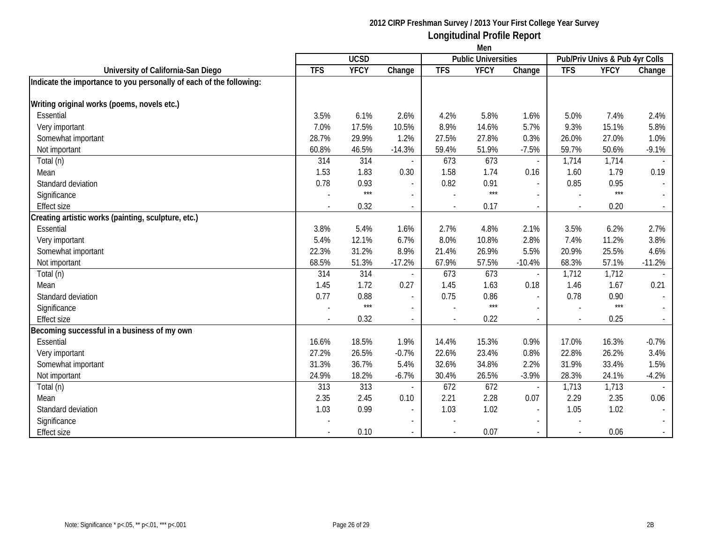|                                                                     | Men         |             |                          |            |                            |                          |            |                                |          |  |
|---------------------------------------------------------------------|-------------|-------------|--------------------------|------------|----------------------------|--------------------------|------------|--------------------------------|----------|--|
|                                                                     | <b>UCSD</b> |             |                          |            | <b>Public Universities</b> |                          |            | Pub/Priv Univs & Pub 4yr Colls |          |  |
| University of California-San Diego                                  | <b>TFS</b>  | <b>YFCY</b> | Change                   | <b>TFS</b> | <b>YFCY</b>                | Change                   | <b>TFS</b> | <b>YFCY</b>                    | Change   |  |
| Indicate the importance to you personally of each of the following: |             |             |                          |            |                            |                          |            |                                |          |  |
|                                                                     |             |             |                          |            |                            |                          |            |                                |          |  |
| Writing original works (poems, novels etc.)                         |             |             |                          |            |                            |                          |            |                                |          |  |
| Essential                                                           | 3.5%        | 6.1%        | 2.6%                     | 4.2%       | 5.8%                       | 1.6%                     | 5.0%       | 7.4%                           | 2.4%     |  |
| Very important                                                      | 7.0%        | 17.5%       | 10.5%                    | 8.9%       | 14.6%                      | 5.7%                     | 9.3%       | 15.1%                          | 5.8%     |  |
| Somewhat important                                                  | 28.7%       | 29.9%       | 1.2%                     | 27.5%      | 27.8%                      | 0.3%                     | 26.0%      | 27.0%                          | 1.0%     |  |
| Not important                                                       | 60.8%       | 46.5%       | $-14.3%$                 | 59.4%      | 51.9%                      | $-7.5%$                  | 59.7%      | 50.6%                          | $-9.1%$  |  |
| Total (n)                                                           | 314         | 314         |                          | 673        | 673                        |                          | 1,714      | 1,714                          |          |  |
| Mean                                                                | 1.53        | 1.83        | 0.30                     | 1.58       | 1.74                       | 0.16                     | 1.60       | 1.79                           | 0.19     |  |
| Standard deviation                                                  | 0.78        | 0.93        | $\sim$                   | 0.82       | 0.91                       | $\overline{\phantom{a}}$ | 0.85       | 0.95                           | $\sim$   |  |
| Significance                                                        |             | $***$       | $\blacksquare$           |            | $***$                      |                          |            | $***$                          | $\sim$   |  |
| <b>Effect size</b>                                                  |             | 0.32        | $\sim$                   |            | 0.17                       |                          |            | 0.20                           |          |  |
| Creating artistic works (painting, sculpture, etc.)                 |             |             |                          |            |                            |                          |            |                                |          |  |
| Essential                                                           | 3.8%        | 5.4%        | 1.6%                     | 2.7%       | 4.8%                       | 2.1%                     | 3.5%       | 6.2%                           | 2.7%     |  |
| Very important                                                      | 5.4%        | 12.1%       | 6.7%                     | 8.0%       | 10.8%                      | 2.8%                     | 7.4%       | 11.2%                          | 3.8%     |  |
| Somewhat important                                                  | 22.3%       | 31.2%       | 8.9%                     | 21.4%      | 26.9%                      | 5.5%                     | 20.9%      | 25.5%                          | 4.6%     |  |
| Not important                                                       | 68.5%       | 51.3%       | $-17.2%$                 | 67.9%      | 57.5%                      | $-10.4%$                 | 68.3%      | 57.1%                          | $-11.2%$ |  |
| Total (n)                                                           | 314         | 314         |                          | 673        | 673                        | $\overline{a}$           | 1,712      | 1,712                          |          |  |
| Mean                                                                | 1.45        | 1.72        | 0.27                     | 1.45       | 1.63                       | 0.18                     | 1.46       | 1.67                           | 0.21     |  |
| Standard deviation                                                  | 0.77        | 0.88        | $\overline{\phantom{a}}$ | 0.75       | 0.86                       | $\overline{a}$           | 0.78       | 0.90                           | $\sim$   |  |
| Significance                                                        |             | $***$       | $\overline{\phantom{a}}$ |            | $***$                      |                          |            | $***$                          | $\sim$   |  |
| <b>Effect size</b>                                                  |             | 0.32        | $\blacksquare$           |            | 0.22                       |                          |            | 0.25                           | $\sim$   |  |
| Becoming successful in a business of my own                         |             |             |                          |            |                            |                          |            |                                |          |  |
| Essential                                                           | 16.6%       | 18.5%       | 1.9%                     | 14.4%      | 15.3%                      | 0.9%                     | 17.0%      | 16.3%                          | $-0.7%$  |  |
| Very important                                                      | 27.2%       | 26.5%       | $-0.7%$                  | 22.6%      | 23.4%                      | 0.8%                     | 22.8%      | 26.2%                          | 3.4%     |  |
| Somewhat important                                                  | 31.3%       | 36.7%       | 5.4%                     | 32.6%      | 34.8%                      | 2.2%                     | 31.9%      | 33.4%                          | 1.5%     |  |
| Not important                                                       | 24.9%       | 18.2%       | $-6.7%$                  | 30.4%      | 26.5%                      | $-3.9%$                  | 28.3%      | 24.1%                          | $-4.2%$  |  |
| Total (n)                                                           | 313         | 313         |                          | 672        | 672                        |                          | 1,713      | 1,713                          |          |  |
| Mean                                                                | 2.35        | 2.45        | 0.10                     | 2.21       | 2.28                       | 0.07                     | 2.29       | 2.35                           | 0.06     |  |
| Standard deviation                                                  | 1.03        | 0.99        | $\sim$                   | 1.03       | 1.02                       | $\overline{\phantom{a}}$ | 1.05       | 1.02                           | $\sim$   |  |
| Significance                                                        |             |             | $\blacksquare$           |            |                            |                          |            |                                | $\sim$   |  |
| <b>Effect size</b>                                                  |             | 0.10        |                          |            | 0.07                       |                          |            | 0.06                           |          |  |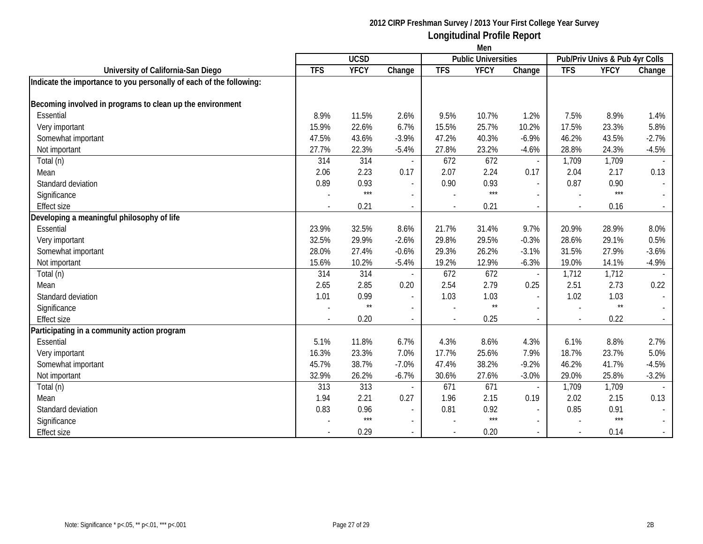|                                                                     | Men         |              |                          |                |                 |                          |                                                              |                 |                             |  |  |
|---------------------------------------------------------------------|-------------|--------------|--------------------------|----------------|-----------------|--------------------------|--------------------------------------------------------------|-----------------|-----------------------------|--|--|
|                                                                     | <b>UCSD</b> |              |                          |                |                 |                          | <b>Public Universities</b><br>Pub/Priv Univs & Pub 4yr Colls |                 |                             |  |  |
| University of California-San Diego                                  | <b>TFS</b>  | <b>YFCY</b>  | Change                   | <b>TFS</b>     | <b>YFCY</b>     | Change                   | <b>TFS</b>                                                   | <b>YFCY</b>     | Change                      |  |  |
| Indicate the importance to you personally of each of the following: |             |              |                          |                |                 |                          |                                                              |                 |                             |  |  |
|                                                                     |             |              |                          |                |                 |                          |                                                              |                 |                             |  |  |
| Becoming involved in programs to clean up the environment           |             |              |                          |                |                 |                          |                                                              |                 |                             |  |  |
| Essential                                                           | 8.9%        | 11.5%        | 2.6%                     | 9.5%           | 10.7%           | 1.2%                     | 7.5%                                                         | 8.9%            | 1.4%                        |  |  |
| Very important                                                      | 15.9%       | 22.6%        | 6.7%                     | 15.5%          | 25.7%           | 10.2%                    | 17.5%                                                        | 23.3%           | 5.8%                        |  |  |
| Somewhat important                                                  | 47.5%       | 43.6%        | $-3.9%$                  | 47.2%          | 40.3%           | $-6.9%$                  | 46.2%                                                        | 43.5%           | $-2.7%$                     |  |  |
| Not important                                                       | 27.7%       | 22.3%        | $-5.4%$                  | 27.8%          | 23.2%           | $-4.6%$                  | 28.8%                                                        | 24.3%           | $-4.5%$                     |  |  |
| Total (n)                                                           | 314         | 314          |                          | 672            | 672             | $\blacksquare$           | 1,709                                                        | 1,709           |                             |  |  |
| Mean                                                                | 2.06        | 2.23         | 0.17                     | 2.07           | 2.24            | 0.17                     | 2.04                                                         | 2.17            | 0.13                        |  |  |
| Standard deviation                                                  | 0.89        | 0.93         | $\blacksquare$           | 0.90           | 0.93            | $\overline{\phantom{a}}$ | 0.87                                                         | 0.90            | $\sim$                      |  |  |
| Significance                                                        |             | $***$        | $\blacksquare$           |                | $***$           |                          |                                                              | $***$           | $\sim$                      |  |  |
| <b>Effect size</b>                                                  |             | 0.21         | $\blacksquare$           |                | 0.21            |                          |                                                              | 0.16            |                             |  |  |
| Developing a meaningful philosophy of life                          |             |              |                          |                |                 |                          |                                                              |                 |                             |  |  |
| Essential                                                           | 23.9%       | 32.5%        | 8.6%                     | 21.7%          | 31.4%           | 9.7%                     | 20.9%                                                        | 28.9%           | 8.0%                        |  |  |
| Very important                                                      | 32.5%       | 29.9%        | $-2.6%$                  | 29.8%          | 29.5%           | $-0.3%$                  | 28.6%                                                        | 29.1%           | 0.5%                        |  |  |
| Somewhat important                                                  | 28.0%       | 27.4%        | $-0.6%$                  | 29.3%          | 26.2%           | $-3.1%$                  | 31.5%                                                        | 27.9%           | $-3.6%$                     |  |  |
| Not important                                                       | 15.6%       | 10.2%        | $-5.4%$                  | 19.2%          | 12.9%           | $-6.3%$                  | 19.0%                                                        | 14.1%           | $-4.9%$                     |  |  |
| Total (n)                                                           | 314         | 314          |                          | 672            | 672             | $\overline{\phantom{a}}$ | 1,712                                                        | 1,712           |                             |  |  |
| Mean                                                                | 2.65        | 2.85         | 0.20                     | 2.54           | 2.79            | 0.25                     | 2.51                                                         | 2.73            | 0.22                        |  |  |
| Standard deviation                                                  | 1.01        | 0.99         | $\overline{\phantom{a}}$ | 1.03           | 1.03            | $\overline{a}$           | 1.02                                                         | 1.03            | $\sim$                      |  |  |
| Significance                                                        |             | $\star\star$ | $\overline{\phantom{a}}$ |                | $^{\star\star}$ |                          |                                                              | $^{\star\star}$ | $\sim$                      |  |  |
| <b>Effect size</b>                                                  |             | 0.20         | $\overline{a}$           | $\blacksquare$ | 0.25            |                          |                                                              | 0.22            | $\sim$                      |  |  |
| Participating in a community action program                         |             |              |                          |                |                 |                          |                                                              |                 |                             |  |  |
| Essential                                                           | 5.1%        | 11.8%        | 6.7%                     | 4.3%           | 8.6%            | 4.3%                     | 6.1%                                                         | 8.8%            | 2.7%                        |  |  |
| Very important                                                      | 16.3%       | 23.3%        | 7.0%                     | 17.7%          | 25.6%           | 7.9%                     | 18.7%                                                        | 23.7%           | 5.0%                        |  |  |
| Somewhat important                                                  | 45.7%       | 38.7%        | $-7.0%$                  | 47.4%          | 38.2%           | $-9.2%$                  | 46.2%                                                        | 41.7%           | $-4.5%$                     |  |  |
| Not important                                                       | 32.9%       | 26.2%        | $-6.7%$                  | 30.6%          | 27.6%           | $-3.0%$                  | 29.0%                                                        | 25.8%           | $-3.2%$                     |  |  |
| Total (n)                                                           | 313         | 313          |                          | 671            | 671             | $\blacksquare$           | 1,709                                                        | 1,709           |                             |  |  |
| Mean                                                                | 1.94        | 2.21         | 0.27                     | 1.96           | 2.15            | 0.19                     | 2.02                                                         | 2.15            | 0.13                        |  |  |
| Standard deviation                                                  | 0.83        | 0.96         | $\overline{\phantom{a}}$ | 0.81           | 0.92            | $\overline{\phantom{a}}$ | 0.85                                                         | 0.91            |                             |  |  |
| Significance                                                        |             | $***$        | $\blacksquare$           |                | $***$           | $\overline{\phantom{a}}$ |                                                              | $***$           | $\mathcal{L}^{\mathcal{L}}$ |  |  |
| <b>Effect size</b>                                                  |             | 0.29         |                          |                | 0.20            |                          |                                                              | 0.14            |                             |  |  |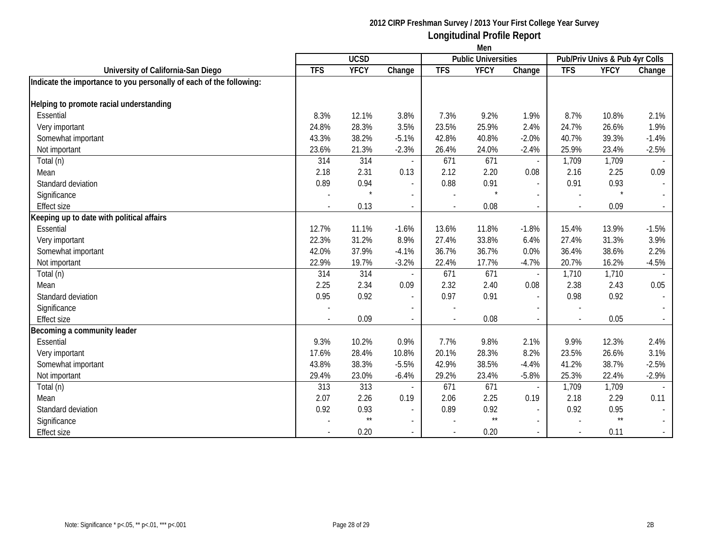|                                                                     | Men                                       |              |                          |            |              |                          |                                |                 |                             |  |  |
|---------------------------------------------------------------------|-------------------------------------------|--------------|--------------------------|------------|--------------|--------------------------|--------------------------------|-----------------|-----------------------------|--|--|
|                                                                     | <b>UCSD</b><br><b>Public Universities</b> |              |                          |            |              |                          | Pub/Priv Univs & Pub 4yr Colls |                 |                             |  |  |
| University of California-San Diego                                  | <b>TFS</b>                                | <b>YFCY</b>  | Change                   | <b>TFS</b> | <b>YFCY</b>  | Change                   | <b>TFS</b>                     | <b>YFCY</b>     | Change                      |  |  |
| Indicate the importance to you personally of each of the following: |                                           |              |                          |            |              |                          |                                |                 |                             |  |  |
| Helping to promote racial understanding                             |                                           |              |                          |            |              |                          |                                |                 |                             |  |  |
| Essential                                                           |                                           | 12.1%        | 3.8%                     |            |              |                          | 8.7%                           |                 | 2.1%                        |  |  |
|                                                                     | 8.3%                                      |              |                          | 7.3%       | 9.2%         | 1.9%                     |                                | 10.8%           |                             |  |  |
| Very important                                                      | 24.8%                                     | 28.3%        | 3.5%                     | 23.5%      | 25.9%        | 2.4%                     | 24.7%                          | 26.6%           | 1.9%                        |  |  |
| Somewhat important                                                  | 43.3%                                     | 38.2%        | $-5.1%$                  | 42.8%      | 40.8%        | $-2.0%$                  | 40.7%                          | 39.3%           | $-1.4%$                     |  |  |
| Not important                                                       | 23.6%                                     | 21.3%        | $-2.3%$                  | 26.4%      | 24.0%        | $-2.4%$                  | 25.9%                          | 23.4%           | $-2.5%$                     |  |  |
| Total (n)                                                           | 314                                       | 314          |                          | 671        | 671          | $\blacksquare$           | 1,709                          | 1,709           |                             |  |  |
| Mean                                                                | 2.18                                      | 2.31         | 0.13                     | 2.12       | 2.20         | 0.08                     | 2.16                           | 2.25            | 0.09                        |  |  |
| Standard deviation                                                  | 0.89                                      | 0.94         | $\overline{\phantom{a}}$ | 0.88       | 0.91         | $\blacksquare$           | 0.91                           | 0.93            | $\blacksquare$              |  |  |
| Significance                                                        |                                           | $\star$      | $\sim$                   |            |              | $\overline{a}$           |                                | $\star$         | $\sim$                      |  |  |
| <b>Effect size</b>                                                  |                                           | 0.13         | $\sim$                   |            | 0.08         |                          |                                | 0.09            | $\mathcal{L}^{\pm}$         |  |  |
| Keeping up to date with political affairs                           |                                           |              |                          |            |              |                          |                                |                 |                             |  |  |
| Essential                                                           | 12.7%                                     | 11.1%        | $-1.6%$                  | 13.6%      | 11.8%        | $-1.8%$                  | 15.4%                          | 13.9%           | $-1.5%$                     |  |  |
| Very important                                                      | 22.3%                                     | 31.2%        | 8.9%                     | 27.4%      | 33.8%        | 6.4%                     | 27.4%                          | 31.3%           | 3.9%                        |  |  |
| Somewhat important                                                  | 42.0%                                     | 37.9%        | $-4.1%$                  | 36.7%      | 36.7%        | 0.0%                     | 36.4%                          | 38.6%           | 2.2%                        |  |  |
| Not important                                                       | 22.9%                                     | 19.7%        | $-3.2%$                  | 22.4%      | 17.7%        | $-4.7%$                  | 20.7%                          | 16.2%           | $-4.5%$                     |  |  |
| Total (n)                                                           | 314                                       | 314          | $\sim$                   | 671        | 671          | $\blacksquare$           | 1,710                          | 1,710           |                             |  |  |
| Mean                                                                | 2.25                                      | 2.34         | 0.09                     | 2.32       | 2.40         | 0.08                     | 2.38                           | 2.43            | 0.05                        |  |  |
| Standard deviation                                                  | 0.95                                      | 0.92         | $\sim$                   | 0.97       | 0.91         | $\overline{\phantom{a}}$ | 0.98                           | 0.92            | $\mathcal{L}_{\mathcal{A}}$ |  |  |
| Significance                                                        |                                           |              |                          |            |              |                          |                                |                 |                             |  |  |
| Effect size                                                         |                                           | 0.09         | $\blacksquare$           |            | 0.08         |                          |                                | 0.05            |                             |  |  |
| Becoming a community leader                                         |                                           |              |                          |            |              |                          |                                |                 |                             |  |  |
| Essential                                                           | 9.3%                                      | 10.2%        | 0.9%                     | 7.7%       | 9.8%         | 2.1%                     | 9.9%                           | 12.3%           | 2.4%                        |  |  |
| Very important                                                      | 17.6%                                     | 28.4%        | 10.8%                    | 20.1%      | 28.3%        | 8.2%                     | 23.5%                          | 26.6%           | 3.1%                        |  |  |
| Somewhat important                                                  | 43.8%                                     | 38.3%        | $-5.5%$                  | 42.9%      | 38.5%        | $-4.4%$                  | 41.2%                          | 38.7%           | $-2.5%$                     |  |  |
| Not important                                                       | 29.4%                                     | 23.0%        | $-6.4%$                  | 29.2%      | 23.4%        | $-5.8%$                  | 25.3%                          | 22.4%           | $-2.9%$                     |  |  |
| Total (n)                                                           | 313                                       | 313          |                          | 671        | 671          | $\overline{a}$           | 1,709                          | 1,709           |                             |  |  |
| Mean                                                                | 2.07                                      | 2.26         | 0.19                     | 2.06       | 2.25         | 0.19                     | 2.18                           | 2.29            | 0.11                        |  |  |
| Standard deviation                                                  | 0.92                                      | 0.93         | $\sim$                   | 0.89       | 0.92         | $\overline{\phantom{a}}$ | 0.92                           | 0.95            |                             |  |  |
| Significance                                                        |                                           | $\star\star$ | $\sim$                   |            | $\star\star$ | $\overline{a}$           |                                | $^{\star\star}$ |                             |  |  |
| <b>Effect size</b>                                                  |                                           | 0.20         | $\blacksquare$           |            | 0.20         | $\overline{a}$           |                                | 0.11            | $\sim$                      |  |  |